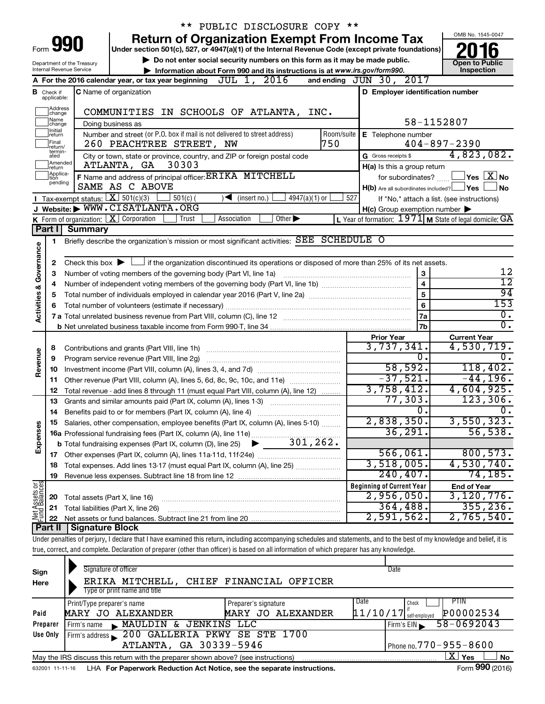|                                                      |                                                                                                        |                                | ** PUBLIC DISCLOSURE COPY **                                                                                                                                               |                                                             |                                            |
|------------------------------------------------------|--------------------------------------------------------------------------------------------------------|--------------------------------|----------------------------------------------------------------------------------------------------------------------------------------------------------------------------|-------------------------------------------------------------|--------------------------------------------|
| <b>Return of Organization Exempt From Income Tax</b> |                                                                                                        |                                |                                                                                                                                                                            |                                                             | OMB No. 1545-0047                          |
| Form 990                                             |                                                                                                        |                                | Under section 501(c), 527, or 4947(a)(1) of the Internal Revenue Code (except private foundations)                                                                         |                                                             |                                            |
| Department of the Treasury                           |                                                                                                        |                                | Do not enter social security numbers on this form as it may be made public.                                                                                                |                                                             | <b>Open to Public</b>                      |
|                                                      | Internal Revenue Service<br>Information about Form 990 and its instructions is at www.irs.gov/form990. |                                |                                                                                                                                                                            |                                                             | Inspection                                 |
|                                                      |                                                                                                        |                                | JUL 1, 2016<br>A For the 2016 calendar year, or tax year beginning                                                                                                         | and ending JUN 30, 2017                                     |                                            |
|                                                      | <b>B</b> Check if applicable:                                                                          |                                | <b>C</b> Name of organization                                                                                                                                              | D Employer identification number                            |                                            |
|                                                      | Address<br> change                                                                                     |                                | COMMUNITIES IN SCHOOLS OF ATLANTA, INC.                                                                                                                                    |                                                             |                                            |
|                                                      | ]Name<br>]change                                                                                       |                                | Doing business as                                                                                                                                                          |                                                             | 58-1152807                                 |
|                                                      | Initial<br>]return                                                                                     |                                | Number and street (or P.O. box if mail is not delivered to street address)<br>Room/suite                                                                                   | E Telephone number                                          |                                            |
|                                                      | Final<br>return/                                                                                       |                                | 750<br>260 PEACHTREE STREET, NW                                                                                                                                            |                                                             | $404 - 897 - 2390$                         |
|                                                      | termin-<br>ated                                                                                        |                                | City or town, state or province, country, and ZIP or foreign postal code                                                                                                   | G Gross receipts \$                                         | 4,823,082.                                 |
|                                                      | Amended<br>Ireturn                                                                                     |                                | 30303<br>ATLANTA, GA                                                                                                                                                       | H(a) Is this a group return                                 |                                            |
|                                                      | Applica-<br>tion                                                                                       |                                | F Name and address of principal officer: ERIKA MITCHELL                                                                                                                    | for subordinates?                                           | $\Box$ Yes $\Box X$ No                     |
|                                                      | pending                                                                                                |                                | SAME AS C ABOVE                                                                                                                                                            | $H(b)$ Are all subordinates included? $\Box$ Yes            | ∣No                                        |
|                                                      |                                                                                                        |                                | Tax-exempt status: $X \over 301(c)(3)$<br>$501(c)$ (<br>$4947(a)(1)$ or<br>$\sqrt{\frac{1}{1}}$ (insert no.)                                                               | 527                                                         | If "No," attach a list. (see instructions) |
|                                                      |                                                                                                        |                                | J Website: WWW.CISATLANTA.ORG                                                                                                                                              | $H(c)$ Group exemption number $\blacktriangleright$         |                                            |
|                                                      |                                                                                                        |                                | K Form of organization: $X$ Corporation<br>Other $\blacktriangleright$<br>Association<br>Trust                                                                             | L Year of formation: $1971$ M State of legal domicile: $GA$ |                                            |
|                                                      | Part I                                                                                                 | <b>Summary</b>                 |                                                                                                                                                                            |                                                             |                                            |
|                                                      | 1                                                                                                      |                                | Briefly describe the organization's mission or most significant activities: SEE SCHEDULE O                                                                                 |                                                             |                                            |
| Governance                                           |                                                                                                        |                                |                                                                                                                                                                            |                                                             |                                            |
|                                                      | 2                                                                                                      |                                | Check this box $\blacktriangleright$ $\Box$ if the organization discontinued its operations or disposed of more than 25% of its net assets.                                |                                                             | 12                                         |
|                                                      | з                                                                                                      |                                | Number of voting members of the governing body (Part VI, line 1a)                                                                                                          | 3                                                           | $\overline{12}$                            |
|                                                      | 4                                                                                                      |                                |                                                                                                                                                                            | $\overline{\mathbf{4}}$<br>5                                | 94                                         |
| <b>Activities &amp;</b>                              | 5<br>6                                                                                                 |                                | Total number of volunteers (estimate if necessary)                                                                                                                         | 6                                                           | 153                                        |
|                                                      |                                                                                                        |                                |                                                                                                                                                                            | 7a                                                          | $\overline{0}$ .                           |
|                                                      |                                                                                                        |                                |                                                                                                                                                                            | 7b                                                          | $\overline{0}$ .                           |
|                                                      |                                                                                                        |                                |                                                                                                                                                                            | <b>Prior Year</b>                                           | <b>Current Year</b>                        |
|                                                      | 8                                                                                                      |                                | Contributions and grants (Part VIII, line 1h)                                                                                                                              | 3,737,341.                                                  | 4,530,719.                                 |
|                                                      | 9                                                                                                      |                                | Program service revenue (Part VIII, line 2g)                                                                                                                               | $\overline{0}$ .                                            | 0.                                         |
| Revenue                                              | 10                                                                                                     |                                |                                                                                                                                                                            | 58,592.                                                     | 118,402.                                   |
|                                                      | 11                                                                                                     |                                | Other revenue (Part VIII, column (A), lines 5, 6d, 8c, 9c, 10c, and 11e)                                                                                                   | $-37,521.$                                                  | $-44,196.$                                 |
|                                                      | 12                                                                                                     |                                | Total revenue - add lines 8 through 11 (must equal Part VIII, column (A), line 12)                                                                                         | 3,758,412.                                                  | 4,604,925.                                 |
|                                                      | 13                                                                                                     |                                | Grants and similar amounts paid (Part IX, column (A), lines 1-3)                                                                                                           | 77,303.                                                     | 123,306.                                   |
|                                                      |                                                                                                        |                                |                                                                                                                                                                            | 0.                                                          | 0.                                         |
|                                                      |                                                                                                        |                                | Salaries, other compensation, employee benefits (Part IX, column (A), lines 5-10)                                                                                          | 2,838,350.                                                  | 3,550,323.                                 |
| Expenses                                             |                                                                                                        |                                |                                                                                                                                                                            | 36, 291.                                                    | 56, 538.                                   |
|                                                      |                                                                                                        |                                |                                                                                                                                                                            | 566,061.                                                    | 800, 573.                                  |
|                                                      |                                                                                                        |                                |                                                                                                                                                                            | 3,518,005.                                                  | 4,530,740.                                 |
|                                                      | 18                                                                                                     |                                | Total expenses. Add lines 13-17 (must equal Part IX, column (A), line 25)                                                                                                  | 240, 407.                                                   | 74, 185.                                   |
|                                                      | 19                                                                                                     |                                |                                                                                                                                                                            | <b>Beginning of Current Year</b>                            | <b>End of Year</b>                         |
| Net Assets or                                        | 20                                                                                                     | Total assets (Part X, line 16) |                                                                                                                                                                            | 2,956,050.                                                  | 3,120,776.                                 |
|                                                      | 21                                                                                                     |                                | Total liabilities (Part X, line 26)                                                                                                                                        | 364,488.                                                    | 355, 236.                                  |
|                                                      | 22                                                                                                     |                                |                                                                                                                                                                            | 2,591,562.                                                  | 2,765,540.                                 |
|                                                      | Part II                                                                                                | <b>Signature Block</b>         |                                                                                                                                                                            |                                                             |                                            |
|                                                      |                                                                                                        |                                | Under penalties of perjury, I declare that I have examined this return, including accompanying schedules and statements, and to the best of my knowledge and belief, it is |                                                             |                                            |
|                                                      |                                                                                                        |                                | true, correct, and complete. Declaration of preparer (other than officer) is based on all information of which preparer has any knowledge.                                 |                                                             |                                            |
|                                                      |                                                                                                        |                                |                                                                                                                                                                            |                                                             |                                            |
| Sign                                                 |                                                                                                        |                                | Signature of officer                                                                                                                                                       | Date                                                        |                                            |
| Here                                                 |                                                                                                        |                                | ERIKA MITCHELL, CHIEF FINANCIAL OFFICER                                                                                                                                    |                                                             |                                            |

| Here     | ERINA MIICAEDU, CAIEF FINANCIAD OFFICER                                                                    |                              |                                       |  |  |  |  |  |  |
|----------|------------------------------------------------------------------------------------------------------------|------------------------------|---------------------------------------|--|--|--|--|--|--|
|          | Type or print name and title                                                                               |                              |                                       |  |  |  |  |  |  |
|          | Print/Type preparer's name                                                                                 | Date<br>Preparer's signature | PIIN<br>Check                         |  |  |  |  |  |  |
| Paid     | MARY JO ALEXANDER                                                                                          | MARY JO ALEXANDER            | $11/10/17$ self-employed<br>P00002534 |  |  |  |  |  |  |
| Preparer | MAULDIN & JENKINS LLC<br>Firm's name                                                                       |                              | $58 - 0692043$<br>$F$ irm's EIN       |  |  |  |  |  |  |
| Use Only | Firm's address 200 GALLERIA PKWY SE STE 1700                                                               |                              |                                       |  |  |  |  |  |  |
|          | ATLANTA, GA 30339-5946                                                                                     |                              | Phone no. $770 - 955 - 8600$          |  |  |  |  |  |  |
|          | x<br><b>No</b><br>Yes<br>May the IRS discuss this return with the preparer shown above? (see instructions) |                              |                                       |  |  |  |  |  |  |
|          |                                                                                                            |                              |                                       |  |  |  |  |  |  |

632001 11-11-16 **For Paperwork Reduction Act Notice, see the separate instructions.** LHA Form (2016)

Form **990** (2016)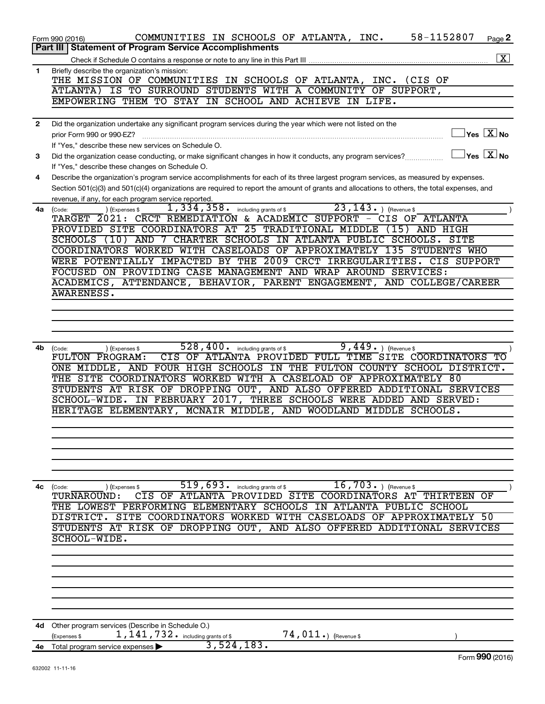|              | 58-1152807<br>COMMUNITIES IN SCHOOLS OF ATLANTA, INC.<br>Page 2<br>Form 990 (2016)                                                                          |
|--------------|-------------------------------------------------------------------------------------------------------------------------------------------------------------|
|              | <b>Part III   Statement of Program Service Accomplishments</b>                                                                                              |
|              | $\overline{\mathbf{x}}$                                                                                                                                     |
| 1            | Briefly describe the organization's mission:<br>THE MISSION OF COMMUNITIES IN SCHOOLS OF ATLANTA, INC. (CIS OF                                              |
|              | IS TO SURROUND STUDENTS WITH A COMMUNITY OF SUPPORT,<br>ATLANTA)                                                                                            |
|              | EMPOWERING THEM TO STAY<br>IN SCHOOL AND ACHIEVE IN LIFE.                                                                                                   |
|              |                                                                                                                                                             |
| $\mathbf{2}$ | Did the organization undertake any significant program services during the year which were not listed on the                                                |
|              | $\sqrt{\mathsf{Yes}\mathord{\;\mathbb{X}}\mathord{\;\mathsf{No}}}$<br>prior Form 990 or 990-EZ?                                                             |
|              | If "Yes," describe these new services on Schedule O.                                                                                                        |
| 3            | $\vert$ Yes $\vert$ $\mathrm{X}$ $\vert$ No<br>Did the organization cease conducting, or make significant changes in how it conducts, any program services? |
|              |                                                                                                                                                             |
|              | If "Yes," describe these changes on Schedule O.                                                                                                             |
| 4            | Describe the organization's program service accomplishments for each of its three largest program services, as measured by expenses.                        |
|              | Section 501(c)(3) and 501(c)(4) organizations are required to report the amount of grants and allocations to others, the total expenses, and                |
|              | revenue, if any, for each program service reported.                                                                                                         |
|              | 23, 143. ) (Revenue \$<br>1,334,358.<br>including grants of \$<br>4a (Code:<br>Expenses \$                                                                  |
|              | $\overline{2}021:$<br>CRCT REMEDIATION & ACADEMIC SUPPORT - CIS OF ATLANTA<br><b>TARGET</b>                                                                 |
|              | PROVIDED SITE COORDINATORS AT<br>25 TRADITIONAL MIDDLE<br>(15)<br>AND HIGH                                                                                  |
|              | AND<br>7 CHARTER SCHOOLS IN ATLANTA PUBLIC<br>SCHOOLS.<br>SITE<br>SCHOOLS<br>(10)                                                                           |
|              | 135<br>STUDENTS WHO<br>COORDINATORS WORKED WITH CASELOADS OF APPROXIMATELY                                                                                  |
|              | WERE POTENTIALLY IMPACTED BY THE 2009 CRCT IRREGULARITIES.<br>CIS<br>SUPPORT                                                                                |
|              | FOCUSED ON PROVIDING CASE MANAGEMENT AND WRAP AROUND SERVICES:                                                                                              |
|              | ACADEMICS, ATTENDANCE, BEHAVIOR, PARENT ENGAGEMENT, AND COLLEGE/CAREER                                                                                      |
|              | <b>AWARENESS.</b>                                                                                                                                           |
|              |                                                                                                                                                             |
|              |                                                                                                                                                             |
|              |                                                                                                                                                             |
|              |                                                                                                                                                             |
| 4b           | 528,400.<br>$9,449.$ (Revenue \$<br>including grants of \$<br>(Code:<br>(Expenses \$                                                                        |
|              | CIS OF ATLANTA PROVIDED FULL TIME SITE COORDINATORS TO<br>FULTON PROGRAM:                                                                                   |
|              | ONE MIDDLE, AND FOUR HIGH SCHOOLS<br>FULTON COUNTY SCHOOL DISTRICT.<br>IN THE                                                                               |
|              | COORDINATORS WORKED WITH A CASELOAD OF APPROXIMATELY<br>$\overline{80}$<br>THE SITE                                                                         |
|              | STUDENTS AT RISK OF DROPPING OUT, AND ALSO OFFERED ADDITIONAL SERVICES                                                                                      |
|              | IN FEBRUARY 2017, THREE SCHOOLS WERE ADDED AND SERVED:<br>SCHOOL-WIDE.                                                                                      |
|              | MCNAIR MIDDLE, AND WOODLAND MIDDLE<br><b>ELEMENTARY,</b><br>SCHOOLS.<br>HERITAGE                                                                            |
|              |                                                                                                                                                             |
|              |                                                                                                                                                             |
|              |                                                                                                                                                             |
|              |                                                                                                                                                             |
|              |                                                                                                                                                             |
|              |                                                                                                                                                             |
|              |                                                                                                                                                             |
|              | 519,693. including grants of \$<br>$16, 703.$ ) (Revenue \$<br>4c (Code:<br>) (Expenses \$                                                                  |
|              | CIS OF ATLANTA PROVIDED SITE COORDINATORS AT THIRTEEN OF<br>TURNAROUND:                                                                                     |
|              | THE LOWEST PERFORMING ELEMENTARY SCHOOLS IN ATLANTA PUBLIC SCHOOL                                                                                           |
|              | DISTRICT. SITE COORDINATORS WORKED WITH CASELOADS OF APPROXIMATELY 50                                                                                       |
|              | STUDENTS AT RISK OF DROPPING OUT, AND ALSO OFFERED ADDITIONAL<br>SERVICES                                                                                   |
|              | SCHOOL-WIDE.                                                                                                                                                |
|              |                                                                                                                                                             |
|              |                                                                                                                                                             |
|              |                                                                                                                                                             |
|              |                                                                                                                                                             |
|              |                                                                                                                                                             |
|              |                                                                                                                                                             |
|              |                                                                                                                                                             |
| 4d           | Other program services (Describe in Schedule O.)                                                                                                            |
|              | 1, 141, 732. including grants of \$<br>$74,011.$ (Revenue \$)<br>(Expenses \$                                                                               |
|              | 3,524,183.<br>4e Total program service expenses                                                                                                             |
|              | Form 990 (2016)                                                                                                                                             |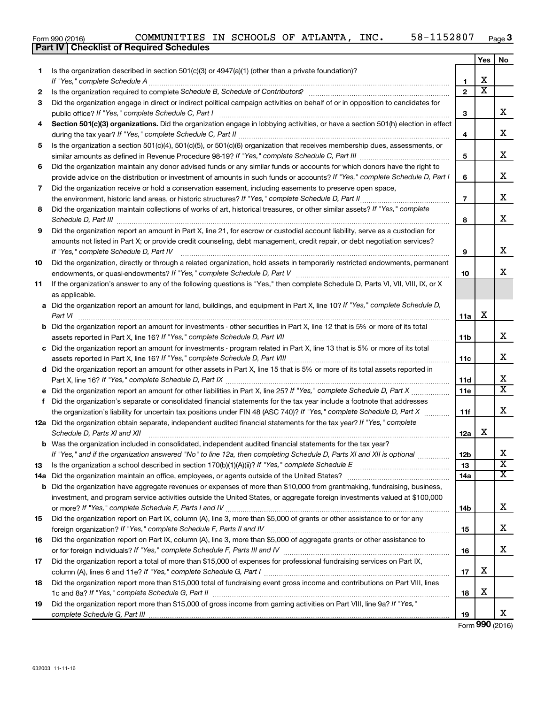632003 11-11-16

|          | 58-1152807<br>COMMUNITIES IN SCHOOLS OF ATLANTA, INC.<br>Form 990 (2016)<br><b>Checklist of Required Schedules</b><br>Part IV                                                                                                    |                     |     | Page   |
|----------|----------------------------------------------------------------------------------------------------------------------------------------------------------------------------------------------------------------------------------|---------------------|-----|--------|
|          |                                                                                                                                                                                                                                  |                     | Yes | No     |
| 1.       | Is the organization described in section $501(c)(3)$ or $4947(a)(1)$ (other than a private foundation)?                                                                                                                          |                     | х   |        |
|          |                                                                                                                                                                                                                                  | 1<br>$\overline{2}$ | X   |        |
| 2<br>3   | Did the organization engage in direct or indirect political campaign activities on behalf of or in opposition to candidates for                                                                                                  |                     |     |        |
|          |                                                                                                                                                                                                                                  | 3                   |     | X      |
| 4        | Section 501(c)(3) organizations. Did the organization engage in lobbying activities, or have a section 501(h) election in effect                                                                                                 |                     |     |        |
|          |                                                                                                                                                                                                                                  | 4                   |     | X      |
| 5.       | Is the organization a section 501(c)(4), 501(c)(5), or 501(c)(6) organization that receives membership dues, assessments, or                                                                                                     |                     |     |        |
|          |                                                                                                                                                                                                                                  | 5                   |     | X      |
| 6        | Did the organization maintain any donor advised funds or any similar funds or accounts for which donors have the right to                                                                                                        |                     |     |        |
|          | provide advice on the distribution or investment of amounts in such funds or accounts? If "Yes," complete Schedule D, Part I                                                                                                     | 6                   |     | X      |
| 7        | Did the organization receive or hold a conservation easement, including easements to preserve open space,                                                                                                                        |                     |     |        |
|          |                                                                                                                                                                                                                                  | $\overline{7}$      |     | X      |
| 8        | Did the organization maintain collections of works of art, historical treasures, or other similar assets? If "Yes," complete                                                                                                     | 8                   |     | X      |
| 9        | Schedule D, Part III <b>www.community.community.community.community.community.community.com</b><br>Did the organization report an amount in Part X, line 21, for escrow or custodial account liability, serve as a custodian for |                     |     |        |
|          | amounts not listed in Part X; or provide credit counseling, debt management, credit repair, or debt negotiation services?                                                                                                        |                     |     |        |
|          | If "Yes," complete Schedule D, Part IV                                                                                                                                                                                           | 9                   |     | X      |
| 10       | Did the organization, directly or through a related organization, hold assets in temporarily restricted endowments, permanent                                                                                                    |                     |     |        |
|          |                                                                                                                                                                                                                                  | 10                  |     | X      |
| 11       | If the organization's answer to any of the following questions is "Yes," then complete Schedule D, Parts VI, VII, VIII, IX, or X                                                                                                 |                     |     |        |
|          | as applicable.                                                                                                                                                                                                                   |                     |     |        |
|          | a Did the organization report an amount for land, buildings, and equipment in Part X, line 10? If "Yes," complete Schedule D,                                                                                                    |                     |     |        |
|          | Part VI                                                                                                                                                                                                                          | 11a                 | X   |        |
|          | <b>b</b> Did the organization report an amount for investments - other securities in Part X, line 12 that is 5% or more of its total                                                                                             |                     |     | X      |
|          | c Did the organization report an amount for investments - program related in Part X, line 13 that is 5% or more of its total                                                                                                     | 11 <sub>b</sub>     |     |        |
|          | assets reported in Part X, line 16? If "Yes," complete Schedule D, Part VIII                                                                                                                                                     | 11c                 |     | X      |
|          | d Did the organization report an amount for other assets in Part X, line 15 that is 5% or more of its total assets reported in                                                                                                   |                     |     |        |
|          |                                                                                                                                                                                                                                  | 11d                 |     | Χ      |
| е        |                                                                                                                                                                                                                                  | 11e                 |     | X      |
| f        | Did the organization's separate or consolidated financial statements for the tax year include a footnote that addresses                                                                                                          |                     |     |        |
|          | the organization's liability for uncertain tax positions under FIN 48 (ASC 740)? If "Yes," complete Schedule D, Part X                                                                                                           | 11f                 |     | Χ      |
|          | 12a Did the organization obtain separate, independent audited financial statements for the tax year? If "Yes," complete                                                                                                          |                     |     |        |
|          | Schedule D, Parts XI and XII                                                                                                                                                                                                     | 12a                 | х   |        |
| b        | Was the organization included in consolidated, independent audited financial statements for the tax year?                                                                                                                        |                     |     |        |
|          | If "Yes," and if the organization answered "No" to line 12a, then completing Schedule D, Parts XI and XII is optional <i></i>                                                                                                    | 12b                 |     | Χ<br>X |
| 13       | Is the organization a school described in section $170(b)(1)(A)(ii)$ ? If "Yes," complete Schedule E<br>Did the organization maintain an office, employees, or agents outside of the United States?                              | 13<br>14a           |     | х      |
| 14a<br>b | Did the organization have aggregate revenues or expenses of more than \$10,000 from grantmaking, fundraising, business,                                                                                                          |                     |     |        |
|          | investment, and program service activities outside the United States, or aggregate foreign investments valued at \$100,000                                                                                                       |                     |     |        |
|          |                                                                                                                                                                                                                                  | 14b                 |     | х      |
| 15       | Did the organization report on Part IX, column (A), line 3, more than \$5,000 of grants or other assistance to or for any                                                                                                        |                     |     |        |

| investment, and program service activities outside the Onited Otates, or aggregate foreign investments valued at \$100,000   |     |
|------------------------------------------------------------------------------------------------------------------------------|-----|
| or more? If "Yes," complete Schedule F, Parts I and IV                                                                       | 14b |
| Did the organization report on Part IX, column (A), line 3, more than \$5,000 of grants or other assistance to or for any    |     |
| foreign organization? If "Yes," complete Schedule F, Parts II and IV                                                         | 15  |
| Did the organization report on Part IX, column (A), line 3, more than \$5,000 of aggregate grants or other assistance to     |     |
| or for foreign individuals? If "Yes," complete Schedule F, Parts III and IV                                                  | 16  |
| Did the organization report a total of more than \$15,000 of expenses for professional fundraising services on Part IX,      |     |
| column (A), lines 6 and 11e? If "Yes," complete Schedule G, Part I                                                           | 17  |
| Did the organization report more than \$15,000 total of fundraising event gross income and contributions on Part VIII, lines |     |
| 1c and 8a? If "Yes," complete Schedule G, Part II                                                                            | 18  |
|                                                                                                                              |     |

**19** Did the organization report more than \$15,000 of gross income from gaming activities on Part VIII, line 9a? If "Yes," *complete Schedule G, Part III* 

Form (2016) **990**

X

X

**19**

**Yes No**

X

X

X

X

X

X

X

X

X

X

X X

X

X X X

X

X

X

X

|  | Form 990 (2016) |  |
|--|-----------------|--|
|  |                 |  |

**16**

**17**

**18**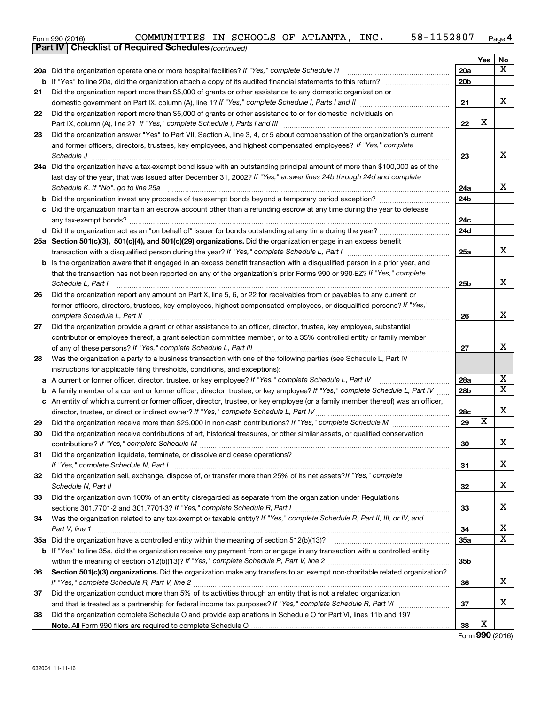|    | 58-1152807<br>COMMUNITIES IN SCHOOLS OF ATLANTA, INC.<br>Form 990 (2016)                                                            |                 |     | Page 4                  |
|----|-------------------------------------------------------------------------------------------------------------------------------------|-----------------|-----|-------------------------|
|    | <b>Checklist of Required Schedules (continued)</b><br><b>Part IV</b>                                                                |                 |     |                         |
|    |                                                                                                                                     |                 | Yes | No                      |
|    | 20a Did the organization operate one or more hospital facilities? If "Yes," complete Schedule H                                     | 20a             |     | x                       |
|    | <b>b</b> If "Yes" to line 20a, did the organization attach a copy of its audited financial statements to this return?               | 20 <sub>b</sub> |     |                         |
| 21 | Did the organization report more than \$5,000 of grants or other assistance to any domestic organization or                         |                 |     |                         |
|    |                                                                                                                                     | 21              |     | x                       |
| 22 | Did the organization report more than \$5,000 of grants or other assistance to or for domestic individuals on                       |                 |     |                         |
|    |                                                                                                                                     | 22              | х   |                         |
| 23 | Did the organization answer "Yes" to Part VII, Section A, line 3, 4, or 5 about compensation of the organization's current          |                 |     |                         |
|    | and former officers, directors, trustees, key employees, and highest compensated employees? If "Yes," complete                      |                 |     |                         |
|    | Schedule J <b>Execute Schedule J Execute Schedule J</b>                                                                             | 23              |     | х                       |
|    | 24a Did the organization have a tax-exempt bond issue with an outstanding principal amount of more than \$100,000 as of the         |                 |     |                         |
|    | last day of the year, that was issued after December 31, 2002? If "Yes," answer lines 24b through 24d and complete                  |                 |     |                         |
|    | Schedule K. If "No", go to line 25a                                                                                                 | 24a             |     | x                       |
|    | <b>b</b> Did the organization invest any proceeds of tax-exempt bonds beyond a temporary period exception?                          | 24 <sub>b</sub> |     |                         |
|    | c Did the organization maintain an escrow account other than a refunding escrow at any time during the year to defease              |                 |     |                         |
|    |                                                                                                                                     | 24c             |     |                         |
|    |                                                                                                                                     | 24d             |     |                         |
|    | 25a Section 501(c)(3), 501(c)(4), and 501(c)(29) organizations. Did the organization engage in an excess benefit                    |                 |     |                         |
|    |                                                                                                                                     | 25a             |     | x                       |
|    | <b>b</b> Is the organization aware that it engaged in an excess benefit transaction with a disqualified person in a prior year, and |                 |     |                         |
|    | that the transaction has not been reported on any of the organization's prior Forms 990 or 990-EZ? If "Yes," complete               |                 |     |                         |
|    | Schedule L, Part I                                                                                                                  | 25 <sub>b</sub> |     | x                       |
| 26 | Did the organization report any amount on Part X, line 5, 6, or 22 for receivables from or payables to any current or               |                 |     |                         |
|    | former officers, directors, trustees, key employees, highest compensated employees, or disqualified persons? If "Yes,"              |                 |     |                         |
|    | complete Schedule L, Part II                                                                                                        | 26              |     | х                       |
| 27 | Did the organization provide a grant or other assistance to an officer, director, trustee, key employee, substantial                |                 |     |                         |
|    | contributor or employee thereof, a grant selection committee member, or to a 35% controlled entity or family member                 |                 |     |                         |
|    |                                                                                                                                     | 27              |     | x                       |
| 28 | Was the organization a party to a business transaction with one of the following parties (see Schedule L, Part IV                   |                 |     |                         |
|    | instructions for applicable filing thresholds, conditions, and exceptions):                                                         |                 |     |                         |
|    | a A current or former officer, director, trustee, or key employee? If "Yes," complete Schedule L, Part IV                           | 28a             |     | x                       |
|    | b A family member of a current or former officer, director, trustee, or key employee? If "Yes," complete Schedule L, Part IV        | 28 <sub>b</sub> |     | $\overline{\mathbf{x}}$ |
|    | c An entity of which a current or former officer, director, trustee, or key employee (or a family member thereof) was an officer,   |                 |     |                         |
|    | director, trustee, or direct or indirect owner? If "Yes," complete Schedule L, Part IV                                              | 28c             |     | X                       |
| 29 |                                                                                                                                     | 29              | X   |                         |
|    | Did the organization receive contributions of art, historical treasures, or other similar assets, or qualified conservation         |                 |     |                         |
|    |                                                                                                                                     | 30              |     | х                       |
| 31 | Did the organization liquidate, terminate, or dissolve and cease operations?                                                        |                 |     |                         |
|    |                                                                                                                                     | 31              |     | X                       |
| 32 | Did the organization sell, exchange, dispose of, or transfer more than 25% of its net assets? If "Yes," complete                    |                 |     |                         |
|    |                                                                                                                                     | 32              |     | X                       |
| 33 | Did the organization own 100% of an entity disregarded as separate from the organization under Regulations                          |                 |     |                         |
|    |                                                                                                                                     | 33              |     | x                       |
| 34 | Was the organization related to any tax-exempt or taxable entity? If "Yes," complete Schedule R, Part II, III, or IV, and           |                 |     |                         |
|    | Part V, line 1                                                                                                                      | 34              |     | х                       |
|    |                                                                                                                                     | 35a             |     | $\overline{\mathbf{x}}$ |
|    | b If "Yes" to line 35a, did the organization receive any payment from or engage in any transaction with a controlled entity         |                 |     |                         |
|    |                                                                                                                                     | 35 <sub>b</sub> |     |                         |
| 36 | Section 501(c)(3) organizations. Did the organization make any transfers to an exempt non-charitable related organization?          |                 |     |                         |
|    |                                                                                                                                     | 36              |     | x                       |
| 37 | Did the organization conduct more than 5% of its activities through an entity that is not a related organization                    |                 |     |                         |
|    |                                                                                                                                     | 37              |     | x                       |
| 38 | Did the organization complete Schedule O and provide explanations in Schedule O for Part VI, lines 11b and 19?                      |                 |     |                         |
|    |                                                                                                                                     | 38              | х   |                         |

|  |  | Form 990 (2016) |
|--|--|-----------------|
|--|--|-----------------|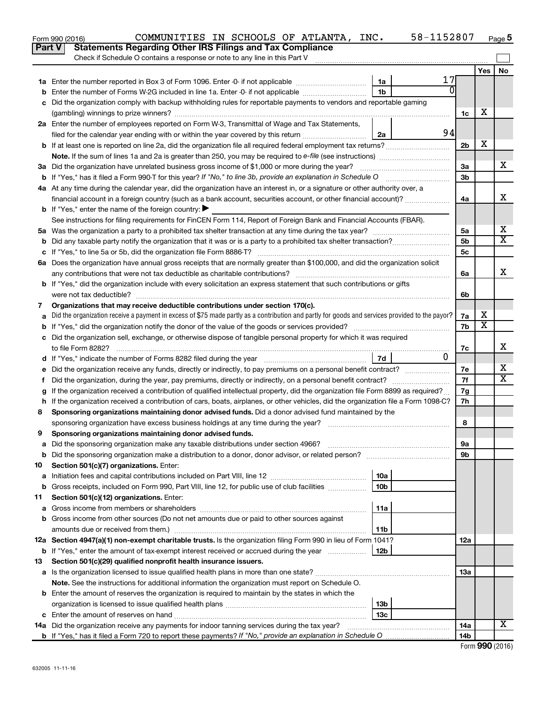|         | 58-1152807<br>COMMUNITIES IN SCHOOLS OF ATLANTA, INC.<br>Form 990 (2016)                                                                        |                      |                         | Page 5                |
|---------|-------------------------------------------------------------------------------------------------------------------------------------------------|----------------------|-------------------------|-----------------------|
|         | <b>Statements Regarding Other IRS Filings and Tax Compliance</b><br><b>Part V</b>                                                               |                      |                         |                       |
|         | Check if Schedule O contains a response or note to any line in this Part V                                                                      |                      |                         |                       |
|         |                                                                                                                                                 |                      | Yes                     | No                    |
|         | 17<br>1a                                                                                                                                        |                      |                         |                       |
| b       | 1 <sub>b</sub><br>Enter the number of Forms W-2G included in line 1a. Enter -0- if not applicable                                               |                      |                         |                       |
|         | c Did the organization comply with backup withholding rules for reportable payments to vendors and reportable gaming                            |                      |                         |                       |
|         |                                                                                                                                                 | 1c                   | х                       |                       |
|         | 2a Enter the number of employees reported on Form W-3, Transmittal of Wage and Tax Statements,<br>94                                            |                      |                         |                       |
|         | filed for the calendar year ending with or within the year covered by this return<br>2a                                                         |                      | X                       |                       |
|         |                                                                                                                                                 | 2 <sub>b</sub>       |                         |                       |
|         |                                                                                                                                                 |                      |                         | х                     |
|         | 3a Did the organization have unrelated business gross income of \$1,000 or more during the year?                                                | За<br>3 <sub>b</sub> |                         |                       |
|         | 4a At any time during the calendar year, did the organization have an interest in, or a signature or other authority over, a                    |                      |                         |                       |
|         | financial account in a foreign country (such as a bank account, securities account, or other financial account)?                                | 4a                   |                         | X                     |
|         | <b>b</b> If "Yes," enter the name of the foreign country: $\blacktriangleright$                                                                 |                      |                         |                       |
|         | See instructions for filing requirements for FinCEN Form 114, Report of Foreign Bank and Financial Accounts (FBAR).                             |                      |                         |                       |
|         |                                                                                                                                                 | 5a                   |                         | Х                     |
|         | <b>b</b> Did any taxable party notify the organization that it was or is a party to a prohibited tax shelter transaction?                       | 5 <sub>b</sub>       |                         | $\overline{\text{X}}$ |
|         |                                                                                                                                                 | 5 <sub>c</sub>       |                         |                       |
|         | 6a Does the organization have annual gross receipts that are normally greater than \$100,000, and did the organization solicit                  |                      |                         |                       |
|         |                                                                                                                                                 | 6а                   |                         | X                     |
|         | <b>b</b> If "Yes," did the organization include with every solicitation an express statement that such contributions or gifts                   |                      |                         |                       |
|         |                                                                                                                                                 | 6b                   |                         |                       |
| 7       | Organizations that may receive deductible contributions under section 170(c).                                                                   |                      |                         |                       |
| a       | Did the organization receive a payment in excess of \$75 made partly as a contribution and partly for goods and services provided to the payor? | 7a                   | X                       |                       |
|         |                                                                                                                                                 | 7b                   | $\overline{\textbf{x}}$ |                       |
|         | c Did the organization sell, exchange, or otherwise dispose of tangible personal property for which it was required                             |                      |                         |                       |
|         |                                                                                                                                                 | 7c                   |                         | X                     |
|         | 0<br>7d                                                                                                                                         |                      |                         |                       |
| е       | Did the organization receive any funds, directly or indirectly, to pay premiums on a personal benefit contract?                                 | 7е                   |                         | X                     |
| f.      | Did the organization, during the year, pay premiums, directly or indirectly, on a personal benefit contract?                                    | 7f                   |                         | $\overline{\text{X}}$ |
|         | If the organization received a contribution of qualified intellectual property, did the organization file Form 8899 as required?                | 7g                   |                         |                       |
|         | h If the organization received a contribution of cars, boats, airplanes, or other vehicles, did the organization file a Form 1098-C?            | 7h                   |                         |                       |
| 8       | Sponsoring organizations maintaining donor advised funds. Did a donor advised fund maintained by the                                            |                      |                         |                       |
|         |                                                                                                                                                 | 8                    |                         |                       |
|         | Sponsoring organizations maintaining donor advised funds.                                                                                       |                      |                         |                       |
| а       | Did the sponsoring organization make any taxable distributions under section 4966?                                                              | 9а                   |                         |                       |
| b       | Did the sponsoring organization make a distribution to a donor, donor advisor, or related person?                                               | 9b                   |                         |                       |
| 10      | Section 501(c)(7) organizations. Enter:                                                                                                         |                      |                         |                       |
| а       | 10a<br>10 <sub>b</sub><br>Gross receipts, included on Form 990, Part VIII, line 12, for public use of club facilities                           |                      |                         |                       |
| b       |                                                                                                                                                 |                      |                         |                       |
| 11<br>а | Section 501(c)(12) organizations. Enter:<br>11a                                                                                                 |                      |                         |                       |
| b       | Gross income from other sources (Do not net amounts due or paid to other sources against                                                        |                      |                         |                       |
|         | 11b                                                                                                                                             |                      |                         |                       |
|         | 12a Section 4947(a)(1) non-exempt charitable trusts. Is the organization filing Form 990 in lieu of Form 1041?                                  | 12a                  |                         |                       |
|         | 12b<br><b>b</b> If "Yes," enter the amount of tax-exempt interest received or accrued during the year                                           |                      |                         |                       |
| 13      | Section 501(c)(29) qualified nonprofit health insurance issuers.                                                                                |                      |                         |                       |
|         | a Is the organization licensed to issue qualified health plans in more than one state?                                                          | 1За                  |                         |                       |
|         | Note. See the instructions for additional information the organization must report on Schedule O.                                               |                      |                         |                       |
|         | <b>b</b> Enter the amount of reserves the organization is required to maintain by the states in which the                                       |                      |                         |                       |
|         | 13b                                                                                                                                             |                      |                         |                       |
|         | 13с<br><b>c</b> Enter the amount of reserves on hand                                                                                            |                      |                         |                       |
|         | 14a Did the organization receive any payments for indoor tanning services during the tax year?                                                  | 14a                  |                         | x                     |
|         |                                                                                                                                                 | 14 <sub>b</sub>      |                         |                       |

| Form 990 (2016) |  |
|-----------------|--|
|-----------------|--|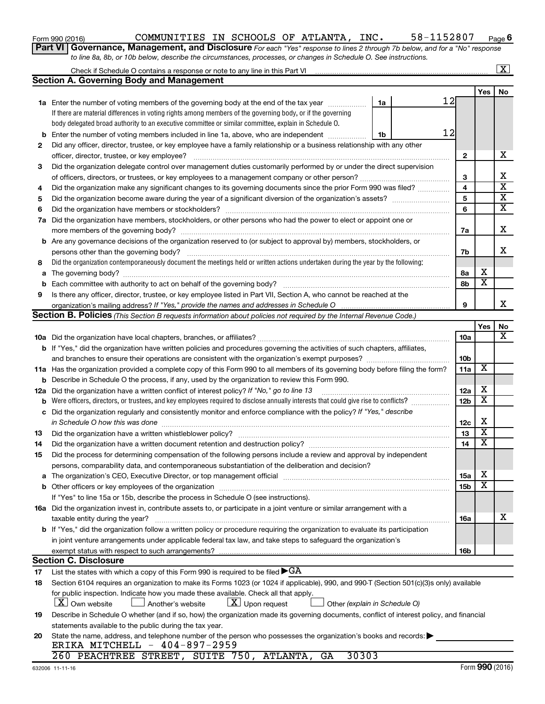| Form 990 (2016) |  |
|-----------------|--|
|-----------------|--|

### Form 990 (2016) Page COMMUNITIES IN SCHOOLS OF ATLANTA, INC. 58-1152807

**6**

**Part VI** Governance, Management, and Disclosure For each "Yes" response to lines 2 through 7b below, and for a "No" response *to line 8a, 8b, or 10b below, describe the circumstances, processes, or changes in Schedule O. See instructions.*

|     | Check if Schedule O contains a response or note to any line in this Part VI                                                                                                                                                    |    |                 |                         | X                       |
|-----|--------------------------------------------------------------------------------------------------------------------------------------------------------------------------------------------------------------------------------|----|-----------------|-------------------------|-------------------------|
|     | <b>Section A. Governing Body and Management</b>                                                                                                                                                                                |    |                 |                         |                         |
|     |                                                                                                                                                                                                                                |    |                 | Yes                     | No                      |
|     | 1a<br>1a Enter the number of voting members of the governing body at the end of the tax year                                                                                                                                   | 12 |                 |                         |                         |
|     | If there are material differences in voting rights among members of the governing body, or if the governing                                                                                                                    |    |                 |                         |                         |
|     | body delegated broad authority to an executive committee or similar committee, explain in Schedule O.                                                                                                                          |    |                 |                         |                         |
| b   | Enter the number of voting members included in line 1a, above, who are independent<br>1b                                                                                                                                       | 12 |                 |                         |                         |
| 2   | Did any officer, director, trustee, or key employee have a family relationship or a business relationship with any other                                                                                                       |    |                 |                         |                         |
|     | officer, director, trustee, or key employee?                                                                                                                                                                                   |    | $\mathbf{2}$    |                         | х                       |
| 3   | Did the organization delegate control over management duties customarily performed by or under the direct supervision                                                                                                          |    |                 |                         |                         |
|     |                                                                                                                                                                                                                                |    | 3               |                         | X                       |
| 4   | Did the organization make any significant changes to its governing documents since the prior Form 990 was filed?                                                                                                               |    | 4               |                         | $\overline{\mathbf{x}}$ |
| 5   |                                                                                                                                                                                                                                |    | 5               |                         | $\overline{\mathbf{X}}$ |
| 6   |                                                                                                                                                                                                                                |    | 6               |                         | х                       |
| 7a  | Did the organization have members, stockholders, or other persons who had the power to elect or appoint one or                                                                                                                 |    |                 |                         |                         |
|     |                                                                                                                                                                                                                                |    | 7a              |                         | X                       |
|     | <b>b</b> Are any governance decisions of the organization reserved to (or subject to approval by) members, stockholders, or                                                                                                    |    |                 |                         |                         |
|     | persons other than the governing body?                                                                                                                                                                                         |    | 7b              |                         | x                       |
| 8   | Did the organization contemporaneously document the meetings held or written actions undertaken during the year by the following:                                                                                              |    |                 |                         |                         |
| a   |                                                                                                                                                                                                                                |    | 8a              | х                       |                         |
| b   |                                                                                                                                                                                                                                |    | 8b              | $\overline{\textbf{x}}$ |                         |
| 9   | Is there any officer, director, trustee, or key employee listed in Part VII, Section A, who cannot be reached at the                                                                                                           |    |                 |                         |                         |
|     | organization's mailing address? If "Yes," provide the names and addresses in Schedule O                                                                                                                                        |    | 9               |                         | x                       |
|     | Section B. Policies (This Section B requests information about policies not required by the Internal Revenue Code.)                                                                                                            |    |                 |                         |                         |
|     |                                                                                                                                                                                                                                |    |                 | Yes                     | No                      |
|     |                                                                                                                                                                                                                                |    | 10a             |                         | $\overline{\mathbf{X}}$ |
|     | b If "Yes," did the organization have written policies and procedures governing the activities of such chapters, affiliates,                                                                                                   |    |                 |                         |                         |
|     | and branches to ensure their operations are consistent with the organization's exempt purposes? www.www.www.www.                                                                                                               |    | 10 <sub>b</sub> |                         |                         |
|     | 11a Has the organization provided a complete copy of this Form 990 to all members of its governing body before filing the form?                                                                                                |    | 11a             | X                       |                         |
| b   | Describe in Schedule O the process, if any, used by the organization to review this Form 990.                                                                                                                                  |    |                 |                         |                         |
| 12a | Did the organization have a written conflict of interest policy? If "No," go to line 13                                                                                                                                        |    | 12a             | х                       |                         |
| b   | Were officers, directors, or trustees, and key employees required to disclose annually interests that could give rise to conflicts?                                                                                            |    | 12 <sub>b</sub> | $\overline{\textbf{x}}$ |                         |
| c   | Did the organization regularly and consistently monitor and enforce compliance with the policy? If "Yes," describe                                                                                                             |    |                 |                         |                         |
|     | in Schedule O how this was done                                                                                                                                                                                                |    | 12 <sub>c</sub> | X                       |                         |
| 13  | Did the organization have a written whistleblower policy?                                                                                                                                                                      |    | 13              | $\overline{\textbf{x}}$ |                         |
| 14  |                                                                                                                                                                                                                                |    | 14              | $\overline{\textbf{x}}$ |                         |
| 15  | Did the process for determining compensation of the following persons include a review and approval by independent                                                                                                             |    |                 |                         |                         |
|     | persons, comparability data, and contemporaneous substantiation of the deliberation and decision?                                                                                                                              |    |                 |                         |                         |
|     | The organization's CEO, Executive Director, or top management official manufactured content of the organization's CEO, Executive Director, or top management official manufactured content of the organization's CEO, Executiv |    | <b>15a</b>      | х                       |                         |
|     |                                                                                                                                                                                                                                |    | 15 <sub>b</sub> | х                       |                         |
|     | If "Yes" to line 15a or 15b, describe the process in Schedule O (see instructions).                                                                                                                                            |    |                 |                         |                         |
|     | 16a Did the organization invest in, contribute assets to, or participate in a joint venture or similar arrangement with a                                                                                                      |    |                 |                         |                         |
|     | taxable entity during the year?                                                                                                                                                                                                |    | <b>16a</b>      |                         | х                       |
|     | b If "Yes," did the organization follow a written policy or procedure requiring the organization to evaluate its participation                                                                                                 |    |                 |                         |                         |
|     | in joint venture arrangements under applicable federal tax law, and take steps to safeguard the organization's                                                                                                                 |    |                 |                         |                         |
|     | exempt status with respect to such arrangements?                                                                                                                                                                               |    | 16b             |                         |                         |
|     | <b>Section C. Disclosure</b>                                                                                                                                                                                                   |    |                 |                         |                         |
| 17  | List the states with which a copy of this Form 990 is required to be filed $\blacktriangleright$ GA                                                                                                                            |    |                 |                         |                         |
| 18  | Section 6104 requires an organization to make its Forms 1023 (or 1024 if applicable), 990, and 990-T (Section 501(c)(3)s only) available                                                                                       |    |                 |                         |                         |
|     | for public inspection. Indicate how you made these available. Check all that apply.                                                                                                                                            |    |                 |                         |                         |
|     | $\lfloor x \rfloor$ Upon request<br>  X   Own website<br>Another's website<br>Other (explain in Schedule O)                                                                                                                    |    |                 |                         |                         |
| 19  | Describe in Schedule O whether (and if so, how) the organization made its governing documents, conflict of interest policy, and financial                                                                                      |    |                 |                         |                         |
|     | statements available to the public during the tax year.                                                                                                                                                                        |    |                 |                         |                         |
| 20  | State the name, address, and telephone number of the person who possesses the organization's books and records:                                                                                                                |    |                 |                         |                         |
|     | ERIKA MITCHELL - 404-897-2959                                                                                                                                                                                                  |    |                 |                         |                         |
|     | 260 PEACHTREE STREET, SUITE 750, ATLANTA, GA<br>30303                                                                                                                                                                          |    |                 |                         |                         |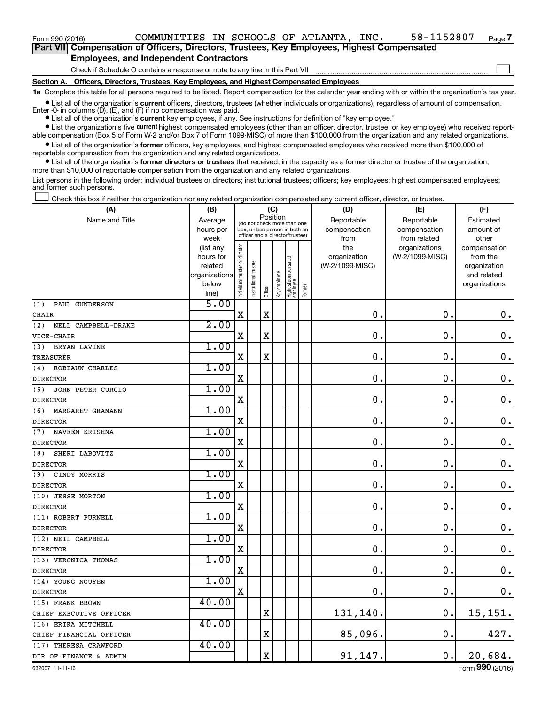$\Box$ 

| Part VII Compensation of Officers, Directors, Trustees, Key Employees, Highest Compensated |  |
|--------------------------------------------------------------------------------------------|--|
| <b>Employees, and Independent Contractors</b>                                              |  |

Check if Schedule O contains a response or note to any line in this Part VII

**Section A. Officers, Directors, Trustees, Key Employees, and Highest Compensated Employees**

**1a**  Complete this table for all persons required to be listed. Report compensation for the calendar year ending with or within the organization's tax year.

**•** List all of the organization's current officers, directors, trustees (whether individuals or organizations), regardless of amount of compensation.

**•** List all of the organization's **current** key employees, if any. See instructions for definition of "key employee." Enter -0- in columns  $(D)$ ,  $(E)$ , and  $(F)$  if no compensation was paid.

**•** List the organization's five current highest compensated employees (other than an officer, director, trustee, or key employee) who received reportable compensation (Box 5 of Form W-2 and/or Box 7 of Form 1099-MISC) of more than \$100,000 from the organization and any related organizations.

**•** List all of the organization's former officers, key employees, and highest compensated employees who received more than \$100,000 of reportable compensation from the organization and any related organizations.

**•** List all of the organization's former directors or trustees that received, in the capacity as a former director or trustee of the organization, more than \$10,000 of reportable compensation from the organization and any related organizations.

List persons in the following order: individual trustees or directors; institutional trustees; officers; key employees; highest compensated employees; and former such persons.

Check this box if neither the organization nor any related organization compensated any current officer, director, or trustee.  $\Box$ 

| (A)                           | (B)               |                                |                                                                  | (C)         |              |                                   |        | (D)             | (E)                           | (F)                   |
|-------------------------------|-------------------|--------------------------------|------------------------------------------------------------------|-------------|--------------|-----------------------------------|--------|-----------------|-------------------------------|-----------------------|
| Name and Title                | Average           |                                | (do not check more than one                                      | Position    |              |                                   |        | Reportable      | Reportable                    | Estimated             |
|                               | hours per         |                                | box, unless person is both an<br>officer and a director/trustee) |             |              |                                   |        | compensation    | compensation                  | amount of             |
|                               | week<br>(list any |                                |                                                                  |             |              |                                   |        | from<br>the     | from related<br>organizations | other<br>compensation |
|                               | hours for         |                                |                                                                  |             |              |                                   |        | organization    | (W-2/1099-MISC)               | from the              |
|                               | related           |                                |                                                                  |             |              |                                   |        | (W-2/1099-MISC) |                               | organization          |
|                               | organizations     |                                |                                                                  |             |              |                                   |        |                 |                               | and related           |
|                               | below             | Individual trustee or director | Institutional trustee                                            |             | Key employee |                                   |        |                 |                               | organizations         |
|                               | line)             |                                |                                                                  | Officer     |              | Highest compensated<br>  employee | Former |                 |                               |                       |
| (1)<br>PAUL GUNDERSON         | 5.00              |                                |                                                                  |             |              |                                   |        |                 |                               |                       |
| CHAIR                         |                   | X                              |                                                                  | $\mathbf X$ |              |                                   |        | $\mathbf 0$ .   | $\mathbf 0$ .                 | $\mathbf 0$ .         |
| (2)<br>NELL CAMPBELL-DRAKE    | 2.00              |                                |                                                                  |             |              |                                   |        |                 |                               |                       |
| VICE-CHAIR                    |                   | X                              |                                                                  | X           |              |                                   |        | 0               | $\mathbf 0$ .                 | $\mathbf 0$ .         |
| BRYAN LAVINE<br>(3)           | 1.00              |                                |                                                                  |             |              |                                   |        |                 |                               |                       |
| <b>TREASURER</b>              |                   | X                              |                                                                  | $\mathbf X$ |              |                                   |        | $\mathbf 0$     | $\mathbf 0$ .                 | $\mathbf 0$ .         |
| <b>ROBIAUN CHARLES</b><br>(4) | 1.00              |                                |                                                                  |             |              |                                   |        |                 |                               |                       |
| <b>DIRECTOR</b>               |                   | X                              |                                                                  |             |              |                                   |        | $\mathbf 0$     | $\mathbf 0$ .                 | $\mathbf 0$ .         |
| JOHN-PETER CURCIO<br>(5)      | 1.00              |                                |                                                                  |             |              |                                   |        |                 |                               |                       |
| <b>DIRECTOR</b>               |                   | X                              |                                                                  |             |              |                                   |        | $\mathbf 0$     | $\mathbf 0$ .                 | $\mathbf 0$ .         |
| (6)<br>MARGARET GRAMANN       | 1.00              |                                |                                                                  |             |              |                                   |        |                 |                               |                       |
| <b>DIRECTOR</b>               |                   | X                              |                                                                  |             |              |                                   |        | $\mathbf 0$     | $\mathbf 0$ .                 | $\mathbf 0$ .         |
| (7)<br>NAVEEN KRISHNA         | 1.00              |                                |                                                                  |             |              |                                   |        |                 |                               |                       |
| <b>DIRECTOR</b>               |                   | X                              |                                                                  |             |              |                                   |        | $\mathbf 0$     | $\mathbf 0$ .                 | $\mathbf 0$ .         |
| SHERI LABOVITZ<br>(8)         | 1.00              |                                |                                                                  |             |              |                                   |        |                 |                               |                       |
| <b>DIRECTOR</b>               |                   | $\mathbf X$                    |                                                                  |             |              |                                   |        | $\mathbf 0$ .   | $\mathbf 0$ .                 | $\mathbf 0$ .         |
| CINDY MORRIS<br>(9)           | 1.00              |                                |                                                                  |             |              |                                   |        |                 |                               |                       |
| <b>DIRECTOR</b>               |                   | X                              |                                                                  |             |              |                                   |        | $\mathbf 0$ .   | $\mathbf 0$ .                 | $\mathbf 0$ .         |
| (10) JESSE MORTON             | 1.00              |                                |                                                                  |             |              |                                   |        |                 |                               |                       |
| <b>DIRECTOR</b>               |                   | $\mathbf X$                    |                                                                  |             |              |                                   |        | $\mathbf 0$     | $\mathbf 0$ .                 | $\mathbf 0$ .         |
| (11) ROBERT PURNELL           | 1.00              |                                |                                                                  |             |              |                                   |        |                 |                               |                       |
| <b>DIRECTOR</b>               |                   | $\mathbf X$                    |                                                                  |             |              |                                   |        | $\mathbf 0$ .   | $\mathbf 0$ .                 | $\mathbf 0$ .         |
| (12) NEIL CAMPBELL            | 1.00              |                                |                                                                  |             |              |                                   |        |                 |                               |                       |
| <b>DIRECTOR</b>               |                   | $\rm X$                        |                                                                  |             |              |                                   |        | $\mathbf 0$ .   | $\mathbf 0$ .                 | $\mathbf 0$ .         |
| (13) VERONICA THOMAS          | 1.00              |                                |                                                                  |             |              |                                   |        |                 |                               |                       |
| <b>DIRECTOR</b>               |                   | X                              |                                                                  |             |              |                                   |        | $\mathbf 0$     | $\mathbf 0$ .                 | $\mathbf 0$ .         |
| (14) YOUNG NGUYEN             | 1.00              |                                |                                                                  |             |              |                                   |        |                 |                               |                       |
| <b>DIRECTOR</b>               |                   | $\mathbf X$                    |                                                                  |             |              |                                   |        | 0.              | $\mathbf 0$ .                 | $\mathbf 0$ .         |
| (15) FRANK BROWN              | 40.00             |                                |                                                                  |             |              |                                   |        |                 |                               |                       |
| CHIEF EXECUTIVE OFFICER       |                   |                                |                                                                  | $\mathbf X$ |              |                                   |        | 131,140.        | О.                            | 15,151.               |
| (16) ERIKA MITCHELL           | 40.00             |                                |                                                                  |             |              |                                   |        |                 |                               |                       |
| CHIEF FINANCIAL OFFICER       |                   |                                |                                                                  | $\mathbf X$ |              |                                   |        | 85,096.         | $\mathbf 0$ .                 | 427.                  |
| (17) THERESA CRAWFORD         | 40.00             |                                |                                                                  |             |              |                                   |        |                 |                               |                       |
| DIR OF FINANCE & ADMIN        |                   |                                |                                                                  | $\rm X$     |              |                                   |        | 91,147.         | $\mathbf 0$ .                 | 20,684.               |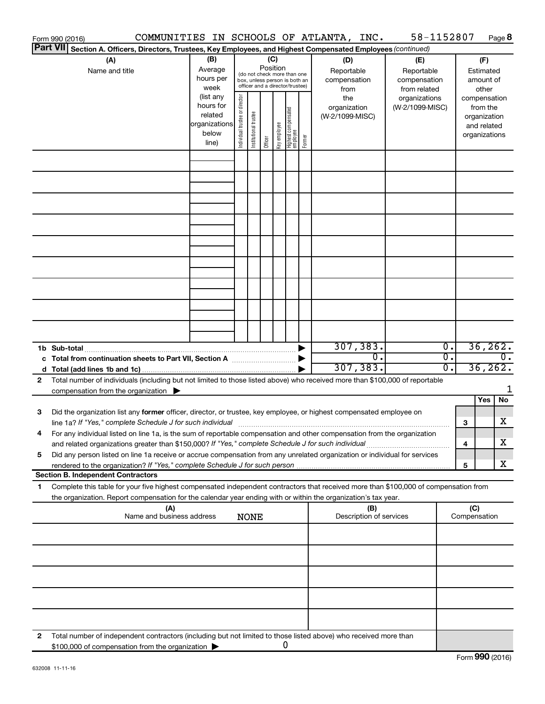|    | Form 990 (2016)                                                                                                                                                                                                                                                                                                                                        |                                                                      |                                |                       |                 |              |                                                                                                 |        | COMMUNITIES IN SCHOOLS OF ATLANTA, INC.   | 58-1152807                                        |                        |              |                                                          | Page 8           |
|----|--------------------------------------------------------------------------------------------------------------------------------------------------------------------------------------------------------------------------------------------------------------------------------------------------------------------------------------------------------|----------------------------------------------------------------------|--------------------------------|-----------------------|-----------------|--------------|-------------------------------------------------------------------------------------------------|--------|-------------------------------------------|---------------------------------------------------|------------------------|--------------|----------------------------------------------------------|------------------|
|    | Part VII Section A. Officers, Directors, Trustees, Key Employees, and Highest Compensated Employees (continued)                                                                                                                                                                                                                                        |                                                                      |                                |                       |                 |              |                                                                                                 |        |                                           |                                                   |                        |              |                                                          |                  |
|    | (A)<br>Name and title                                                                                                                                                                                                                                                                                                                                  | (B)<br>Average<br>hours per<br>week                                  |                                |                       | (C)<br>Position |              | (do not check more than one<br>box, unless person is both an<br>officer and a director/trustee) |        | (D)<br>Reportable<br>compensation<br>from | (E)<br>Reportable<br>compensation<br>from related |                        |              | (F)<br>Estimated<br>amount of<br>other                   |                  |
|    |                                                                                                                                                                                                                                                                                                                                                        | (list any<br>hours for<br>related<br>organizations<br>below<br>line) | Individual trustee or director | Institutional trustee | Officer         | Key employee | Highest compensated<br>employee                                                                 | Former | the<br>organization<br>(W-2/1099-MISC)    | organizations<br>(W-2/1099-MISC)                  |                        | compensation | from the<br>organization<br>and related<br>organizations |                  |
|    |                                                                                                                                                                                                                                                                                                                                                        |                                                                      |                                |                       |                 |              |                                                                                                 |        |                                           |                                                   |                        |              |                                                          |                  |
|    |                                                                                                                                                                                                                                                                                                                                                        |                                                                      |                                |                       |                 |              |                                                                                                 |        |                                           |                                                   |                        |              |                                                          |                  |
|    |                                                                                                                                                                                                                                                                                                                                                        |                                                                      |                                |                       |                 |              |                                                                                                 |        |                                           |                                                   |                        |              |                                                          |                  |
|    |                                                                                                                                                                                                                                                                                                                                                        |                                                                      |                                |                       |                 |              |                                                                                                 |        |                                           |                                                   |                        |              |                                                          |                  |
|    |                                                                                                                                                                                                                                                                                                                                                        |                                                                      |                                |                       |                 |              |                                                                                                 |        |                                           |                                                   |                        |              |                                                          |                  |
|    |                                                                                                                                                                                                                                                                                                                                                        |                                                                      |                                |                       |                 |              |                                                                                                 |        |                                           |                                                   |                        |              |                                                          |                  |
|    |                                                                                                                                                                                                                                                                                                                                                        |                                                                      |                                |                       |                 |              |                                                                                                 |        |                                           |                                                   |                        |              |                                                          |                  |
|    |                                                                                                                                                                                                                                                                                                                                                        |                                                                      |                                |                       |                 |              |                                                                                                 |        |                                           |                                                   |                        |              |                                                          |                  |
|    | 1b Sub-total                                                                                                                                                                                                                                                                                                                                           |                                                                      |                                |                       |                 |              |                                                                                                 |        | 307, 383.<br>$\overline{0}$ .             |                                                   | $\overline{0}$ .       |              | 36, 262.                                                 | $\overline{0}$ . |
|    |                                                                                                                                                                                                                                                                                                                                                        |                                                                      |                                |                       |                 |              |                                                                                                 |        | 307, 383.                                 |                                                   | $\overline{0}$ .<br>0. |              | 36, 262.                                                 |                  |
| 2  | Total number of individuals (including but not limited to those listed above) who received more than \$100,000 of reportable                                                                                                                                                                                                                           |                                                                      |                                |                       |                 |              |                                                                                                 |        |                                           |                                                   |                        |              |                                                          | 1                |
|    | compensation from the organization                                                                                                                                                                                                                                                                                                                     |                                                                      |                                |                       |                 |              |                                                                                                 |        |                                           |                                                   |                        |              | Yes                                                      | No               |
| 3  | Did the organization list any former officer, director, or trustee, key employee, or highest compensated employee on<br>line 1a? If "Yes," complete Schedule J for such individual manufacture content to the set of the set of the such that the set of the set of the set of the set of the set of the set of the set of the set of the set of the s |                                                                      |                                |                       |                 |              |                                                                                                 |        |                                           |                                                   |                        | 3            |                                                          | х                |
|    | For any individual listed on line 1a, is the sum of reportable compensation and other compensation from the organization<br>and related organizations greater than \$150,000? If "Yes," complete Schedule J for such individual                                                                                                                        |                                                                      |                                |                       |                 |              |                                                                                                 |        |                                           |                                                   |                        | 4            |                                                          | x                |
| 5  | Did any person listed on line 1a receive or accrue compensation from any unrelated organization or individual for services<br><b>Section B. Independent Contractors</b>                                                                                                                                                                                |                                                                      |                                |                       |                 |              |                                                                                                 |        |                                           |                                                   |                        | 5            |                                                          | x                |
| 1. | Complete this table for your five highest compensated independent contractors that received more than \$100,000 of compensation from                                                                                                                                                                                                                   |                                                                      |                                |                       |                 |              |                                                                                                 |        |                                           |                                                   |                        |              |                                                          |                  |
|    | the organization. Report compensation for the calendar year ending with or within the organization's tax year.<br>(A)                                                                                                                                                                                                                                  |                                                                      |                                |                       |                 |              |                                                                                                 |        | (B)                                       |                                                   |                        | (C)          |                                                          |                  |
|    | Name and business address                                                                                                                                                                                                                                                                                                                              |                                                                      |                                | <b>NONE</b>           |                 |              |                                                                                                 |        | Description of services                   |                                                   |                        | Compensation |                                                          |                  |
|    |                                                                                                                                                                                                                                                                                                                                                        |                                                                      |                                |                       |                 |              |                                                                                                 |        |                                           |                                                   |                        |              |                                                          |                  |
|    |                                                                                                                                                                                                                                                                                                                                                        |                                                                      |                                |                       |                 |              |                                                                                                 |        |                                           |                                                   |                        |              |                                                          |                  |
|    |                                                                                                                                                                                                                                                                                                                                                        |                                                                      |                                |                       |                 |              |                                                                                                 |        |                                           |                                                   |                        |              |                                                          |                  |
|    |                                                                                                                                                                                                                                                                                                                                                        |                                                                      |                                |                       |                 |              |                                                                                                 |        |                                           |                                                   |                        |              |                                                          |                  |
| 2  | Total number of independent contractors (including but not limited to those listed above) who received more than<br>\$100,000 of compensation from the organization                                                                                                                                                                                    |                                                                      |                                |                       |                 |              | 0                                                                                               |        |                                           |                                                   |                        |              |                                                          |                  |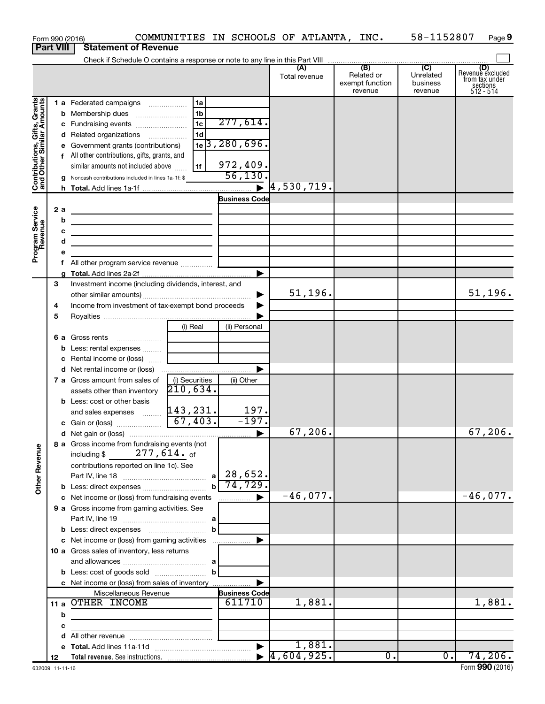|                                                           |                  | Form 990 (2016)                                                                                                       |                            |                             | COMMUNITIES IN SCHOOLS OF ATLANTA, INC. |                                          | 58-1152807                       | Page 9                                                      |
|-----------------------------------------------------------|------------------|-----------------------------------------------------------------------------------------------------------------------|----------------------------|-----------------------------|-----------------------------------------|------------------------------------------|----------------------------------|-------------------------------------------------------------|
|                                                           | <b>Part VIII</b> | <b>Statement of Revenue</b>                                                                                           |                            |                             |                                         |                                          |                                  |                                                             |
|                                                           |                  |                                                                                                                       |                            |                             |                                         |                                          |                                  |                                                             |
|                                                           |                  |                                                                                                                       |                            |                             | Total revenue                           | Related or<br>exempt function<br>revenue | Unrelated<br>business<br>revenue | Revenue excluded<br>from tax under<br>sections<br>512 - 514 |
|                                                           |                  | 1 a Federated campaigns                                                                                               | 1a                         |                             |                                         |                                          |                                  |                                                             |
|                                                           |                  |                                                                                                                       | 1b                         |                             |                                         |                                          |                                  |                                                             |
|                                                           |                  |                                                                                                                       | 1c                         | 277,614.                    |                                         |                                          |                                  |                                                             |
|                                                           |                  | d Related organizations                                                                                               | 1 <sub>d</sub>             |                             |                                         |                                          |                                  |                                                             |
|                                                           |                  | e Government grants (contributions)                                                                                   |                            | $\frac{1}{1e}$ 3, 280, 696. |                                         |                                          |                                  |                                                             |
|                                                           |                  | f All other contributions, gifts, grants, and                                                                         |                            |                             |                                         |                                          |                                  |                                                             |
| Contributions, Gifts, Grants<br>and Other Similar Amounts |                  | similar amounts not included above                                                                                    | 1f                         | 972,409.                    |                                         |                                          |                                  |                                                             |
|                                                           |                  | g Noncash contributions included in lines 1a-1f: \$                                                                   |                            | 56,130.                     |                                         |                                          |                                  |                                                             |
|                                                           |                  |                                                                                                                       |                            |                             | $\blacktriangleright$ 4,530,719.        |                                          |                                  |                                                             |
|                                                           |                  |                                                                                                                       |                            | <b>Business Code</b>        |                                         |                                          |                                  |                                                             |
|                                                           | 2a               |                                                                                                                       |                            |                             |                                         |                                          |                                  |                                                             |
|                                                           | b                | the control of the control of the control of the control of the control of                                            |                            |                             |                                         |                                          |                                  |                                                             |
|                                                           | с                | the contract of the contract of the contract of the contract of the contract of                                       |                            |                             |                                         |                                          |                                  |                                                             |
| Program Service<br>Revenue                                | d                | <u> 1980 - Johann Barbara, martin amerikan basar dan berasal dalam basar dalam basar dalam basar dalam basar dala</u> |                            |                             |                                         |                                          |                                  |                                                             |
|                                                           |                  |                                                                                                                       |                            |                             |                                         |                                          |                                  |                                                             |
|                                                           |                  |                                                                                                                       |                            |                             |                                         |                                          |                                  |                                                             |
|                                                           | 3                | Investment income (including dividends, interest, and                                                                 |                            |                             |                                         |                                          |                                  |                                                             |
|                                                           |                  |                                                                                                                       |                            | ▶                           | 51, 196.                                |                                          |                                  | 51, 196.                                                    |
|                                                           | 4                | Income from investment of tax-exempt bond proceeds                                                                    |                            |                             |                                         |                                          |                                  |                                                             |
|                                                           | 5                |                                                                                                                       |                            |                             |                                         |                                          |                                  |                                                             |
|                                                           |                  |                                                                                                                       | (i) Real                   | (ii) Personal               |                                         |                                          |                                  |                                                             |
|                                                           |                  | <b>6 a</b> Gross rents                                                                                                |                            |                             |                                         |                                          |                                  |                                                             |
|                                                           |                  | <b>b</b> Less: rental expenses                                                                                        |                            |                             |                                         |                                          |                                  |                                                             |
|                                                           |                  | <b>c</b> Rental income or (loss)                                                                                      |                            |                             |                                         |                                          |                                  |                                                             |
|                                                           |                  |                                                                                                                       |                            |                             |                                         |                                          |                                  |                                                             |
|                                                           |                  | 7 a Gross amount from sales of                                                                                        | (i) Securities<br>210,634. | (ii) Other                  |                                         |                                          |                                  |                                                             |
|                                                           |                  | assets other than inventory<br><b>b</b> Less: cost or other basis                                                     |                            |                             |                                         |                                          |                                  |                                                             |
|                                                           |                  | and sales expenses                                                                                                    | 143, 231.                  | 197.                        |                                         |                                          |                                  |                                                             |
|                                                           |                  |                                                                                                                       |                            | $-197.$                     |                                         |                                          |                                  |                                                             |
|                                                           |                  |                                                                                                                       |                            |                             | 67,206.                                 |                                          |                                  | 67, 206.                                                    |
|                                                           |                  | 8 a Gross income from fundraising events (not                                                                         |                            |                             |                                         |                                          |                                  |                                                             |
| <b>Other Revenue</b>                                      |                  | including \$ $277,614$ of                                                                                             |                            |                             |                                         |                                          |                                  |                                                             |
|                                                           |                  | contributions reported on line 1c). See                                                                               |                            |                             |                                         |                                          |                                  |                                                             |
|                                                           |                  |                                                                                                                       |                            |                             |                                         |                                          |                                  |                                                             |
|                                                           |                  | <b>b</b> Less: direct expenses <i></i>                                                                                |                            | $b \overline{74, 729}$ .    |                                         |                                          |                                  |                                                             |
|                                                           |                  | c Net income or (loss) from fundraising events                                                                        |                            |                             | $-46,077.$                              |                                          |                                  | $-46,077.$                                                  |
|                                                           |                  | 9 a Gross income from gaming activities. See                                                                          |                            |                             |                                         |                                          |                                  |                                                             |
|                                                           |                  |                                                                                                                       |                            |                             |                                         |                                          |                                  |                                                             |
|                                                           |                  | <b>b</b> Less: direct expenses <b>container the less</b> : direct expenses                                            |                            |                             |                                         |                                          |                                  |                                                             |
|                                                           |                  | c Net income or (loss) from gaming activities<br><b>10 a</b> Gross sales of inventory, less returns                   |                            | ▶                           |                                         |                                          |                                  |                                                             |
|                                                           |                  |                                                                                                                       |                            |                             |                                         |                                          |                                  |                                                             |
|                                                           |                  |                                                                                                                       | $\mathbf{b}$               |                             |                                         |                                          |                                  |                                                             |
|                                                           |                  | c Net income or (loss) from sales of inventory                                                                        |                            |                             |                                         |                                          |                                  |                                                             |
|                                                           |                  | Miscellaneous Revenue                                                                                                 |                            | <b>Business Code</b>        |                                         |                                          |                                  |                                                             |
|                                                           |                  | 11 a OTHER INCOME                                                                                                     |                            | 611710                      | 1,881.                                  |                                          |                                  | 1,881.                                                      |
|                                                           | b                | <u> 1989 - Johann Barn, mars eta inperiodo</u>                                                                        |                            |                             |                                         |                                          |                                  |                                                             |
|                                                           | с                |                                                                                                                       |                            |                             |                                         |                                          |                                  |                                                             |
|                                                           | d                |                                                                                                                       |                            |                             |                                         |                                          |                                  |                                                             |
|                                                           |                  |                                                                                                                       |                            |                             | 1,881.                                  |                                          |                                  |                                                             |
|                                                           | 12               |                                                                                                                       |                            |                             |                                         | $\overline{0}$ .                         | $\overline{0}$ .                 | 74,206.                                                     |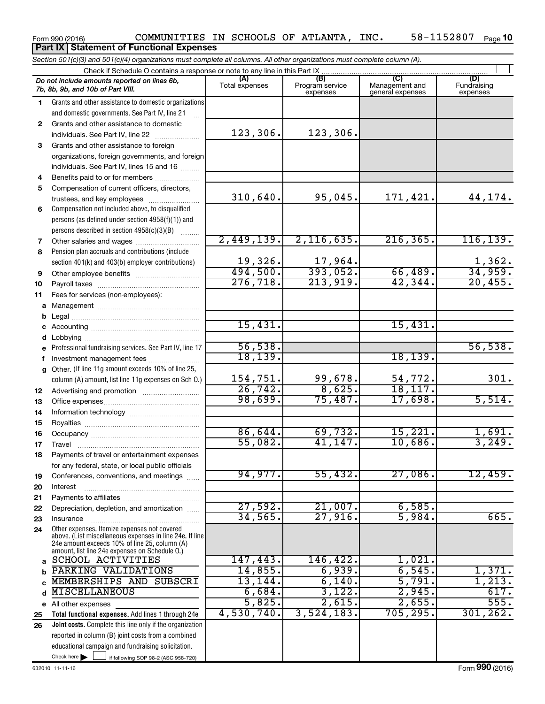#### Form 990 (2016)  $\,$  COMMUNITIES IN SCHOOLS OF ATLANTA, INC.  $\,$  58-1152807  $\,$  Page 58-1152807 Page 10 **Part IX Statement of Functional Expenses**

*Section 501(c)(3) and 501(c)(4) organizations must complete all columns. All other organizations must complete column (A).*

|              | Check if Schedule O contains a response or note to any line in this Part IX                              |                       |                                    |                                    |                                |
|--------------|----------------------------------------------------------------------------------------------------------|-----------------------|------------------------------------|------------------------------------|--------------------------------|
|              | Do not include amounts reported on lines 6b,<br>7b, 8b, 9b, and 10b of Part VIII.                        | (A)<br>Total expenses | (B)<br>Program service<br>expenses | Management and<br>general expenses | (D)<br>Fundraising<br>expenses |
| 1.           | Grants and other assistance to domestic organizations                                                    |                       |                                    |                                    |                                |
|              | and domestic governments. See Part IV, line 21                                                           |                       |                                    |                                    |                                |
| $\mathbf{2}$ | Grants and other assistance to domestic                                                                  |                       |                                    |                                    |                                |
|              | individuals. See Part IV, line 22                                                                        | 123,306.              | 123,306.                           |                                    |                                |
| 3            | Grants and other assistance to foreign                                                                   |                       |                                    |                                    |                                |
|              | organizations, foreign governments, and foreign                                                          |                       |                                    |                                    |                                |
|              | individuals. See Part IV, lines 15 and 16                                                                |                       |                                    |                                    |                                |
| 4            | Benefits paid to or for members                                                                          |                       |                                    |                                    |                                |
| 5            | Compensation of current officers, directors,                                                             |                       |                                    |                                    |                                |
|              | trustees, and key employees                                                                              | 310,640.              | 95,045.                            | 171,421.                           | 44,174.                        |
| 6            | Compensation not included above, to disqualified                                                         |                       |                                    |                                    |                                |
|              | persons (as defined under section 4958(f)(1)) and                                                        |                       |                                    |                                    |                                |
|              | persons described in section 4958(c)(3)(B)                                                               |                       |                                    |                                    |                                |
| 7            |                                                                                                          | 2,449,139.            | 2,116,635.                         | 216, 365.                          | 116, 139.                      |
| 8            | Pension plan accruals and contributions (include                                                         |                       |                                    |                                    |                                |
|              | section 401(k) and 403(b) employer contributions)                                                        | 19,326.               | 17,964.                            |                                    | $\frac{1,362}{34,959}$         |
| 9            |                                                                                                          | 494,500.              | 393,052.                           | 66,489.                            |                                |
| 10           |                                                                                                          | 276, 718.             | 213,919.                           | 42, 344.                           | 20,455.                        |
| 11           | Fees for services (non-employees):                                                                       |                       |                                    |                                    |                                |
| a            |                                                                                                          |                       |                                    |                                    |                                |
| b            |                                                                                                          | 15,431.               |                                    |                                    |                                |
|              |                                                                                                          |                       |                                    | 15,431.                            |                                |
| d            | Lobbying                                                                                                 | 56,538.               |                                    |                                    | 56,538.                        |
|              | Professional fundraising services. See Part IV, line 17                                                  | 18, 139.              |                                    | 18, 139.                           |                                |
| f            | Investment management fees                                                                               |                       |                                    |                                    |                                |
| q            | Other. (If line 11g amount exceeds 10% of line 25,                                                       | 154,751.              | 99,678.                            | 54,772.                            | 301.                           |
|              | column (A) amount, list line 11g expenses on Sch O.)                                                     | 26, 742.              | 8,625.                             | 18,117                             |                                |
| 12<br>13     |                                                                                                          | 98,699.               | 75,487.                            | 17,698.                            | 5,514.                         |
| 14           |                                                                                                          |                       |                                    |                                    |                                |
| 15           |                                                                                                          |                       |                                    |                                    |                                |
| 16           |                                                                                                          | 86,644.               | 69,732.                            | 15,221                             | 1,691.                         |
| 17           | Travel                                                                                                   | 55,082.               | 41, 147.                           | 10,686.                            | 3,249.                         |
| 18           | Payments of travel or entertainment expenses                                                             |                       |                                    |                                    |                                |
|              | for any federal, state, or local public officials                                                        |                       |                                    |                                    |                                |
| 19           | Conferences, conventions, and meetings                                                                   | 94,977.               | 55,432.                            | 27,086.                            | 12,459.                        |
| 20           | Interest                                                                                                 |                       |                                    |                                    |                                |
| 21           |                                                                                                          |                       |                                    |                                    |                                |
| 22           | Depreciation, depletion, and amortization                                                                | 27,592.               | 21,007.                            | 6,585.                             |                                |
| 23           | Insurance                                                                                                | 34,565                | 27,916.                            | 5,984                              | 665.                           |
| 24           | Other expenses. Itemize expenses not covered<br>above. (List miscellaneous expenses in line 24e. If line |                       |                                    |                                    |                                |
|              | 24e amount exceeds 10% of line 25, column (A)                                                            |                       |                                    |                                    |                                |
| a            | amount, list line 24e expenses on Schedule O.)<br>SCHOOL ACTIVITIES                                      | 147,443.              | 146,422.                           | 1,021.                             |                                |
| b            | PARKING VALIDATIONS                                                                                      | 14,855.               | 6,939.                             | 6,545.                             | 1,371.                         |
| C            | MEMBERSHIPS AND<br><b>SUBSCRI</b>                                                                        | 13,144.               | 6,140.                             | 5,791.                             | 1,213.                         |
| d            | <b>MISCELLANEOUS</b>                                                                                     | 6,684.                | 3,122.                             | 2,945.                             | 617.                           |
|              | e All other expenses                                                                                     | 5,825.                | 2,615.                             | 2,655.                             | 555.                           |
| 25           | Total functional expenses. Add lines 1 through 24e                                                       | 4,530,740.            | 3,524,183.                         | 705,295.                           | 301, 262.                      |
| 26           | Joint costs. Complete this line only if the organization                                                 |                       |                                    |                                    |                                |
|              | reported in column (B) joint costs from a combined                                                       |                       |                                    |                                    |                                |
|              | educational campaign and fundraising solicitation.                                                       |                       |                                    |                                    |                                |
|              | Check here<br>if following SOP 98-2 (ASC 958-720)                                                        |                       |                                    |                                    |                                |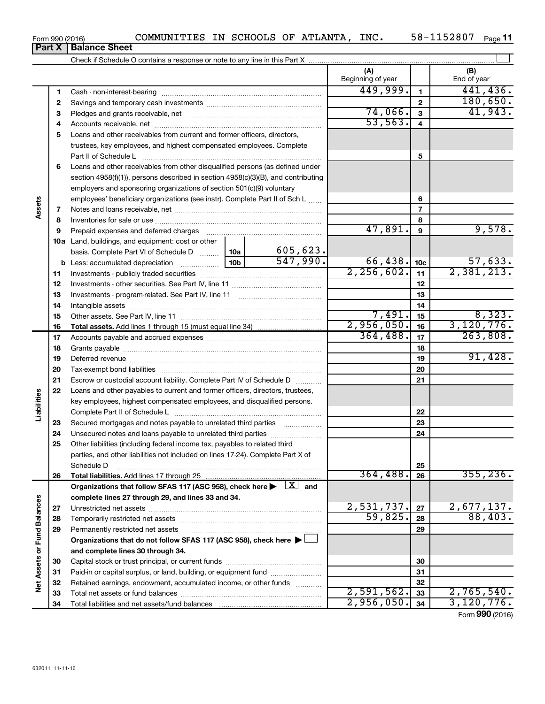| Form 990 (2016) |                               | COMMUNITIES IN SCHOOLS OF ATLANTA, |  |  | INC. | 58-1152807 | Page |
|-----------------|-------------------------------|------------------------------------|--|--|------|------------|------|
|                 | <b>Part X   Balance Sheet</b> |                                    |  |  |      |            |      |

|                             |    |                                                                                                                              |                 |          | (A)<br>Beginning of year |                 | (B)<br>End of year         |
|-----------------------------|----|------------------------------------------------------------------------------------------------------------------------------|-----------------|----------|--------------------------|-----------------|----------------------------|
|                             | 1  |                                                                                                                              |                 |          | 449,999.                 | $\mathbf{1}$    | 441, 436.                  |
|                             | 2  |                                                                                                                              |                 |          |                          | $\mathbf{2}$    | 180,650.                   |
|                             | з  |                                                                                                                              |                 |          | 74,066.                  | $\mathbf{3}$    | 41,943.                    |
|                             | 4  |                                                                                                                              |                 |          | 53, 563.                 | 4               |                            |
|                             | 5  | Loans and other receivables from current and former officers, directors,                                                     |                 |          |                          |                 |                            |
|                             |    | trustees, key employees, and highest compensated employees. Complete                                                         |                 |          |                          |                 |                            |
|                             |    | Part II of Schedule Latin million and Contract in the Schedule Latin million and the Marian million and Den La               |                 |          |                          | 5               |                            |
|                             | 6  | Loans and other receivables from other disqualified persons (as defined under                                                |                 |          |                          |                 |                            |
|                             |    | section 4958(f)(1)), persons described in section 4958(c)(3)(B), and contributing                                            |                 |          |                          |                 |                            |
|                             |    | employers and sponsoring organizations of section 501(c)(9) voluntary                                                        |                 |          |                          |                 |                            |
|                             |    | employees' beneficiary organizations (see instr). Complete Part II of Sch L                                                  |                 |          |                          | 6               |                            |
| Assets                      | 7  |                                                                                                                              |                 |          |                          | $\overline{7}$  |                            |
|                             | 8  |                                                                                                                              |                 |          |                          | 8               |                            |
|                             | 9  | Prepaid expenses and deferred charges                                                                                        |                 |          | 47,891.                  | 9               | 9,578.                     |
|                             |    | <b>10a</b> Land, buildings, and equipment: cost or other                                                                     |                 |          |                          |                 |                            |
|                             |    | basis. Complete Part VI of Schedule D  [10a]                                                                                 |                 | 605,623. |                          |                 |                            |
|                             |    | <b>b</b> Less: accumulated depreciation                                                                                      | 10 <sub>b</sub> | 547,990. | 66,438.                  | 10 <sub>c</sub> | $\frac{57,633}{2,381,213}$ |
|                             | 11 |                                                                                                                              |                 |          | 2, 256, 602.             | 11              |                            |
|                             | 12 |                                                                                                                              |                 |          |                          | 12              |                            |
|                             | 13 |                                                                                                                              |                 |          |                          | 13              |                            |
|                             | 14 |                                                                                                                              |                 |          |                          | 14              |                            |
|                             | 15 |                                                                                                                              |                 |          | 7,491.                   | 15              | 8,323.                     |
|                             | 16 |                                                                                                                              |                 |          | 2,956,050.               | 16              | 3,120,776.                 |
|                             | 17 |                                                                                                                              |                 |          | 364,488.                 | 17              | 263,808.                   |
|                             | 18 |                                                                                                                              |                 |          |                          | 18              |                            |
|                             | 19 |                                                                                                                              |                 |          |                          | 19              | 91,428.                    |
|                             | 20 |                                                                                                                              |                 |          |                          | 20              |                            |
|                             | 21 | Escrow or custodial account liability. Complete Part IV of Schedule D                                                        |                 |          |                          | 21              |                            |
|                             | 22 | Loans and other payables to current and former officers, directors, trustees,                                                |                 |          |                          |                 |                            |
| Liabilities                 |    | key employees, highest compensated employees, and disqualified persons.                                                      |                 |          |                          |                 |                            |
|                             |    |                                                                                                                              |                 |          |                          | 22              |                            |
|                             | 23 | Secured mortgages and notes payable to unrelated third parties                                                               |                 |          |                          | 23              |                            |
|                             | 24 | Unsecured notes and loans payable to unrelated third parties                                                                 |                 |          |                          | 24              |                            |
|                             | 25 | Other liabilities (including federal income tax, payables to related third                                                   |                 |          |                          |                 |                            |
|                             |    | parties, and other liabilities not included on lines 17-24). Complete Part X of                                              |                 |          |                          | 25              |                            |
|                             | 26 | Schedule D                                                                                                                   |                 |          | 364,488.                 | 26              | 355, 236.                  |
|                             |    | Organizations that follow SFAS 117 (ASC 958), check here $\blacktriangleright \begin{array}{c} \boxed{X} \\ \end{array}$ and |                 |          |                          |                 |                            |
|                             |    | complete lines 27 through 29, and lines 33 and 34.                                                                           |                 |          |                          |                 |                            |
|                             | 27 |                                                                                                                              |                 |          | 2,531,737.               | 27              | 2,677,137.                 |
|                             | 28 |                                                                                                                              |                 |          | 59,825.                  | 28              | 88,403.                    |
|                             | 29 | Permanently restricted net assets                                                                                            |                 |          |                          | 29              |                            |
|                             |    | Organizations that do not follow SFAS 117 (ASC 958), check here ▶                                                            |                 |          |                          |                 |                            |
|                             |    | and complete lines 30 through 34.                                                                                            |                 |          |                          |                 |                            |
|                             | 30 |                                                                                                                              |                 |          |                          | 30              |                            |
|                             | 31 | Paid-in or capital surplus, or land, building, or equipment fund                                                             |                 |          |                          | 31              |                            |
| Net Assets or Fund Balances | 32 | Retained earnings, endowment, accumulated income, or other funds                                                             |                 |          |                          | 32              |                            |
|                             | 33 |                                                                                                                              |                 |          | 2,591,562.               | 33              | 2,765,540.                 |
|                             | 34 |                                                                                                                              |                 |          | 2,956,050.               | 34              | 3,120,7<br>76.             |
|                             |    |                                                                                                                              |                 |          |                          |                 |                            |

Form (2016) **990**

 $\overline{+}$ 

| Form 990 (201 |  |
|---------------|--|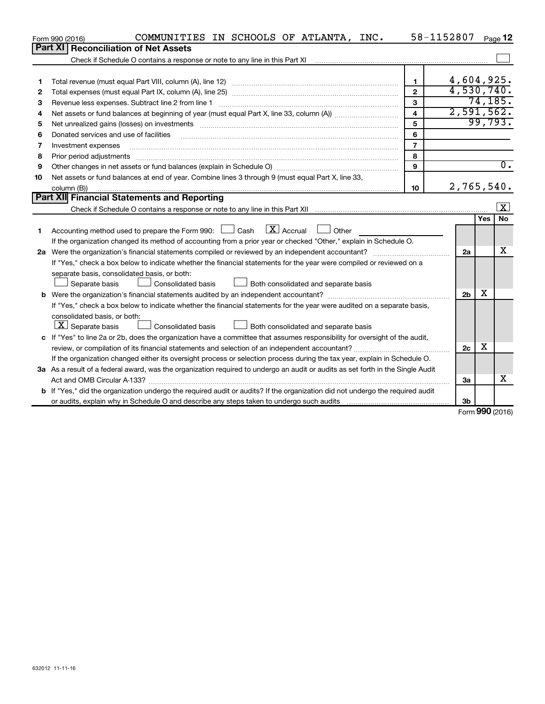|    | COMMUNITIES IN SCHOOLS OF ATLANTA, INC.<br>Form 990 (2016)                                                                      |                         | 58-1152807     |     | Page 12                 |
|----|---------------------------------------------------------------------------------------------------------------------------------|-------------------------|----------------|-----|-------------------------|
|    | <b>Part XI</b><br><b>Reconciliation of Net Assets</b>                                                                           |                         |                |     |                         |
|    | Check if Schedule O contains a response or note to any line in this Part XI                                                     |                         |                |     |                         |
|    |                                                                                                                                 |                         |                |     |                         |
| 1  |                                                                                                                                 | $\mathbf{1}$            | 4,604,925.     |     |                         |
| 2  |                                                                                                                                 | $\mathbf{2}$            | 4,530,740.     |     |                         |
| з  | Revenue less expenses. Subtract line 2 from line 1                                                                              | 3                       |                |     | 74, 185.                |
| 4  |                                                                                                                                 | $\overline{\mathbf{4}}$ | 2,591,562.     |     |                         |
| 5  |                                                                                                                                 | 5                       |                |     | 99,793.                 |
| 6  | Donated services and use of facilities                                                                                          | 6                       |                |     |                         |
| 7  | Investment expenses                                                                                                             | $\overline{7}$          |                |     |                         |
| 8  | Prior period adjustments                                                                                                        | 8                       |                |     |                         |
| 9  |                                                                                                                                 | 9                       |                |     | $\overline{0}$ .        |
| 10 | Net assets or fund balances at end of year. Combine lines 3 through 9 (must equal Part X, line 33,                              |                         |                |     |                         |
|    | column (B))                                                                                                                     | 10                      | 2,765,540.     |     |                         |
|    | Part XII Financial Statements and Reporting                                                                                     |                         |                |     |                         |
|    |                                                                                                                                 |                         |                |     | $\overline{\mathbf{x}}$ |
|    |                                                                                                                                 |                         |                | Yes | No                      |
| 1. | $\boxed{\mathbf{X}}$ Accrual<br>Accounting method used to prepare the Form 990: [130] Cash<br>Other                             |                         |                |     |                         |
|    | If the organization changed its method of accounting from a prior year or checked "Other," explain in Schedule O.               |                         |                |     |                         |
|    | 2a Were the organization's financial statements compiled or reviewed by an independent accountant?                              |                         | 2a             |     | x                       |
|    | If "Yes," check a box below to indicate whether the financial statements for the year were compiled or reviewed on a            |                         |                |     |                         |
|    | separate basis, consolidated basis, or both:                                                                                    |                         |                |     |                         |
|    | Consolidated basis<br>Separate basis<br>Both consolidated and separate basis                                                    |                         |                |     |                         |
|    | <b>b</b> Were the organization's financial statements audited by an independent accountant?                                     |                         | 2 <sub>b</sub> | X   |                         |
|    | If "Yes," check a box below to indicate whether the financial statements for the year were audited on a separate basis,         |                         |                |     |                         |
|    | consolidated basis, or both:                                                                                                    |                         |                |     |                         |
|    | $ \mathbf{X} $ Separate basis<br>Consolidated basis<br>Both consolidated and separate basis                                     |                         |                |     |                         |
|    | c If "Yes" to line 2a or 2b, does the organization have a committee that assumes responsibility for oversight of the audit,     |                         |                |     |                         |
|    | review, or compilation of its financial statements and selection of an independent accountant?                                  |                         | 2c             | x   |                         |
|    | If the organization changed either its oversight process or selection process during the tax year, explain in Schedule O.       |                         |                |     |                         |
|    | 3a As a result of a federal award, was the organization required to undergo an audit or audits as set forth in the Single Audit |                         |                |     |                         |
|    |                                                                                                                                 |                         | За             |     | x                       |
|    | b If "Yes," did the organization undergo the required audit or audits? If the organization did not undergo the required audit   |                         |                |     |                         |
|    | or audits, explain why in Schedule O and describe any steps taken to undergo such audits matures and the matur                  |                         | 3b             |     |                         |

Form (2016) **990**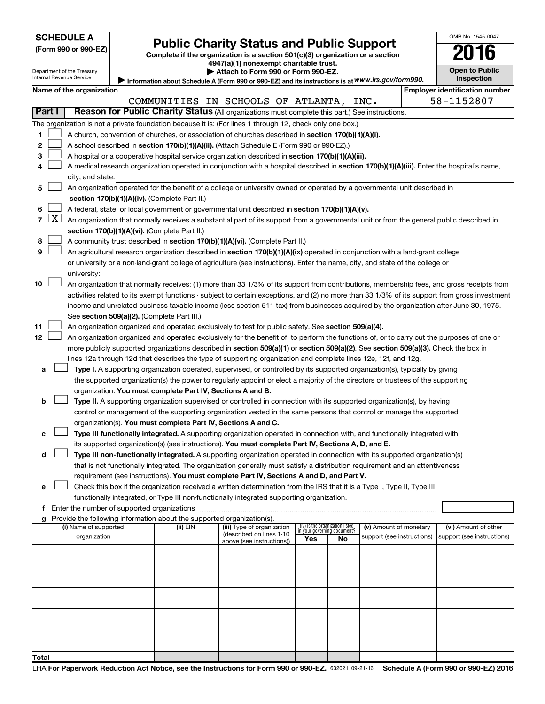Department of the Treasury<br>Internal Revenue Service numo.<br>ol Pe

| (Form 990 or 990-EZ |  |  |  |  |
|---------------------|--|--|--|--|
|---------------------|--|--|--|--|

# Form 990 or 990-EZ)<br>
Complete if the organization is a section 501(c)(3) organization or a section<br> **2016**

**4947(a)(1) nonexempt charitable trust.**

Information about Schedule A (Form 990 or 990-EZ) and its instructions is at WWW.irs.gov/form990. **| Attach to Form 990 or Form 990-EZ.** 

| 0 1 E                               |
|-------------------------------------|
| <b>Open to Public</b><br>Inspection |

OMB No. 1545-0047

|        | Name of the organization                                                                                                                                                                                                                                                         |          |                                                        |                                                                |    |                            | <b>Employer identification number</b> |
|--------|----------------------------------------------------------------------------------------------------------------------------------------------------------------------------------------------------------------------------------------------------------------------------------|----------|--------------------------------------------------------|----------------------------------------------------------------|----|----------------------------|---------------------------------------|
|        |                                                                                                                                                                                                                                                                                  |          | COMMUNITIES IN SCHOOLS OF ATLANTA, INC.                |                                                                |    |                            | 58-1152807                            |
| Part I | Reason for Public Charity Status (All organizations must complete this part.) See instructions.                                                                                                                                                                                  |          |                                                        |                                                                |    |                            |                                       |
|        | The organization is not a private foundation because it is: (For lines 1 through 12, check only one box.)                                                                                                                                                                        |          |                                                        |                                                                |    |                            |                                       |
| 1      | A church, convention of churches, or association of churches described in section 170(b)(1)(A)(i).                                                                                                                                                                               |          |                                                        |                                                                |    |                            |                                       |
| 2      | A school described in section 170(b)(1)(A)(ii). (Attach Schedule E (Form 990 or 990-EZ).)                                                                                                                                                                                        |          |                                                        |                                                                |    |                            |                                       |
| 3.     | A hospital or a cooperative hospital service organization described in section 170(b)(1)(A)(iii).                                                                                                                                                                                |          |                                                        |                                                                |    |                            |                                       |
| 4      | A medical research organization operated in conjunction with a hospital described in section 170(b)(1)(A)(iii). Enter the hospital's name,                                                                                                                                       |          |                                                        |                                                                |    |                            |                                       |
|        | city, and state:                                                                                                                                                                                                                                                                 |          |                                                        |                                                                |    |                            |                                       |
| 5.     | An organization operated for the benefit of a college or university owned or operated by a governmental unit described in                                                                                                                                                        |          |                                                        |                                                                |    |                            |                                       |
|        | section 170(b)(1)(A)(iv). (Complete Part II.)                                                                                                                                                                                                                                    |          |                                                        |                                                                |    |                            |                                       |
| 6.     | A federal, state, or local government or governmental unit described in section 170(b)(1)(A)(v).                                                                                                                                                                                 |          |                                                        |                                                                |    |                            |                                       |
|        | 7 $ X $ An organization that normally receives a substantial part of its support from a governmental unit or from the general public described in                                                                                                                                |          |                                                        |                                                                |    |                            |                                       |
|        | section 170(b)(1)(A)(vi). (Complete Part II.)                                                                                                                                                                                                                                    |          |                                                        |                                                                |    |                            |                                       |
| 8      | A community trust described in section 170(b)(1)(A)(vi). (Complete Part II.)                                                                                                                                                                                                     |          |                                                        |                                                                |    |                            |                                       |
| 9      | An agricultural research organization described in section 170(b)(1)(A)(ix) operated in conjunction with a land-grant college                                                                                                                                                    |          |                                                        |                                                                |    |                            |                                       |
|        | or university or a non-land-grant college of agriculture (see instructions). Enter the name, city, and state of the college or                                                                                                                                                   |          |                                                        |                                                                |    |                            |                                       |
|        | university:                                                                                                                                                                                                                                                                      |          |                                                        |                                                                |    |                            |                                       |
| 10     | An organization that normally receives: (1) more than 33 1/3% of its support from contributions, membership fees, and gross receipts from                                                                                                                                        |          |                                                        |                                                                |    |                            |                                       |
|        | activities related to its exempt functions - subject to certain exceptions, and (2) no more than 33 1/3% of its support from gross investment                                                                                                                                    |          |                                                        |                                                                |    |                            |                                       |
|        | income and unrelated business taxable income (less section 511 tax) from businesses acquired by the organization after June 30, 1975.                                                                                                                                            |          |                                                        |                                                                |    |                            |                                       |
|        | See section 509(a)(2). (Complete Part III.)                                                                                                                                                                                                                                      |          |                                                        |                                                                |    |                            |                                       |
| 11     | An organization organized and operated exclusively to test for public safety. See section 509(a)(4).                                                                                                                                                                             |          |                                                        |                                                                |    |                            |                                       |
| 12     | An organization organized and operated exclusively for the benefit of, to perform the functions of, or to carry out the purposes of one or<br>more publicly supported organizations described in section 509(a)(1) or section 509(a)(2). See section 509(a)(3). Check the box in |          |                                                        |                                                                |    |                            |                                       |
|        | lines 12a through 12d that describes the type of supporting organization and complete lines 12e, 12f, and 12g.                                                                                                                                                                   |          |                                                        |                                                                |    |                            |                                       |
| а      | Type I. A supporting organization operated, supervised, or controlled by its supported organization(s), typically by giving                                                                                                                                                      |          |                                                        |                                                                |    |                            |                                       |
|        | the supported organization(s) the power to regularly appoint or elect a majority of the directors or trustees of the supporting                                                                                                                                                  |          |                                                        |                                                                |    |                            |                                       |
|        | organization. You must complete Part IV, Sections A and B.                                                                                                                                                                                                                       |          |                                                        |                                                                |    |                            |                                       |
| b      | Type II. A supporting organization supervised or controlled in connection with its supported organization(s), by having                                                                                                                                                          |          |                                                        |                                                                |    |                            |                                       |
|        | control or management of the supporting organization vested in the same persons that control or manage the supported                                                                                                                                                             |          |                                                        |                                                                |    |                            |                                       |
|        | organization(s). You must complete Part IV, Sections A and C.                                                                                                                                                                                                                    |          |                                                        |                                                                |    |                            |                                       |
| с      | Type III functionally integrated. A supporting organization operated in connection with, and functionally integrated with,                                                                                                                                                       |          |                                                        |                                                                |    |                            |                                       |
|        | its supported organization(s) (see instructions). You must complete Part IV, Sections A, D, and E.                                                                                                                                                                               |          |                                                        |                                                                |    |                            |                                       |
| d      | Type III non-functionally integrated. A supporting organization operated in connection with its supported organization(s)                                                                                                                                                        |          |                                                        |                                                                |    |                            |                                       |
|        | that is not functionally integrated. The organization generally must satisfy a distribution requirement and an attentiveness                                                                                                                                                     |          |                                                        |                                                                |    |                            |                                       |
|        | requirement (see instructions). You must complete Part IV, Sections A and D, and Part V.                                                                                                                                                                                         |          |                                                        |                                                                |    |                            |                                       |
|        | Check this box if the organization received a written determination from the IRS that it is a Type I, Type II, Type III                                                                                                                                                          |          |                                                        |                                                                |    |                            |                                       |
|        | functionally integrated, or Type III non-functionally integrated supporting organization.                                                                                                                                                                                        |          |                                                        |                                                                |    |                            |                                       |
|        | f Enter the number of supported organizations                                                                                                                                                                                                                                    |          |                                                        |                                                                |    |                            |                                       |
|        | g Provide the following information about the supported organization(s).                                                                                                                                                                                                         |          |                                                        |                                                                |    |                            |                                       |
|        | (i) Name of supported                                                                                                                                                                                                                                                            | (ii) EIN | (iii) Type of organization<br>(described on lines 1-10 | (iv) Is the organization listed<br>in your governing document? |    | (v) Amount of monetary     | (vi) Amount of other                  |
|        | organization                                                                                                                                                                                                                                                                     |          | above (see instructions))                              | Yes                                                            | No | support (see instructions) | support (see instructions)            |
|        |                                                                                                                                                                                                                                                                                  |          |                                                        |                                                                |    |                            |                                       |
|        |                                                                                                                                                                                                                                                                                  |          |                                                        |                                                                |    |                            |                                       |
|        |                                                                                                                                                                                                                                                                                  |          |                                                        |                                                                |    |                            |                                       |
|        |                                                                                                                                                                                                                                                                                  |          |                                                        |                                                                |    |                            |                                       |
|        |                                                                                                                                                                                                                                                                                  |          |                                                        |                                                                |    |                            |                                       |
|        |                                                                                                                                                                                                                                                                                  |          |                                                        |                                                                |    |                            |                                       |
|        |                                                                                                                                                                                                                                                                                  |          |                                                        |                                                                |    |                            |                                       |
|        |                                                                                                                                                                                                                                                                                  |          |                                                        |                                                                |    |                            |                                       |
|        |                                                                                                                                                                                                                                                                                  |          |                                                        |                                                                |    |                            |                                       |
| Total  |                                                                                                                                                                                                                                                                                  |          |                                                        |                                                                |    |                            |                                       |
|        |                                                                                                                                                                                                                                                                                  |          |                                                        |                                                                |    |                            |                                       |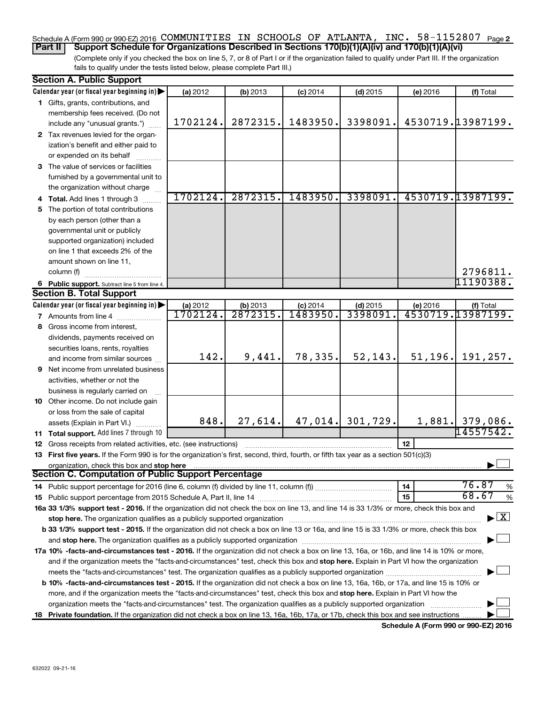### Schedule A (Form 990 or 990-EZ) 2016 COMMUNITIES IN SCHOOLS OF ATLANTA, INC. 58-1152807 <sub>Page 2</sub> **Part II Support Schedule for Organizations Described in Sections 170(b)(1)(A)(iv) and 170(b)(1)(A)(vi)**

(Complete only if you checked the box on line 5, 7, or 8 of Part I or if the organization failed to qualify under Part III. If the organization fails to qualify under the tests listed below, please complete Part III.)

| <b>Section A. Public Support</b>                                                                                                                                                                                               |                      |                     |                       |                       |          |                                    |
|--------------------------------------------------------------------------------------------------------------------------------------------------------------------------------------------------------------------------------|----------------------|---------------------|-----------------------|-----------------------|----------|------------------------------------|
| Calendar year (or fiscal year beginning in)                                                                                                                                                                                    | (a) 2012             | (b) 2013            | $(c)$ 2014            | $(d)$ 2015            | (e) 2016 | (f) Total                          |
| 1 Gifts, grants, contributions, and                                                                                                                                                                                            |                      |                     |                       |                       |          |                                    |
| membership fees received. (Do not                                                                                                                                                                                              |                      |                     |                       |                       |          |                                    |
| include any "unusual grants.")                                                                                                                                                                                                 | 1702124.             | 2872315.            | 1483950.              | 3398091.              |          | 4530719.13987199.                  |
| 2 Tax revenues levied for the organ-                                                                                                                                                                                           |                      |                     |                       |                       |          |                                    |
| ization's benefit and either paid to                                                                                                                                                                                           |                      |                     |                       |                       |          |                                    |
| or expended on its behalf                                                                                                                                                                                                      |                      |                     |                       |                       |          |                                    |
| 3 The value of services or facilities                                                                                                                                                                                          |                      |                     |                       |                       |          |                                    |
| furnished by a governmental unit to                                                                                                                                                                                            |                      |                     |                       |                       |          |                                    |
| the organization without charge                                                                                                                                                                                                |                      |                     |                       |                       |          |                                    |
| 4 Total. Add lines 1 through 3                                                                                                                                                                                                 | 1702124.             | 2872315.            | 1483950.              | 3398091.              |          | 4530719.13987199.                  |
| 5 The portion of total contributions                                                                                                                                                                                           |                      |                     |                       |                       |          |                                    |
| by each person (other than a                                                                                                                                                                                                   |                      |                     |                       |                       |          |                                    |
| governmental unit or publicly                                                                                                                                                                                                  |                      |                     |                       |                       |          |                                    |
| supported organization) included                                                                                                                                                                                               |                      |                     |                       |                       |          |                                    |
| on line 1 that exceeds 2% of the                                                                                                                                                                                               |                      |                     |                       |                       |          |                                    |
| amount shown on line 11,                                                                                                                                                                                                       |                      |                     |                       |                       |          |                                    |
| column (f)                                                                                                                                                                                                                     |                      |                     |                       |                       |          | 2796811.                           |
|                                                                                                                                                                                                                                |                      |                     |                       |                       |          | 11190388.                          |
| 6 Public support. Subtract line 5 from line 4.<br><b>Section B. Total Support</b>                                                                                                                                              |                      |                     |                       |                       |          |                                    |
|                                                                                                                                                                                                                                |                      |                     |                       |                       |          |                                    |
| Calendar year (or fiscal year beginning in)                                                                                                                                                                                    | (a) 2012<br>1702124. | (b) 2013<br>2872315 | $(c)$ 2014<br>1483950 | $(d)$ 2015<br>3398091 | (e) 2016 | (f) Total<br>4530719.13987199.     |
| <b>7</b> Amounts from line 4                                                                                                                                                                                                   |                      |                     |                       |                       |          |                                    |
| 8 Gross income from interest,                                                                                                                                                                                                  |                      |                     |                       |                       |          |                                    |
| dividends, payments received on                                                                                                                                                                                                |                      |                     |                       |                       |          |                                    |
| securities loans, rents, royalties                                                                                                                                                                                             |                      |                     |                       |                       |          |                                    |
| and income from similar sources                                                                                                                                                                                                | 142.                 | 9,441.              | 78,335.               | 52,143.               | 51, 196. | 191, 257.                          |
| <b>9</b> Net income from unrelated business                                                                                                                                                                                    |                      |                     |                       |                       |          |                                    |
| activities, whether or not the                                                                                                                                                                                                 |                      |                     |                       |                       |          |                                    |
| business is regularly carried on                                                                                                                                                                                               |                      |                     |                       |                       |          |                                    |
| 10 Other income. Do not include gain                                                                                                                                                                                           |                      |                     |                       |                       |          |                                    |
| or loss from the sale of capital                                                                                                                                                                                               |                      |                     |                       |                       |          |                                    |
| assets (Explain in Part VI.)                                                                                                                                                                                                   | 848.                 | 27,614.             |                       | $47,014.$ 301,729.    | 1,881.   | 379,086.                           |
| 11 Total support. Add lines 7 through 10                                                                                                                                                                                       |                      |                     |                       |                       |          | 14557542.                          |
| <b>12</b> Gross receipts from related activities, etc. (see instructions)                                                                                                                                                      |                      |                     |                       |                       | 12       |                                    |
| 13 First five years. If the Form 990 is for the organization's first, second, third, fourth, or fifth tax year as a section 501(c)(3)                                                                                          |                      |                     |                       |                       |          |                                    |
| organization, check this box and stop here                                                                                                                                                                                     |                      |                     |                       |                       |          |                                    |
| <b>Section C. Computation of Public Support Percentage</b>                                                                                                                                                                     |                      |                     |                       |                       |          |                                    |
|                                                                                                                                                                                                                                |                      |                     |                       |                       | 14       | 76.87<br>%                         |
|                                                                                                                                                                                                                                |                      |                     |                       |                       | 15       | 68.67<br>%                         |
| 16a 33 1/3% support test - 2016. If the organization did not check the box on line 13, and line 14 is 33 1/3% or more, check this box and                                                                                      |                      |                     |                       |                       |          |                                    |
| stop here. The organization qualifies as a publicly supported organization manufactured content and the content of the state of the state of the state of the state of the state of the state of the state of the state of the |                      |                     |                       |                       |          | $\blacktriangleright$ $\mathbf{X}$ |
| b 33 1/3% support test - 2015. If the organization did not check a box on line 13 or 16a, and line 15 is 33 1/3% or more, check this box                                                                                       |                      |                     |                       |                       |          |                                    |
|                                                                                                                                                                                                                                |                      |                     |                       |                       |          |                                    |
| 17a 10% -facts-and-circumstances test - 2016. If the organization did not check a box on line 13, 16a, or 16b, and line 14 is 10% or more,                                                                                     |                      |                     |                       |                       |          |                                    |
| and if the organization meets the "facts-and-circumstances" test, check this box and stop here. Explain in Part VI how the organization                                                                                        |                      |                     |                       |                       |          |                                    |
|                                                                                                                                                                                                                                |                      |                     |                       |                       |          |                                    |
| <b>b 10%</b> -facts-and-circumstances test - 2015. If the organization did not check a box on line 13, 16a, 16b, or 17a, and line 15 is 10% or                                                                                 |                      |                     |                       |                       |          |                                    |
| more, and if the organization meets the "facts-and-circumstances" test, check this box and stop here. Explain in Part VI how the                                                                                               |                      |                     |                       |                       |          |                                    |
| organization meets the "facts-and-circumstances" test. The organization qualifies as a publicly supported organization                                                                                                         |                      |                     |                       |                       |          |                                    |
| 18 Private foundation. If the organization did not check a box on line 13, 16a, 16b, 17a, or 17b, check this box and see instructions                                                                                          |                      |                     |                       |                       |          |                                    |
|                                                                                                                                                                                                                                |                      |                     |                       |                       |          |                                    |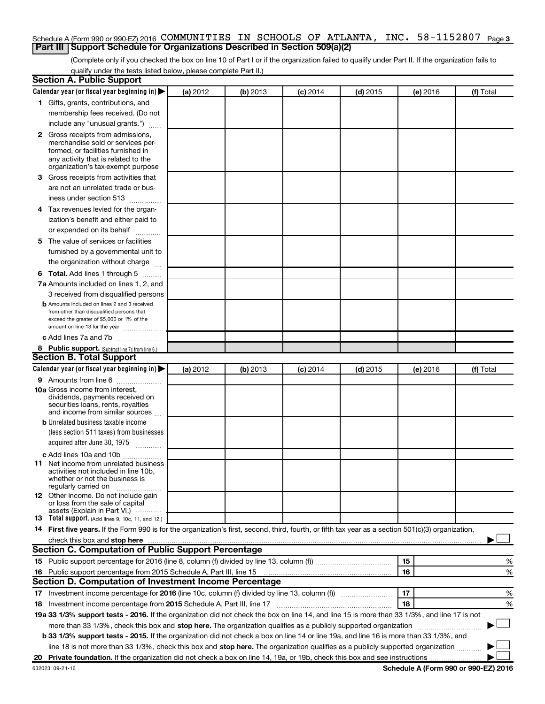### Schedule A (Form 990 or 990-EZ) 2016 COMMUNITIES IN SCHOOLS OF ATLANTA, INC. 58-1152807 <sub>Page 3</sub> **Part III Support Schedule for Organizations Described in Section 509(a)(2)**

(Complete only if you checked the box on line 10 of Part I or if the organization failed to qualify under Part II. If the organization fails to qualify under the tests listed below, please complete Part II.)

| <b>Section A. Public Support</b>                                                                                                                    |          |          |            |            |          |           |
|-----------------------------------------------------------------------------------------------------------------------------------------------------|----------|----------|------------|------------|----------|-----------|
| Calendar year (or fiscal year beginning in)                                                                                                         | (a) 2012 | (b) 2013 | $(c)$ 2014 | $(d)$ 2015 | (e) 2016 | (f) Total |
| 1 Gifts, grants, contributions, and                                                                                                                 |          |          |            |            |          |           |
| membership fees received. (Do not                                                                                                                   |          |          |            |            |          |           |
| include any "unusual grants.")                                                                                                                      |          |          |            |            |          |           |
| 2 Gross receipts from admissions,                                                                                                                   |          |          |            |            |          |           |
| merchandise sold or services per-                                                                                                                   |          |          |            |            |          |           |
| formed, or facilities furnished in                                                                                                                  |          |          |            |            |          |           |
| any activity that is related to the<br>organization's tax-exempt purpose                                                                            |          |          |            |            |          |           |
| <b>3</b> Gross receipts from activities that                                                                                                        |          |          |            |            |          |           |
| are not an unrelated trade or bus-                                                                                                                  |          |          |            |            |          |           |
| iness under section 513                                                                                                                             |          |          |            |            |          |           |
| 4 Tax revenues levied for the organ-                                                                                                                |          |          |            |            |          |           |
| ization's benefit and either paid to                                                                                                                |          |          |            |            |          |           |
| or expended on its behalf                                                                                                                           |          |          |            |            |          |           |
| 5 The value of services or facilities                                                                                                               |          |          |            |            |          |           |
| furnished by a governmental unit to                                                                                                                 |          |          |            |            |          |           |
| the organization without charge                                                                                                                     |          |          |            |            |          |           |
|                                                                                                                                                     |          |          |            |            |          |           |
| <b>6 Total.</b> Add lines 1 through 5<br>7a Amounts included on lines 1, 2, and                                                                     |          |          |            |            |          |           |
|                                                                                                                                                     |          |          |            |            |          |           |
| 3 received from disqualified persons<br><b>b</b> Amounts included on lines 2 and 3 received                                                         |          |          |            |            |          |           |
| from other than disqualified persons that                                                                                                           |          |          |            |            |          |           |
| exceed the greater of \$5,000 or 1% of the                                                                                                          |          |          |            |            |          |           |
| amount on line 13 for the year                                                                                                                      |          |          |            |            |          |           |
| c Add lines 7a and 7b                                                                                                                               |          |          |            |            |          |           |
| 8 Public support. (Subtract line 7c from line 6.)<br><b>Section B. Total Support</b>                                                                |          |          |            |            |          |           |
|                                                                                                                                                     |          |          |            |            |          |           |
| Calendar year (or fiscal year beginning in)                                                                                                         | (a) 2012 | (b) 2013 | $(c)$ 2014 | $(d)$ 2015 | (e) 2016 | (f) Total |
| 9 Amounts from line 6<br><b>10a</b> Gross income from interest,                                                                                     |          |          |            |            |          |           |
| dividends, payments received on                                                                                                                     |          |          |            |            |          |           |
| securities loans, rents, royalties                                                                                                                  |          |          |            |            |          |           |
| and income from similar sources                                                                                                                     |          |          |            |            |          |           |
| <b>b</b> Unrelated business taxable income                                                                                                          |          |          |            |            |          |           |
| (less section 511 taxes) from businesses                                                                                                            |          |          |            |            |          |           |
| acquired after June 30, 1975                                                                                                                        |          |          |            |            |          |           |
| c Add lines 10a and 10b                                                                                                                             |          |          |            |            |          |           |
| <b>11</b> Net income from unrelated business<br>activities not included in line 10b.                                                                |          |          |            |            |          |           |
| whether or not the business is                                                                                                                      |          |          |            |            |          |           |
| regularly carried on                                                                                                                                |          |          |            |            |          |           |
| 12 Other income. Do not include gain<br>or loss from the sale of capital                                                                            |          |          |            |            |          |           |
| assets (Explain in Part VI.)                                                                                                                        |          |          |            |            |          |           |
| <b>13</b> Total support. (Add lines 9, 10c, 11, and 12.)                                                                                            |          |          |            |            |          |           |
| 14 First five years. If the Form 990 is for the organization's first, second, third, fourth, or fifth tax year as a section 501(c)(3) organization, |          |          |            |            |          |           |
|                                                                                                                                                     |          |          |            |            |          |           |
| <b>Section C. Computation of Public Support Percentage</b>                                                                                          |          |          |            |            |          |           |
|                                                                                                                                                     |          |          |            |            | 15       | %         |
| 16 Public support percentage from 2015 Schedule A, Part III, line 15                                                                                |          |          |            |            | 16       | %         |
| Section D. Computation of Investment Income Percentage                                                                                              |          |          |            |            |          |           |
|                                                                                                                                                     |          |          |            |            | 17       | %         |
| 18 Investment income percentage from 2015 Schedule A, Part III, line 17                                                                             |          |          |            |            | 18       | %         |
| 19a 33 1/3% support tests - 2016. If the organization did not check the box on line 14, and line 15 is more than 33 1/3%, and line 17 is not        |          |          |            |            |          |           |
| more than 33 1/3%, check this box and stop here. The organization qualifies as a publicly supported organization                                    |          |          |            |            |          |           |
| <b>b 33 1/3% support tests - 2015.</b> If the organization did not check a box on line 14 or line 19a, and line 16 is more than 33 1/3%, and        |          |          |            |            |          |           |
| line 18 is not more than 33 1/3%, check this box and stop here. The organization qualifies as a publicly supported organization                     |          |          |            |            |          |           |
|                                                                                                                                                     |          |          |            |            |          |           |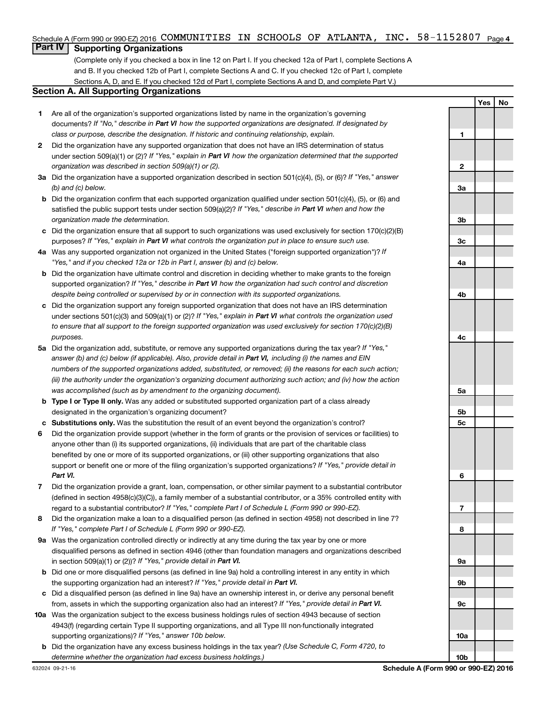### Schedule A (Form 990 or 990-EZ) 2016 COMMUNITIES IN SCHOOLS OF ATLANTA, INC. 58-1152807 <sub>Page 4</sub>

### **Part IV Supporting Organizations**

(Complete only if you checked a box in line 12 on Part I. If you checked 12a of Part I, complete Sections A and B. If you checked 12b of Part I, complete Sections A and C. If you checked 12c of Part I, complete Sections A, D, and E. If you checked 12d of Part I, complete Sections A and D, and complete Part V.)

### **Section A. All Supporting Organizations**

- **1** Are all of the organization's supported organizations listed by name in the organization's governing documents? If "No," describe in Part VI how the supported organizations are designated. If designated by *class or purpose, describe the designation. If historic and continuing relationship, explain.*
- **2** Did the organization have any supported organization that does not have an IRS determination of status under section 509(a)(1) or (2)? If "Yes," explain in Part VI how the organization determined that the supported *organization was described in section 509(a)(1) or (2).*
- **3a** Did the organization have a supported organization described in section 501(c)(4), (5), or (6)? If "Yes," answer *(b) and (c) below.*
- **b** Did the organization confirm that each supported organization qualified under section 501(c)(4), (5), or (6) and satisfied the public support tests under section 509(a)(2)? If "Yes," describe in Part VI when and how the *organization made the determination.*
- **c** Did the organization ensure that all support to such organizations was used exclusively for section 170(c)(2)(B) purposes? If "Yes," explain in Part VI what controls the organization put in place to ensure such use.
- **4 a** *If* Was any supported organization not organized in the United States ("foreign supported organization")? *"Yes," and if you checked 12a or 12b in Part I, answer (b) and (c) below.*
- **b** Did the organization have ultimate control and discretion in deciding whether to make grants to the foreign supported organization? If "Yes," describe in Part VI how the organization had such control and discretion *despite being controlled or supervised by or in connection with its supported organizations.*
- **c** Did the organization support any foreign supported organization that does not have an IRS determination under sections 501(c)(3) and 509(a)(1) or (2)? If "Yes," explain in Part VI what controls the organization used *to ensure that all support to the foreign supported organization was used exclusively for section 170(c)(2)(B) purposes.*
- **5a** Did the organization add, substitute, or remove any supported organizations during the tax year? If "Yes," answer (b) and (c) below (if applicable). Also, provide detail in Part VI, including (i) the names and EIN *numbers of the supported organizations added, substituted, or removed; (ii) the reasons for each such action; (iii) the authority under the organization's organizing document authorizing such action; and (iv) how the action was accomplished (such as by amendment to the organizing document).*
- **b** Type I or Type II only. Was any added or substituted supported organization part of a class already designated in the organization's organizing document?
- **c Substitutions only.**  Was the substitution the result of an event beyond the organization's control?
- **6** Did the organization provide support (whether in the form of grants or the provision of services or facilities) to support or benefit one or more of the filing organization's supported organizations? If "Yes," provide detail in anyone other than (i) its supported organizations, (ii) individuals that are part of the charitable class benefited by one or more of its supported organizations, or (iii) other supporting organizations that also *Part VI.*
- **7** Did the organization provide a grant, loan, compensation, or other similar payment to a substantial contributor regard to a substantial contributor? If "Yes," complete Part I of Schedule L (Form 990 or 990-EZ). (defined in section 4958(c)(3)(C)), a family member of a substantial contributor, or a 35% controlled entity with
- **8** Did the organization make a loan to a disqualified person (as defined in section 4958) not described in line 7? *If "Yes," complete Part I of Schedule L (Form 990 or 990-EZ).*
- **9 a** Was the organization controlled directly or indirectly at any time during the tax year by one or more in section 509(a)(1) or (2))? If "Yes," provide detail in Part VI. disqualified persons as defined in section 4946 (other than foundation managers and organizations described
- **b** Did one or more disqualified persons (as defined in line 9a) hold a controlling interest in any entity in which the supporting organization had an interest? If "Yes," provide detail in Part VI.
- **c** Did a disqualified person (as defined in line 9a) have an ownership interest in, or derive any personal benefit from, assets in which the supporting organization also had an interest? If "Yes," provide detail in Part VI.
- **10 a** Was the organization subject to the excess business holdings rules of section 4943 because of section supporting organizations)? If "Yes," answer 10b below. 4943(f) (regarding certain Type II supporting organizations, and all Type III non-functionally integrated
- **b** Did the organization have any excess business holdings in the tax year? (Use Schedule C, Form 4720, to *determine whether the organization had excess business holdings.)*

**Yes No**

**10b**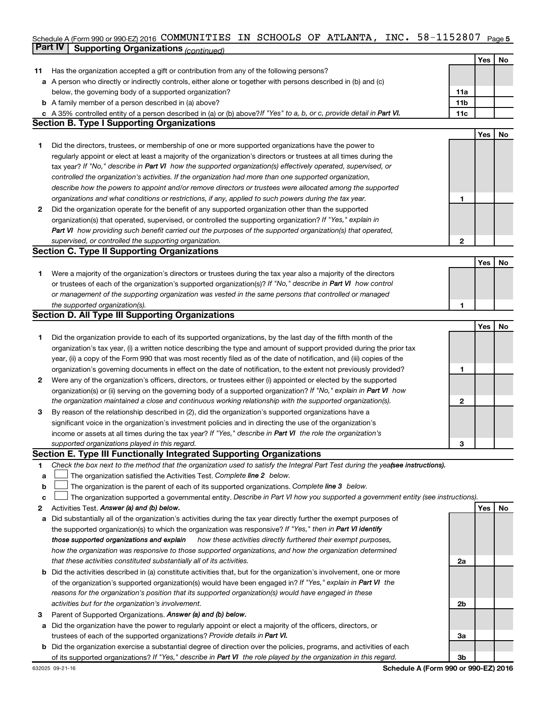#### Schedule A (Form 990 or 990-EZ) 2016 COMMUNITIES IN SCHOOLS OF ATLANTA, INC. 58-II52807 Page 5 **Part IV Supporting Organizations** *(continued)* COMMUNITIES IN SCHOOLS OF ATLANTA, INC. 58-1152807

|    |                                                                                                                                 |             | Yes | No |
|----|---------------------------------------------------------------------------------------------------------------------------------|-------------|-----|----|
| 11 | Has the organization accepted a gift or contribution from any of the following persons?                                         |             |     |    |
|    | a A person who directly or indirectly controls, either alone or together with persons described in (b) and (c)                  |             |     |    |
|    | below, the governing body of a supported organization?                                                                          | 11a         |     |    |
|    | <b>b</b> A family member of a person described in (a) above?                                                                    | 11b         |     |    |
|    | c A 35% controlled entity of a person described in (a) or (b) above? If "Yes" to a, b, or c, provide detail in Part VI.         | 11c         |     |    |
|    | <b>Section B. Type I Supporting Organizations</b>                                                                               |             |     |    |
|    |                                                                                                                                 |             | Yes | No |
| 1. | Did the directors, trustees, or membership of one or more supported organizations have the power to                             |             |     |    |
|    | regularly appoint or elect at least a majority of the organization's directors or trustees at all times during the              |             |     |    |
|    | tax year? If "No," describe in Part VI how the supported organization(s) effectively operated, supervised, or                   |             |     |    |
|    | controlled the organization's activities. If the organization had more than one supported organization,                         |             |     |    |
|    | describe how the powers to appoint and/or remove directors or trustees were allocated among the supported                       |             |     |    |
|    | organizations and what conditions or restrictions, if any, applied to such powers during the tax year.                          | 1           |     |    |
| 2  | Did the organization operate for the benefit of any supported organization other than the supported                             |             |     |    |
|    | organization(s) that operated, supervised, or controlled the supporting organization? If "Yes," explain in                      |             |     |    |
|    | Part VI how providing such benefit carried out the purposes of the supported organization(s) that operated,                     |             |     |    |
|    | supervised, or controlled the supporting organization.                                                                          | $\mathbf 2$ |     |    |
|    | <b>Section C. Type II Supporting Organizations</b>                                                                              |             |     |    |
|    |                                                                                                                                 |             | Yes | No |
| 1. | Were a majority of the organization's directors or trustees during the tax year also a majority of the directors                |             |     |    |
|    | or trustees of each of the organization's supported organization(s)? If "No," describe in Part VI how control                   |             |     |    |
|    | or management of the supporting organization was vested in the same persons that controlled or managed                          |             |     |    |
|    | the supported organization(s).                                                                                                  | 1           |     |    |
|    | <b>Section D. All Type III Supporting Organizations</b>                                                                         |             |     |    |
|    |                                                                                                                                 |             | Yes | No |
| 1. | Did the organization provide to each of its supported organizations, by the last day of the fifth month of the                  |             |     |    |
|    | organization's tax year, (i) a written notice describing the type and amount of support provided during the prior tax           |             |     |    |
|    | year, (ii) a copy of the Form 990 that was most recently filed as of the date of notification, and (iii) copies of the          |             |     |    |
|    | organization's governing documents in effect on the date of notification, to the extent not previously provided?                | 1           |     |    |
| 2  | Were any of the organization's officers, directors, or trustees either (i) appointed or elected by the supported                |             |     |    |
|    | organization(s) or (ii) serving on the governing body of a supported organization? If "No," explain in Part VI how              |             |     |    |
|    | the organization maintained a close and continuous working relationship with the supported organization(s).                     | 2           |     |    |
| 3  | By reason of the relationship described in (2), did the organization's supported organizations have a                           |             |     |    |
|    | significant voice in the organization's investment policies and in directing the use of the organization's                      |             |     |    |
|    | income or assets at all times during the tax year? If "Yes," describe in Part VI the role the organization's                    |             |     |    |
|    | supported organizations played in this regard.                                                                                  | З           |     |    |
|    | Section E. Type III Functionally Integrated Supporting Organizations                                                            |             |     |    |
| 1  | Check the box next to the method that the organization used to satisfy the Integral Part Test during the yeafsee instructions). |             |     |    |
| a  | The organization satisfied the Activities Test. Complete line 2 below.                                                          |             |     |    |
| b  | The organization is the parent of each of its supported organizations. Complete line 3 below.                                   |             |     |    |
| c  | The organization supported a governmental entity. Describe in Part VI how you supported a government entity (see instructions). |             |     |    |
| 2  | Activities Test. Answer (a) and (b) below.                                                                                      |             | Yes | No |
| а  | Did substantially all of the organization's activities during the tax year directly further the exempt purposes of              |             |     |    |
|    | the supported organization(s) to which the organization was responsive? If "Yes," then in Part VI identify                      |             |     |    |
|    | those supported organizations and explain<br>how these activities directly furthered their exempt purposes,                     |             |     |    |
|    | how the organization was responsive to those supported organizations, and how the organization determined                       |             |     |    |
|    | that these activities constituted substantially all of its activities.                                                          | 2a          |     |    |
|    | <b>b</b> Did the activities described in (a) constitute activities that, but for the organization's involvement, one or more    |             |     |    |
|    | of the organization's supported organization(s) would have been engaged in? If "Yes," explain in Part VI the                    |             |     |    |
|    | reasons for the organization's position that its supported organization(s) would have engaged in these                          |             |     |    |
|    | activities but for the organization's involvement.                                                                              | 2b          |     |    |
| 3  | Parent of Supported Organizations. Answer (a) and (b) below.                                                                    |             |     |    |
| а  | Did the organization have the power to regularly appoint or elect a majority of the officers, directors, or                     |             |     |    |
|    | trustees of each of the supported organizations? Provide details in Part VI.                                                    | За          |     |    |
|    | <b>b</b> Did the organization exercise a substantial degree of direction over the policies, programs, and activities of each    |             |     |    |
|    | of its supported organizations? If "Yes," describe in Part VI the role played by the organization in this regard.               | Зb          |     |    |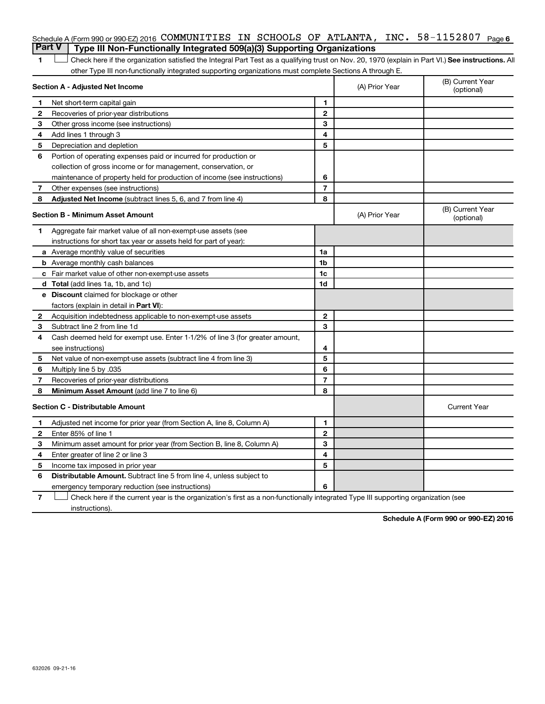|              | Schedule A (Form 990 or 990-EZ) 2016 COMMUNITIES IN SCHOOLS OF ATLANTA, INC. $58-1152807$ Page 6                                                   |                |                |                                |
|--------------|----------------------------------------------------------------------------------------------------------------------------------------------------|----------------|----------------|--------------------------------|
|              | <b>Part V</b><br>Type III Non-Functionally Integrated 509(a)(3) Supporting Organizations                                                           |                |                |                                |
| 1            | Check here if the organization satisfied the Integral Part Test as a qualifying trust on Nov. 20, 1970 (explain in Part VI.) See instructions. All |                |                |                                |
|              | other Type III non-functionally integrated supporting organizations must complete Sections A through E.                                            |                |                |                                |
|              | Section A - Adjusted Net Income                                                                                                                    |                | (A) Prior Year | (B) Current Year<br>(optional) |
| 1            | Net short-term capital gain                                                                                                                        | 1              |                |                                |
| 2            | Recoveries of prior-year distributions                                                                                                             | $\mathbf{2}$   |                |                                |
| З            | Other gross income (see instructions)                                                                                                              | 3              |                |                                |
| 4            | Add lines 1 through 3                                                                                                                              | 4              |                |                                |
| 5            | Depreciation and depletion                                                                                                                         | 5              |                |                                |
| 6            | Portion of operating expenses paid or incurred for production or                                                                                   |                |                |                                |
|              | collection of gross income or for management, conservation, or                                                                                     |                |                |                                |
|              | maintenance of property held for production of income (see instructions)                                                                           | 6              |                |                                |
| 7            | Other expenses (see instructions)                                                                                                                  | $\overline{7}$ |                |                                |
| 8            | Adjusted Net Income (subtract lines 5, 6, and 7 from line 4)                                                                                       | 8              |                |                                |
|              | <b>Section B - Minimum Asset Amount</b>                                                                                                            |                | (A) Prior Year | (B) Current Year<br>(optional) |
| 1            | Aggregate fair market value of all non-exempt-use assets (see                                                                                      |                |                |                                |
|              | instructions for short tax year or assets held for part of year):                                                                                  |                |                |                                |
|              | a Average monthly value of securities                                                                                                              | 1a             |                |                                |
|              | <b>b</b> Average monthly cash balances                                                                                                             | 1 <sub>b</sub> |                |                                |
|              | <b>c</b> Fair market value of other non-exempt-use assets                                                                                          | 1c             |                |                                |
|              | <b>d</b> Total (add lines 1a, 1b, and 1c)                                                                                                          | 1d             |                |                                |
|              | <b>e</b> Discount claimed for blockage or other                                                                                                    |                |                |                                |
|              | factors (explain in detail in Part VI):                                                                                                            |                |                |                                |
| 2            | Acquisition indebtedness applicable to non-exempt-use assets                                                                                       | $\mathbf{2}$   |                |                                |
| З            | Subtract line 2 from line 1d                                                                                                                       | 3              |                |                                |
| 4            | Cash deemed held for exempt use. Enter 1-1/2% of line 3 (for greater amount,                                                                       |                |                |                                |
|              | see instructions)                                                                                                                                  | 4              |                |                                |
| 5            | Net value of non-exempt-use assets (subtract line 4 from line 3)                                                                                   | 5              |                |                                |
| 6            | Multiply line 5 by .035                                                                                                                            | 6              |                |                                |
| 7            | Recoveries of prior-year distributions                                                                                                             | 7              |                |                                |
| 8            | <b>Minimum Asset Amount (add line 7 to line 6)</b>                                                                                                 | 8              |                |                                |
|              | <b>Section C - Distributable Amount</b>                                                                                                            |                |                | <b>Current Year</b>            |
| 1.           | Adjusted net income for prior year (from Section A, line 8, Column A)                                                                              | 1              |                |                                |
| $\mathbf{2}$ | Enter 85% of line 1                                                                                                                                | $\mathbf{2}$   |                |                                |
| З            | Minimum asset amount for prior year (from Section B, line 8, Column A)                                                                             | 3              |                |                                |
| 4            | Enter greater of line 2 or line 3                                                                                                                  | 4              |                |                                |
| 5            | Income tax imposed in prior year                                                                                                                   | 5              |                |                                |
| 6            | <b>Distributable Amount.</b> Subtract line 5 from line 4, unless subject to                                                                        |                |                |                                |
|              | emergency temporary reduction (see instructions)                                                                                                   | 6              |                |                                |

**7** Let Check here if the current year is the organization's first as a non-functionally integrated Type III supporting organization (see instructions).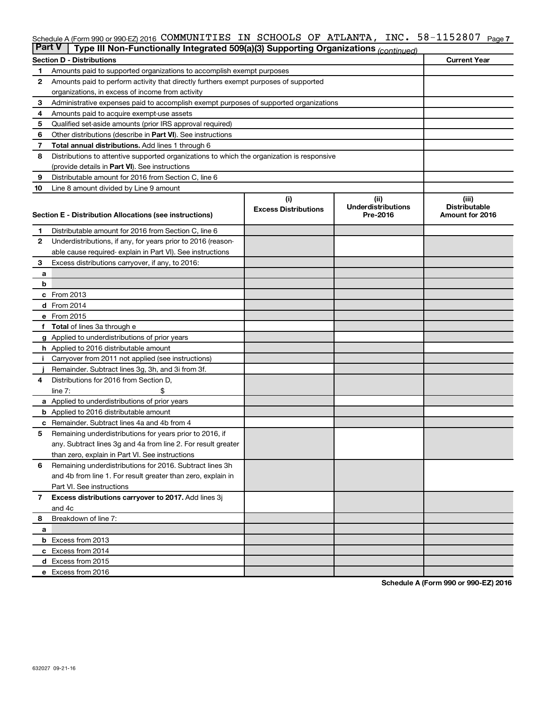#### INC. 58-1152807 Page 7  $S$ chedule A (Form 990 or 990-EZ) 2016  $\,$  COMMUNITILES IN  $\,$  SCHOOLS OF ATLANTA, INC.  $\,$  58  $-$  115280 /  $\,$  Page COMMUNITIES IN SCHOOLS OF ATLANTA, INC. 58-1152807

| <b>Part V</b> | Type III Non-Functionally Integrated 509(a)(3) Supporting Organizations (continued)        |                             |                           |                      |
|---------------|--------------------------------------------------------------------------------------------|-----------------------------|---------------------------|----------------------|
|               | <b>Section D - Distributions</b>                                                           | <b>Current Year</b>         |                           |                      |
| 1             | Amounts paid to supported organizations to accomplish exempt purposes                      |                             |                           |                      |
| 2             | Amounts paid to perform activity that directly furthers exempt purposes of supported       |                             |                           |                      |
|               | organizations, in excess of income from activity                                           |                             |                           |                      |
| 3             | Administrative expenses paid to accomplish exempt purposes of supported organizations      |                             |                           |                      |
| 4             | Amounts paid to acquire exempt-use assets                                                  |                             |                           |                      |
| 5             | Qualified set-aside amounts (prior IRS approval required)                                  |                             |                           |                      |
| 6             | Other distributions (describe in <b>Part VI</b> ). See instructions                        |                             |                           |                      |
| 7             | Total annual distributions. Add lines 1 through 6                                          |                             |                           |                      |
| 8             | Distributions to attentive supported organizations to which the organization is responsive |                             |                           |                      |
|               | (provide details in Part VI). See instructions                                             |                             |                           |                      |
| 9             | Distributable amount for 2016 from Section C, line 6                                       |                             |                           |                      |
| 10            | Line 8 amount divided by Line 9 amount                                                     |                             |                           |                      |
|               |                                                                                            | (i)                         | (ii)                      | (iii)                |
|               |                                                                                            | <b>Excess Distributions</b> | <b>Underdistributions</b> | <b>Distributable</b> |
|               | Section E - Distribution Allocations (see instructions)                                    |                             | Pre-2016                  | Amount for 2016      |
| 1             | Distributable amount for 2016 from Section C, line 6                                       |                             |                           |                      |
| $\mathbf{2}$  | Underdistributions, if any, for years prior to 2016 (reason-                               |                             |                           |                      |
|               | able cause required- explain in Part VI). See instructions                                 |                             |                           |                      |
| 3             | Excess distributions carryover, if any, to 2016:                                           |                             |                           |                      |
| а             |                                                                                            |                             |                           |                      |
| b             |                                                                                            |                             |                           |                      |
|               | c From 2013                                                                                |                             |                           |                      |
|               | <b>d</b> From 2014                                                                         |                             |                           |                      |
|               | e From 2015                                                                                |                             |                           |                      |
|               | <b>Total</b> of lines 3a through e                                                         |                             |                           |                      |
|               | <b>g</b> Applied to underdistributions of prior years                                      |                             |                           |                      |
|               | <b>h</b> Applied to 2016 distributable amount                                              |                             |                           |                      |
|               | Carryover from 2011 not applied (see instructions)                                         |                             |                           |                      |
|               | Remainder. Subtract lines 3g, 3h, and 3i from 3f.                                          |                             |                           |                      |
| 4             | Distributions for 2016 from Section D,                                                     |                             |                           |                      |
|               | $line 7$ :                                                                                 |                             |                           |                      |
|               | <b>a</b> Applied to underdistributions of prior years                                      |                             |                           |                      |
|               | <b>b</b> Applied to 2016 distributable amount                                              |                             |                           |                      |
| с             | Remainder. Subtract lines 4a and 4b from 4                                                 |                             |                           |                      |
| 5             | Remaining underdistributions for years prior to 2016, if                                   |                             |                           |                      |
|               | any. Subtract lines 3g and 4a from line 2. For result greater                              |                             |                           |                      |
|               | than zero, explain in Part VI. See instructions                                            |                             |                           |                      |
| 6             | Remaining underdistributions for 2016. Subtract lines 3h                                   |                             |                           |                      |
|               | and 4b from line 1. For result greater than zero, explain in                               |                             |                           |                      |
|               | Part VI. See instructions                                                                  |                             |                           |                      |
| $\mathbf{7}$  | Excess distributions carryover to 2017. Add lines 3j                                       |                             |                           |                      |
|               | and 4c                                                                                     |                             |                           |                      |
| 8             | Breakdown of line 7:                                                                       |                             |                           |                      |
| a             |                                                                                            |                             |                           |                      |
|               | <b>b</b> Excess from 2013                                                                  |                             |                           |                      |
|               | c Excess from 2014                                                                         |                             |                           |                      |
|               | d Excess from 2015                                                                         |                             |                           |                      |
|               | e Excess from 2016                                                                         |                             |                           |                      |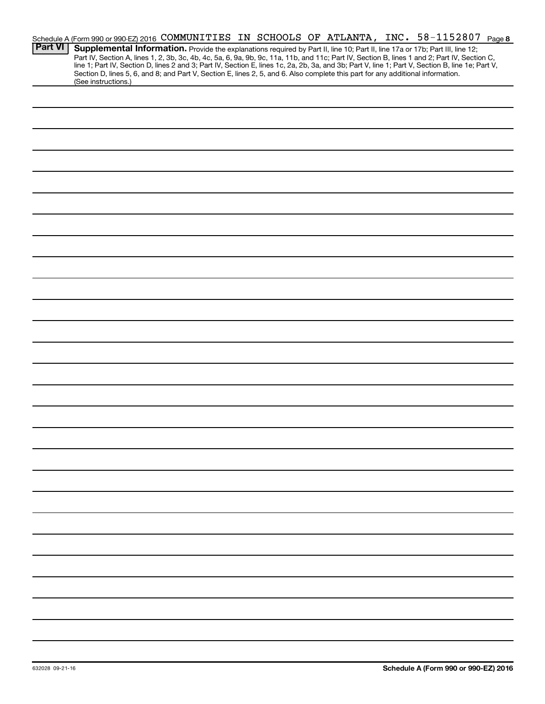|                | Schedule A (Form 990 or 990-EZ) 2016 COMMUNITIES IN SCHOOLS OF ATLANTA, INC. 58-1152807 Page 8                                                                                                                                                                                                                                                                                                                                                                                                       |
|----------------|------------------------------------------------------------------------------------------------------------------------------------------------------------------------------------------------------------------------------------------------------------------------------------------------------------------------------------------------------------------------------------------------------------------------------------------------------------------------------------------------------|
| <b>Part VI</b> | Supplemental Information. Provide the explanations required by Part II, line 10; Part II, line 17a or 17b; Part III, line 12;<br>Part IV, Section A, lines 1, 2, 3b, 3c, 4b, 4c, 5a, 6, 9a, 9b, 9c, 11a, 11b, and 11c, Part IV, Section B, lines 1 and 2; Part IV, Section C,<br>line 1; Part IV, Section D, lines 2 and 3; Part IV, Section E, lines 1c, 2a, 2b,<br>Section D, lines 5, 6, and 8; and Part V, Section E, lines 2, 5, and 6. Also complete this part for any additional information. |
|                | (See instructions.)                                                                                                                                                                                                                                                                                                                                                                                                                                                                                  |
|                |                                                                                                                                                                                                                                                                                                                                                                                                                                                                                                      |
|                |                                                                                                                                                                                                                                                                                                                                                                                                                                                                                                      |
|                |                                                                                                                                                                                                                                                                                                                                                                                                                                                                                                      |
|                |                                                                                                                                                                                                                                                                                                                                                                                                                                                                                                      |
|                |                                                                                                                                                                                                                                                                                                                                                                                                                                                                                                      |
|                |                                                                                                                                                                                                                                                                                                                                                                                                                                                                                                      |
|                |                                                                                                                                                                                                                                                                                                                                                                                                                                                                                                      |
|                |                                                                                                                                                                                                                                                                                                                                                                                                                                                                                                      |
|                |                                                                                                                                                                                                                                                                                                                                                                                                                                                                                                      |
|                |                                                                                                                                                                                                                                                                                                                                                                                                                                                                                                      |
|                |                                                                                                                                                                                                                                                                                                                                                                                                                                                                                                      |
|                |                                                                                                                                                                                                                                                                                                                                                                                                                                                                                                      |
|                |                                                                                                                                                                                                                                                                                                                                                                                                                                                                                                      |
|                |                                                                                                                                                                                                                                                                                                                                                                                                                                                                                                      |
|                |                                                                                                                                                                                                                                                                                                                                                                                                                                                                                                      |
|                |                                                                                                                                                                                                                                                                                                                                                                                                                                                                                                      |
|                |                                                                                                                                                                                                                                                                                                                                                                                                                                                                                                      |
|                |                                                                                                                                                                                                                                                                                                                                                                                                                                                                                                      |
|                |                                                                                                                                                                                                                                                                                                                                                                                                                                                                                                      |
|                |                                                                                                                                                                                                                                                                                                                                                                                                                                                                                                      |
|                |                                                                                                                                                                                                                                                                                                                                                                                                                                                                                                      |
|                |                                                                                                                                                                                                                                                                                                                                                                                                                                                                                                      |
|                |                                                                                                                                                                                                                                                                                                                                                                                                                                                                                                      |
|                |                                                                                                                                                                                                                                                                                                                                                                                                                                                                                                      |
|                |                                                                                                                                                                                                                                                                                                                                                                                                                                                                                                      |
|                |                                                                                                                                                                                                                                                                                                                                                                                                                                                                                                      |
|                |                                                                                                                                                                                                                                                                                                                                                                                                                                                                                                      |
|                |                                                                                                                                                                                                                                                                                                                                                                                                                                                                                                      |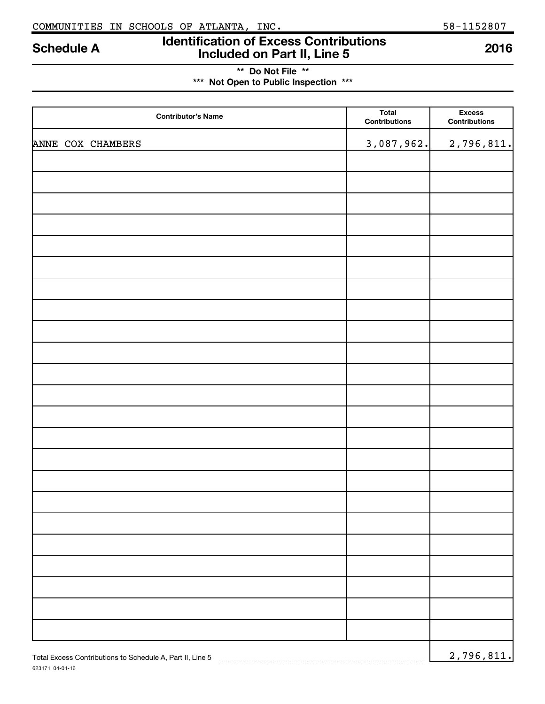### **Identification of Excess Contributions Included on Part II, Line 5 Schedule A <sup>2016</sup>**

### **\*\* Do Not File \*\* \*\*\* Not Open to Public Inspection \*\*\***

| <b>Contributor's Name</b>                                 | <b>Total</b><br><b>Contributions</b> | <b>Excess</b><br>Contributions |
|-----------------------------------------------------------|--------------------------------------|--------------------------------|
| ANNE COX CHAMBERS                                         | 3,087,962.                           | 2,796,811.                     |
|                                                           |                                      |                                |
|                                                           |                                      |                                |
|                                                           |                                      |                                |
|                                                           |                                      |                                |
|                                                           |                                      |                                |
|                                                           |                                      |                                |
|                                                           |                                      |                                |
|                                                           |                                      |                                |
|                                                           |                                      |                                |
|                                                           |                                      |                                |
|                                                           |                                      |                                |
|                                                           |                                      |                                |
|                                                           |                                      |                                |
|                                                           |                                      |                                |
|                                                           |                                      |                                |
|                                                           |                                      |                                |
|                                                           |                                      |                                |
|                                                           |                                      |                                |
|                                                           |                                      |                                |
|                                                           |                                      |                                |
|                                                           |                                      |                                |
|                                                           |                                      |                                |
| Total Excess Contributions to Schedule A, Part II, Line 5 |                                      | 2,796,811.                     |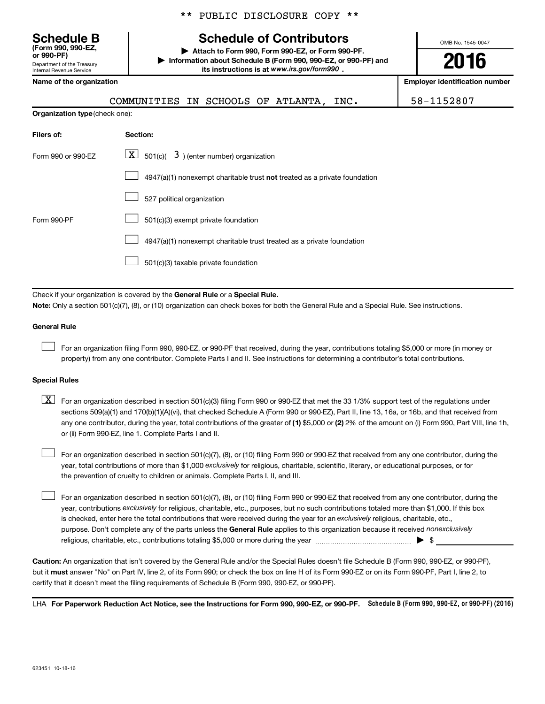Department of the Treasury Internal Revenue Service **(Form 990, 990-EZ,**

\*\* PUBLIC DISCLOSURE COPY \*\*

## **Schedule B Schedule of Contributors**

**or 990-PF) | Attach to Form 990, Form 990-EZ, or Form 990-PF. | Information about Schedule B (Form 990, 990-EZ, or 990-PF) and** its instructions is at www.irs.gov/form990.

OMB No. 1545-0047

**2016**

**Name of the organization Employer identification number**

| COMMUNITIES                    | IN SCHOOLS OF | <b>ATLANTA</b> | INC. | 1152807 |
|--------------------------------|---------------|----------------|------|---------|
| Organization type (check one): |               |                |      |         |

| Filers of:         | Section:                                                                  |
|--------------------|---------------------------------------------------------------------------|
| Form 990 or 990-FZ | $\lfloor \mathbf{X} \rfloor$ 501(c)( 3) (enter number) organization       |
|                    | 4947(a)(1) nonexempt charitable trust not treated as a private foundation |
|                    | 527 political organization                                                |
| Form 990-PF        | 501(c)(3) exempt private foundation                                       |
|                    | 4947(a)(1) nonexempt charitable trust treated as a private foundation     |
|                    | 501(c)(3) taxable private foundation                                      |

Check if your organization is covered by the General Rule or a Special Rule.

**Note:**  Only a section 501(c)(7), (8), or (10) organization can check boxes for both the General Rule and a Special Rule. See instructions.

### **General Rule**

 $\Box$ 

For an organization filing Form 990, 990-EZ, or 990-PF that received, during the year, contributions totaling \$5,000 or more (in money or property) from any one contributor. Complete Parts I and II. See instructions for determining a contributor's total contributions.

#### **Special Rules**

any one contributor, during the year, total contributions of the greater of **(1)** \$5,000 or **(2)** 2% of the amount on (i) Form 990, Part VIII, line 1h,  $\boxed{\text{X}}$  For an organization described in section 501(c)(3) filing Form 990 or 990-EZ that met the 33 1/3% support test of the regulations under sections 509(a)(1) and 170(b)(1)(A)(vi), that checked Schedule A (Form 990 or 990-EZ), Part II, line 13, 16a, or 16b, and that received from or (ii) Form 990-EZ, line 1. Complete Parts I and II.

year, total contributions of more than \$1,000 *exclusively* for religious, charitable, scientific, literary, or educational purposes, or for For an organization described in section 501(c)(7), (8), or (10) filing Form 990 or 990-EZ that received from any one contributor, during the the prevention of cruelty to children or animals. Complete Parts I, II, and III.  $\Box$ 

purpose. Don't complete any of the parts unless the General Rule applies to this organization because it received nonexclusively year, contributions exclusively for religious, charitable, etc., purposes, but no such contributions totaled more than \$1,000. If this box is checked, enter here the total contributions that were received during the year for an exclusively religious, charitable, etc., For an organization described in section 501(c)(7), (8), or (10) filing Form 990 or 990-EZ that received from any one contributor, during the religious, charitable, etc., contributions totaling \$5,000 or more during the year  $\ldots$  $\ldots$  $\ldots$  $\ldots$  $\ldots$  $\ldots$  $\Box$ 

**Caution:**  An organization that isn't covered by the General Rule and/or the Special Rules doesn't file Schedule B (Form 990, 990-EZ, or 990-PF),  **must** but it answer "No" on Part IV, line 2, of its Form 990; or check the box on line H of its Form 990-EZ or on its Form 990-PF, Part I, line 2, to certify that it doesn't meet the filing requirements of Schedule B (Form 990, 990-EZ, or 990-PF).

LHA For Paperwork Reduction Act Notice, see the Instructions for Form 990, 990-EZ, or 990-PF. Schedule B (Form 990, 990-EZ, or 990-PF) (2016)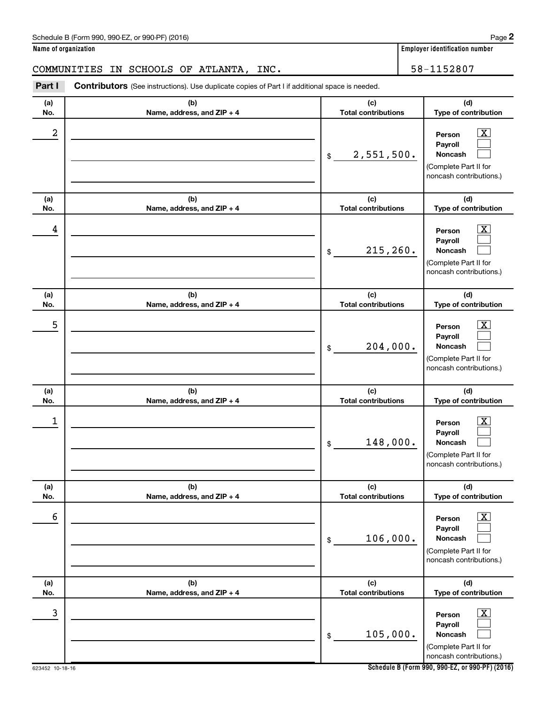### Schedule B (Form 990, 990-EZ, or 990-PF) (2016)

**Name of organization Employer identification number**

### COMMUNITIES IN SCHOOLS OF ATLANTA, INC. 41 122807

Part I Contributors (See instructions). Use duplicate copies of Part I if additional space is needed.

| (a)<br>No. | (b)<br>Name, address, and ZIP + 4 | (c)<br><b>Total contributions</b> | (d)<br>Type of contribution                                                                                      |
|------------|-----------------------------------|-----------------------------------|------------------------------------------------------------------------------------------------------------------|
| 2          |                                   | 2,551,500.<br>\$                  | $\overline{\text{X}}$<br>Person<br>Payroll<br><b>Noncash</b><br>(Complete Part II for<br>noncash contributions.) |
| (a)<br>No. | (b)<br>Name, address, and ZIP + 4 | (c)<br><b>Total contributions</b> | (d)<br>Type of contribution                                                                                      |
| 4          |                                   | 215, 260.<br>\$                   | $\overline{\text{X}}$<br>Person<br>Payroll<br><b>Noncash</b><br>(Complete Part II for<br>noncash contributions.) |
| (a)<br>No. | (b)<br>Name, address, and ZIP + 4 | (c)<br><b>Total contributions</b> | (d)<br>Type of contribution                                                                                      |
| 5          |                                   | 204,000.<br>\$                    | $\overline{\text{X}}$<br>Person<br>Payroll<br><b>Noncash</b><br>(Complete Part II for<br>noncash contributions.) |
| (a)<br>No. | (b)<br>Name, address, and ZIP + 4 | (c)<br><b>Total contributions</b> | (d)<br>Type of contribution                                                                                      |
| 1          |                                   | 148,000.<br>\$                    | $\overline{\text{X}}$<br>Person<br>Payroll<br><b>Noncash</b><br>(Complete Part II for<br>noncash contributions.) |
| (a)<br>No. | (b)<br>Name, address, and ZIP + 4 | (c)<br><b>Total contributions</b> | (d)<br>Type of contribution                                                                                      |
| 6          |                                   | 106,000.<br>\$                    | $\overline{\mathbf{X}}$<br>Person<br>Payroll<br>Noncash<br>(Complete Part II for<br>noncash contributions.)      |
| (a)<br>No. | (b)<br>Name, address, and ZIP + 4 | (c)<br><b>Total contributions</b> | (d)<br>Type of contribution                                                                                      |
| 3          |                                   | 105,000.<br>\$                    | $\boxed{\text{X}}$<br>Person<br>Payroll<br>Noncash<br>(Complete Part II for<br>noncash contributions.)           |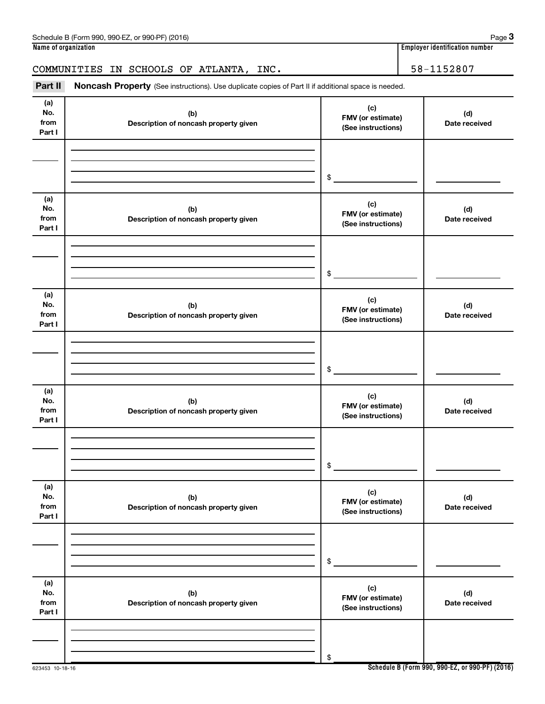| from<br>Part I               | Description of noncash property given        | <b>FIVIV</b> (or estimate)<br>(See instructions) | Date received                                   |
|------------------------------|----------------------------------------------|--------------------------------------------------|-------------------------------------------------|
|                              |                                              |                                                  |                                                 |
|                              |                                              |                                                  |                                                 |
|                              |                                              | \$                                               |                                                 |
| (a)<br>No.<br>from<br>Part I | (b)<br>Description of noncash property given | (c)<br>FMV (or estimate)<br>(See instructions)   | (d)<br>Date received                            |
|                              |                                              |                                                  |                                                 |
|                              |                                              |                                                  |                                                 |
|                              |                                              | \$                                               |                                                 |
| (a)<br>No.<br>from<br>Part I | (b)<br>Description of noncash property given | (c)<br>FMV (or estimate)<br>(See instructions)   | (d)<br>Date received                            |
|                              |                                              |                                                  |                                                 |
|                              |                                              |                                                  |                                                 |
|                              |                                              | \$                                               |                                                 |
| (a)<br>No.<br>from<br>Part I | (b)<br>Description of noncash property given | (c)<br>FMV (or estimate)<br>(See instructions)   | (d)<br>Date received                            |
|                              |                                              |                                                  |                                                 |
|                              |                                              |                                                  |                                                 |
|                              |                                              | \$                                               |                                                 |
| (a)<br>No.<br>from<br>Part I | (b)<br>Description of noncash property given | (c)<br>FMV (or estimate)<br>(See instructions)   | (d)<br>Date received                            |
|                              |                                              |                                                  |                                                 |
|                              |                                              | \$                                               |                                                 |
| (a)<br>No.<br>from<br>Part I | (b)<br>Description of noncash property given | (c)<br>FMV (or estimate)<br>(See instructions)   | (d)<br>Date received                            |
|                              |                                              |                                                  |                                                 |
|                              |                                              |                                                  |                                                 |
| 623453 10-18-16              |                                              | \$                                               | Schedule B (Form 990, 990-EZ, or 990-PF) (2016) |

**(b)**

Part II Noncash Property (See instructions). Use duplicate copies of Part II if additional space is needed.

**(a) No.**

**Schedule B (Form 990, 990-EZ, or 990-PF) (2016)**

**(d)**

COMMUNITIES IN SCHOOLS OF ATLANTA, INC. 41 122807

**(c) FMV (or estimate)** **3**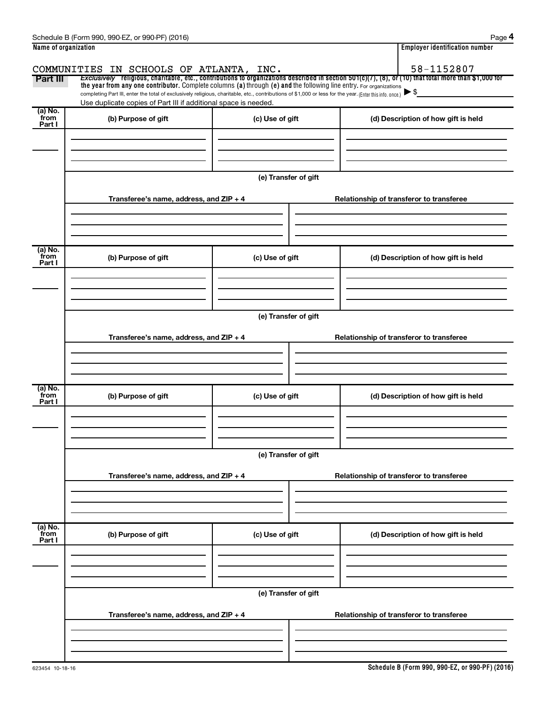|                      | Schedule B (Form 990, 990-EZ, or 990-PF) (2016)                                                                                                                                                                                                                                 |                      | Page 4                                   |
|----------------------|---------------------------------------------------------------------------------------------------------------------------------------------------------------------------------------------------------------------------------------------------------------------------------|----------------------|------------------------------------------|
| Name of organization |                                                                                                                                                                                                                                                                                 |                      | <b>Employer identification number</b>    |
|                      | COMMUNITIES IN SCHOOLS OF ATLANTA, INC.                                                                                                                                                                                                                                         |                      | 58-1152807                               |
| Part III             | Exclusively religious, charitable, etc., contributions to organizations described in section $501(c)(7)$ , (8), or (10) that total more than \$1,000 for<br>the year from any one contributor. Complete columns (a) through (e) and the following line entry. For organizations |                      |                                          |
|                      | completing Part III, enter the total of exclusively religious, charitable, etc., contributions of \$1,000 or less for the year. (Enter this info. once.)                                                                                                                        |                      |                                          |
| (a) No.              | Use duplicate copies of Part III if additional space is needed.                                                                                                                                                                                                                 |                      |                                          |
| from<br>Part I       | (b) Purpose of gift                                                                                                                                                                                                                                                             | (c) Use of gift      | (d) Description of how gift is held      |
|                      |                                                                                                                                                                                                                                                                                 |                      |                                          |
|                      |                                                                                                                                                                                                                                                                                 |                      |                                          |
|                      |                                                                                                                                                                                                                                                                                 |                      |                                          |
|                      |                                                                                                                                                                                                                                                                                 | (e) Transfer of gift |                                          |
|                      |                                                                                                                                                                                                                                                                                 |                      |                                          |
|                      | Transferee's name, address, and ZIP + 4                                                                                                                                                                                                                                         |                      | Relationship of transferor to transferee |
|                      |                                                                                                                                                                                                                                                                                 |                      |                                          |
|                      |                                                                                                                                                                                                                                                                                 |                      |                                          |
| (a) No.              |                                                                                                                                                                                                                                                                                 |                      |                                          |
| from<br>Part I       | (b) Purpose of gift                                                                                                                                                                                                                                                             | (c) Use of gift      | (d) Description of how gift is held      |
|                      |                                                                                                                                                                                                                                                                                 |                      |                                          |
|                      |                                                                                                                                                                                                                                                                                 |                      |                                          |
|                      |                                                                                                                                                                                                                                                                                 |                      |                                          |
|                      |                                                                                                                                                                                                                                                                                 | (e) Transfer of gift |                                          |
|                      |                                                                                                                                                                                                                                                                                 |                      |                                          |
|                      | Transferee's name, address, and ZIP + 4                                                                                                                                                                                                                                         |                      | Relationship of transferor to transferee |
|                      |                                                                                                                                                                                                                                                                                 |                      |                                          |
|                      |                                                                                                                                                                                                                                                                                 |                      |                                          |
| (a) No.              |                                                                                                                                                                                                                                                                                 |                      |                                          |
| from<br>Part I       | (b) Purpose of gift                                                                                                                                                                                                                                                             | (c) Use of gift      | (d) Description of how gift is held      |
|                      |                                                                                                                                                                                                                                                                                 |                      |                                          |
|                      |                                                                                                                                                                                                                                                                                 |                      |                                          |
|                      |                                                                                                                                                                                                                                                                                 |                      |                                          |
|                      |                                                                                                                                                                                                                                                                                 | (e) Transfer of gift |                                          |
|                      |                                                                                                                                                                                                                                                                                 |                      |                                          |
|                      | Transferee's name, address, and ZIP + 4                                                                                                                                                                                                                                         |                      | Relationship of transferor to transferee |
|                      |                                                                                                                                                                                                                                                                                 |                      |                                          |
|                      |                                                                                                                                                                                                                                                                                 |                      |                                          |
| (a) No.              |                                                                                                                                                                                                                                                                                 |                      |                                          |
| from<br>Part I       | (b) Purpose of gift                                                                                                                                                                                                                                                             | (c) Use of gift      | (d) Description of how gift is held      |
|                      |                                                                                                                                                                                                                                                                                 |                      |                                          |
|                      |                                                                                                                                                                                                                                                                                 |                      |                                          |
|                      |                                                                                                                                                                                                                                                                                 |                      |                                          |
|                      |                                                                                                                                                                                                                                                                                 | (e) Transfer of gift |                                          |
|                      |                                                                                                                                                                                                                                                                                 |                      |                                          |
|                      | Transferee's name, address, and ZIP + 4                                                                                                                                                                                                                                         |                      | Relationship of transferor to transferee |
|                      |                                                                                                                                                                                                                                                                                 |                      |                                          |
|                      |                                                                                                                                                                                                                                                                                 |                      |                                          |
|                      |                                                                                                                                                                                                                                                                                 |                      |                                          |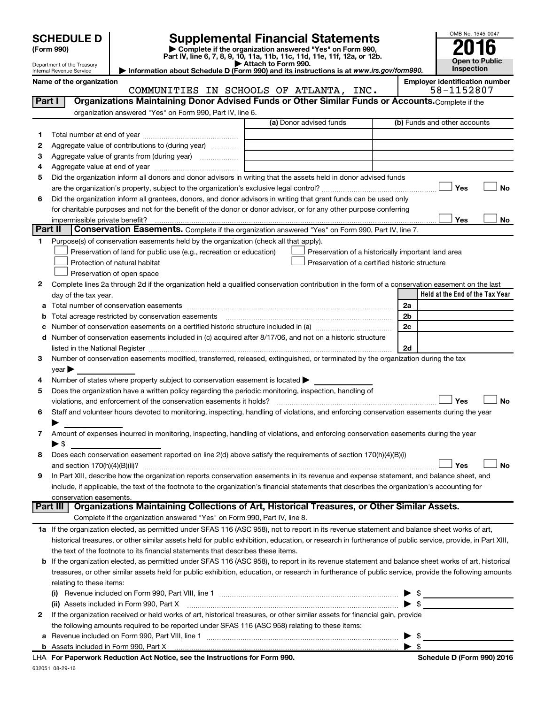# Supplemental Financial Statements<br> **Examplete if the organization answered "Yes" on Form 990,**

**(Form 990) | Complete if the organization answered "Yes" on Form 990, Part IV, line 6, 7, 8, 9, 10, 11a, 11b, 11c, 11d, 11e, 11f, 12a, or 12b.**<br>■ Attach to Form 990.



Department of the Treasury Internal Revenue Service **Held at the End of the Tax Year | Attach to Form 990. | Information about Schedule D (Form 990) and its instructions is at**  *www.irs.gov/form990.* **Name of the organization Employer identification number** (a) Donor advised funds **1 2 3 4 5 6 Yes No Yes No 1 2** Complete lines 2a through 2d if the organization held a qualified conservation contribution in the form of a conservation easement on the last **3 4 5** Does the organization have a written policy regarding the periodic monitoring, inspection, handling of **6 7 8 9 a** Total number of conservation easements ~~~~~~~~~~~~~~~~~~~~~~~~~~~~~~~~ **b** Total acreage restricted by conservation easements ~~~~~~~~~~~~~~~~~~~~~~~~~~ **c** Number of conservation easements on a certified historic structure included in (a)  $\ldots$  $\ldots$  $\ldots$  $\ldots$  $\ldots$  $\ldots$ **d 2a 2b 2c 2d Yes No Yes No 1 a** If the organization elected, as permitted under SFAS 116 (ASC 958), not to report in its revenue statement and balance sheet works of art, **2** If the organization received or held works of art, historical treasures, or other similar assets for financial gain, provide **b** If the organization elected, as permitted under SFAS 116 (ASC 958), to report in its revenue statement and balance sheet works of art, historical **(i)** Revenue included on Form 990, Part VIII, line 1 ~~~~~~~~~~~~~~~~~~~~~~~~~~~~ | \$ **(ii)** Assets included in Form 990, Part X ~~~~~~~~~~~~~~~~~~~~~~~~~~~~~~~~~ | \$ **Part I** | Organizations Maintaining Donor Advised Funds or Other Similar Funds or Accounts. Complete if the organization answered "Yes" on Form 990, Part IV, line 6. (b) Funds and other accounts Total number at end of year ~~~~~~~~~~~~~~~ Aggregate value of contributions to (during year)  $\quad \quad \ldots \ldots \ldots$ Aggregate value of grants from (during year) will contain the Aggregate value of grants from (during year) Aggregate value at end of year ~~~~~~~~~~~~~ Did the organization inform all donors and donor advisors in writing that the assets held in donor advised funds are the organization's property, subject to the organization's exclusive legal control?~~~~~~~~~~~~~~~~~~ Did the organization inform all grantees, donors, and donor advisors in writing that grant funds can be used only for charitable purposes and not for the benefit of the donor or donor advisor, or for any other purpose conferring impermissible private benefit? **Part II** Conservation Easements. Complete if the organization answered "Yes" on Form 990, Part IV, line 7. Purpose(s) of conservation easements held by the organization (check all that apply). **Preservation of land for public use (e.g., recreation or education) Example 1** Protection of natural habitat Preservation of open space Preservation of a historically important land area Preservation of a certified historic structure day of the tax year. Number of conservation easements included in (c) acquired after 8/17/06, and not on a historic structure listed in the National Register ~~~~~~~~~~~~~~~~~~~~~~~~~~~~~~~~~~~~~~ Number of conservation easements modified, transferred, released, extinguished, or terminated by the organization during the tax  $\vee$  ear  $\blacktriangleright$ Number of states where property subject to conservation easement is located  $\blacktriangleright$ violations, and enforcement of the conservation easements it holds? ~~~~~~~~~~~~~~~~~~~~~~~~~ Staff and volunteer hours devoted to monitoring, inspecting, handling of violations, and enforcing conservation easements during the year  $\blacktriangleright$ Amount of expenses incurred in monitoring, inspecting, handling of violations, and enforcing conservation easements during the year  $\triangleright$  \$ Does each conservation easement reported on line 2(d) above satisfy the requirements of section 170(h)(4)(B)(i) and section 170(h)(4)(B)(ii)? ~~~~~~~~~~~~~~~~~~~~~~~~~~~~~~~~~~~~~~~~~~~~~~ In Part XIII, describe how the organization reports conservation easements in its revenue and expense statement, and balance sheet, and include, if applicable, the text of the footnote to the organization's financial statements that describes the organization's accounting for conservation easements. Complete if the organization answered "Yes" on Form 990, Part IV, line 8. historical treasures, or other similar assets held for public exhibition, education, or research in furtherance of public service, provide, in Part XIII, the text of the footnote to its financial statements that describes these items. treasures, or other similar assets held for public exhibition, education, or research in furtherance of public service, provide the following amounts relating to these items: the following amounts required to be reported under SFAS 116 (ASC 958) relating to these items: **Part III Organizations Maintaining Collections of Art, Historical Treasures, or Other Similar Assets.**  $\Box$  Yes  $\Box$ † †  $\Box$  $|$  Yes  $|$  Yes COMMUNITIES IN SCHOOLS OF ATLANTA, INC. | 58-1152807

**a** Revenue included on Form 990, Part VIII, line 1 ~~~~~~~~~~~~~~~~~~~~~~~~~~~~~~ | \$ **b For Paperwork Reduction Act Notice, see the Instructions for Form 990. Schedule D (Form 990) 2016** LHA Assets included in Form 990, Part X | \$

632051 08-29-16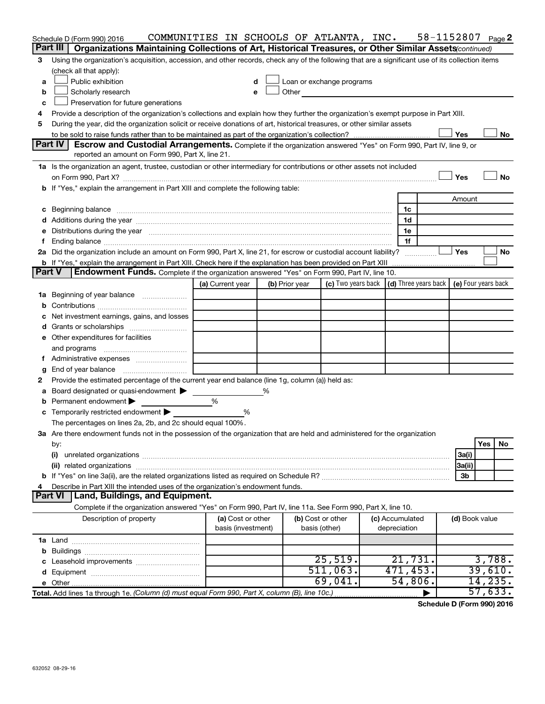|        | Schedule D (Form 990) 2016                                                                                                                                                                                                     | COMMUNITIES IN SCHOOLS OF ATLANTA, INC. |   |                |                                                                             |                 | 58-1152807     | Page 2    |
|--------|--------------------------------------------------------------------------------------------------------------------------------------------------------------------------------------------------------------------------------|-----------------------------------------|---|----------------|-----------------------------------------------------------------------------|-----------------|----------------|-----------|
|        | Part III<br>Organizations Maintaining Collections of Art, Historical Treasures, or Other Similar Assets (continued)                                                                                                            |                                         |   |                |                                                                             |                 |                |           |
| 3      | Using the organization's acquisition, accession, and other records, check any of the following that are a significant use of its collection items                                                                              |                                         |   |                |                                                                             |                 |                |           |
|        | (check all that apply):                                                                                                                                                                                                        |                                         |   |                |                                                                             |                 |                |           |
| a      | Public exhibition                                                                                                                                                                                                              | d                                       |   |                | Loan or exchange programs                                                   |                 |                |           |
| b      | Scholarly research                                                                                                                                                                                                             | е                                       |   |                | Other <b>Communication</b>                                                  |                 |                |           |
| c      | Preservation for future generations                                                                                                                                                                                            |                                         |   |                |                                                                             |                 |                |           |
|        | Provide a description of the organization's collections and explain how they further the organization's exempt purpose in Part XIII.                                                                                           |                                         |   |                |                                                                             |                 |                |           |
| 5      | During the year, did the organization solicit or receive donations of art, historical treasures, or other similar assets                                                                                                       |                                         |   |                |                                                                             |                 |                |           |
|        |                                                                                                                                                                                                                                |                                         |   |                |                                                                             |                 | Yes            | No        |
|        | Part IV<br><b>Escrow and Custodial Arrangements.</b> Complete if the organization answered "Yes" on Form 990, Part IV, line 9, or                                                                                              |                                         |   |                |                                                                             |                 |                |           |
|        | reported an amount on Form 990, Part X, line 21.                                                                                                                                                                               |                                         |   |                |                                                                             |                 |                |           |
|        | 1a Is the organization an agent, trustee, custodian or other intermediary for contributions or other assets not included                                                                                                       |                                         |   |                |                                                                             |                 |                |           |
|        |                                                                                                                                                                                                                                |                                         |   |                |                                                                             |                 | Yes            | No        |
|        | b If "Yes," explain the arrangement in Part XIII and complete the following table:                                                                                                                                             |                                         |   |                |                                                                             |                 |                |           |
|        |                                                                                                                                                                                                                                |                                         |   |                |                                                                             |                 | Amount         |           |
|        |                                                                                                                                                                                                                                |                                         |   |                |                                                                             | 1c              |                |           |
|        |                                                                                                                                                                                                                                |                                         |   |                |                                                                             | 1d              |                |           |
|        | Distributions during the year manufactured and an account of the year manufactured and the year manufactured and the year manufactured and the year manufactured and the year manufactured and the year manufactured and the y |                                         |   |                |                                                                             | 1e              |                |           |
| f      |                                                                                                                                                                                                                                |                                         |   |                |                                                                             | 1f              |                |           |
|        | 2a Did the organization include an amount on Form 990, Part X, line 21, for escrow or custodial account liability?                                                                                                             |                                         |   |                |                                                                             |                 | Yes            | No        |
| Part V | <b>b</b> If "Yes," explain the arrangement in Part XIII. Check here if the explanation has been provided on Part XIII<br><b>Endowment Funds.</b> Complete if the organization answered "Yes" on Form 990, Part IV, line 10.    |                                         |   |                |                                                                             |                 |                |           |
|        |                                                                                                                                                                                                                                |                                         |   |                | (c) Two years back $\vert$ (d) Three years back $\vert$ (e) Four years back |                 |                |           |
|        |                                                                                                                                                                                                                                | (a) Current year                        |   | (b) Prior year |                                                                             |                 |                |           |
|        | <b>1a</b> Beginning of year balance <i>manumumum</i>                                                                                                                                                                           |                                         |   |                |                                                                             |                 |                |           |
| b      |                                                                                                                                                                                                                                |                                         |   |                |                                                                             |                 |                |           |
|        | Net investment earnings, gains, and losses                                                                                                                                                                                     |                                         |   |                |                                                                             |                 |                |           |
|        |                                                                                                                                                                                                                                |                                         |   |                |                                                                             |                 |                |           |
|        | e Other expenditures for facilities                                                                                                                                                                                            |                                         |   |                |                                                                             |                 |                |           |
|        | and programs                                                                                                                                                                                                                   |                                         |   |                |                                                                             |                 |                |           |
| Ť.     | End of year balance                                                                                                                                                                                                            |                                         |   |                |                                                                             |                 |                |           |
| 2      | Provide the estimated percentage of the current year end balance (line 1g, column (a)) held as:                                                                                                                                |                                         |   |                |                                                                             |                 |                |           |
| а      | Board designated or quasi-endowment                                                                                                                                                                                            |                                         | ℅ |                |                                                                             |                 |                |           |
| b      | Permanent endowment                                                                                                                                                                                                            | %                                       |   |                |                                                                             |                 |                |           |
|        | c Temporarily restricted endowment                                                                                                                                                                                             | %                                       |   |                |                                                                             |                 |                |           |
|        | The percentages on lines 2a, 2b, and 2c should equal 100%.                                                                                                                                                                     |                                         |   |                |                                                                             |                 |                |           |
|        | 3a Are there endowment funds not in the possession of the organization that are held and administered for the organization                                                                                                     |                                         |   |                |                                                                             |                 |                |           |
|        | by:                                                                                                                                                                                                                            |                                         |   |                |                                                                             |                 |                | Yes<br>No |
|        | (i)                                                                                                                                                                                                                            |                                         |   |                |                                                                             |                 | 3a(i)          |           |
|        |                                                                                                                                                                                                                                |                                         |   |                |                                                                             |                 | 3a(ii)         |           |
|        |                                                                                                                                                                                                                                |                                         |   |                |                                                                             |                 | 3b             |           |
|        | Describe in Part XIII the intended uses of the organization's endowment funds.                                                                                                                                                 |                                         |   |                |                                                                             |                 |                |           |
|        | <b>Part VI</b><br>Land, Buildings, and Equipment.                                                                                                                                                                              |                                         |   |                |                                                                             |                 |                |           |
|        | Complete if the organization answered "Yes" on Form 990, Part IV, line 11a. See Form 990, Part X, line 10.                                                                                                                     |                                         |   |                |                                                                             |                 |                |           |
|        | Description of property                                                                                                                                                                                                        | (a) Cost or other                       |   |                | (b) Cost or other                                                           | (c) Accumulated | (d) Book value |           |
|        |                                                                                                                                                                                                                                | basis (investment)                      |   |                | basis (other)                                                               | depreciation    |                |           |
|        |                                                                                                                                                                                                                                |                                         |   |                |                                                                             |                 |                |           |
|        |                                                                                                                                                                                                                                |                                         |   |                |                                                                             |                 |                |           |
|        |                                                                                                                                                                                                                                |                                         |   |                | 25,519.                                                                     | 21,731.         |                | 3,788.    |
|        |                                                                                                                                                                                                                                |                                         |   |                | 511,063.                                                                    | 471, 453.       |                | 39,610.   |
|        |                                                                                                                                                                                                                                |                                         |   |                | 69,041.                                                                     | 54,806.         |                | 14, 235.  |
|        | Total. Add lines 1a through 1e. (Column (d) must equal Form 990, Part X, column (B), line 10c.)                                                                                                                                |                                         |   |                |                                                                             |                 |                | 57,633.   |

**Schedule D (Form 990) 2016**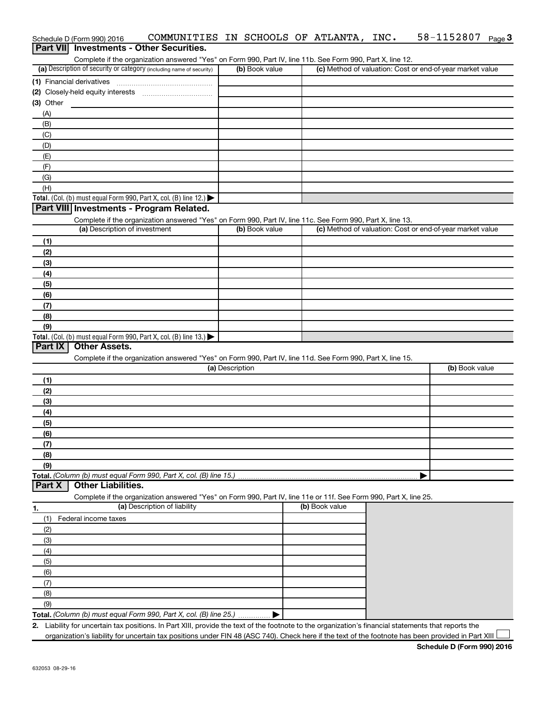|                 | Schedule D (Form 990) 2016    | COMMUNITIES IN SCHOOLS OF ATLANTA, INC.                                                                                                              |                 |                |                | 58-1152807<br>Page 3                                                                                                                               |
|-----------------|-------------------------------|------------------------------------------------------------------------------------------------------------------------------------------------------|-----------------|----------------|----------------|----------------------------------------------------------------------------------------------------------------------------------------------------|
| <b>Part VII</b> |                               | <b>Investments - Other Securities.</b>                                                                                                               |                 |                |                |                                                                                                                                                    |
|                 |                               | Complete if the organization answered "Yes" on Form 990, Part IV, line 11b. See Form 990, Part X, line 12.                                           |                 |                |                |                                                                                                                                                    |
|                 |                               | (a) Description of security or category (including name of security)                                                                                 |                 | (b) Book value |                | (c) Method of valuation: Cost or end-of-year market value                                                                                          |
|                 | (1) Financial derivatives     |                                                                                                                                                      |                 |                |                |                                                                                                                                                    |
|                 |                               |                                                                                                                                                      |                 |                |                |                                                                                                                                                    |
| (3) Other       |                               |                                                                                                                                                      |                 |                |                |                                                                                                                                                    |
| (A)             |                               |                                                                                                                                                      |                 |                |                |                                                                                                                                                    |
| (B)             |                               |                                                                                                                                                      |                 |                |                |                                                                                                                                                    |
| (C)             |                               |                                                                                                                                                      |                 |                |                |                                                                                                                                                    |
| (D)             |                               |                                                                                                                                                      |                 |                |                |                                                                                                                                                    |
| (E)             |                               |                                                                                                                                                      |                 |                |                |                                                                                                                                                    |
| (F)             |                               |                                                                                                                                                      |                 |                |                |                                                                                                                                                    |
| (G)             |                               |                                                                                                                                                      |                 |                |                |                                                                                                                                                    |
| (H)             |                               |                                                                                                                                                      |                 |                |                |                                                                                                                                                    |
|                 |                               | Total. (Col. (b) must equal Form 990, Part X, col. (B) line 12.)                                                                                     |                 |                |                |                                                                                                                                                    |
|                 |                               | Part VIII Investments - Program Related.                                                                                                             |                 |                |                |                                                                                                                                                    |
|                 |                               | Complete if the organization answered "Yes" on Form 990, Part IV, line 11c. See Form 990, Part X, line 13.                                           |                 |                |                |                                                                                                                                                    |
|                 | (a) Description of investment |                                                                                                                                                      |                 | (b) Book value |                | (c) Method of valuation: Cost or end-of-year market value                                                                                          |
| (1)             |                               |                                                                                                                                                      |                 |                |                |                                                                                                                                                    |
| (2)             |                               |                                                                                                                                                      |                 |                |                |                                                                                                                                                    |
| (3)             |                               |                                                                                                                                                      |                 |                |                |                                                                                                                                                    |
| (4)             |                               |                                                                                                                                                      |                 |                |                |                                                                                                                                                    |
| (5)             |                               |                                                                                                                                                      |                 |                |                |                                                                                                                                                    |
| (6)             |                               |                                                                                                                                                      |                 |                |                |                                                                                                                                                    |
| (7)             |                               |                                                                                                                                                      |                 |                |                |                                                                                                                                                    |
| (8)             |                               |                                                                                                                                                      |                 |                |                |                                                                                                                                                    |
| (9)             |                               |                                                                                                                                                      |                 |                |                |                                                                                                                                                    |
|                 |                               | Total. (Col. (b) must equal Form 990, Part X, col. (B) line 13.) $\blacktriangleright$                                                               |                 |                |                |                                                                                                                                                    |
| Part IX         | <b>Other Assets.</b>          |                                                                                                                                                      |                 |                |                |                                                                                                                                                    |
|                 |                               | Complete if the organization answered "Yes" on Form 990, Part IV, line 11d. See Form 990, Part X, line 15.                                           |                 |                |                |                                                                                                                                                    |
|                 |                               |                                                                                                                                                      | (a) Description |                |                | (b) Book value                                                                                                                                     |
| (1)             |                               |                                                                                                                                                      |                 |                |                |                                                                                                                                                    |
| (2)             |                               |                                                                                                                                                      |                 |                |                |                                                                                                                                                    |
| (3)             |                               |                                                                                                                                                      |                 |                |                |                                                                                                                                                    |
| (4)             |                               |                                                                                                                                                      |                 |                |                |                                                                                                                                                    |
| (5)             |                               |                                                                                                                                                      |                 |                |                |                                                                                                                                                    |
| (6)             |                               |                                                                                                                                                      |                 |                |                |                                                                                                                                                    |
| (7)             |                               |                                                                                                                                                      |                 |                |                |                                                                                                                                                    |
| (8)             |                               |                                                                                                                                                      |                 |                |                |                                                                                                                                                    |
| (9)             |                               |                                                                                                                                                      |                 |                |                |                                                                                                                                                    |
| <b>Part X</b>   | <b>Other Liabilities.</b>     | Total. (Column (b) must equal Form 990, Part X, col. (B) line 15.)                                                                                   |                 |                |                |                                                                                                                                                    |
|                 |                               | Complete if the organization answered "Yes" on Form 990, Part IV, line 11e or 11f. See Form 990, Part X, line 25.                                    |                 |                |                |                                                                                                                                                    |
|                 |                               | (a) Description of liability                                                                                                                         |                 |                | (b) Book value |                                                                                                                                                    |
| 1.              | Federal income taxes          |                                                                                                                                                      |                 |                |                |                                                                                                                                                    |
| (1)             |                               |                                                                                                                                                      |                 |                |                |                                                                                                                                                    |
| (2)<br>(3)      |                               |                                                                                                                                                      |                 |                |                |                                                                                                                                                    |
|                 |                               |                                                                                                                                                      |                 |                |                |                                                                                                                                                    |
| (4)             |                               |                                                                                                                                                      |                 |                |                |                                                                                                                                                    |
| (5)<br>(6)      |                               |                                                                                                                                                      |                 |                |                |                                                                                                                                                    |
|                 |                               |                                                                                                                                                      |                 |                |                |                                                                                                                                                    |
| (7)             |                               |                                                                                                                                                      |                 |                |                |                                                                                                                                                    |
| (8)<br>(9)      |                               |                                                                                                                                                      |                 |                |                |                                                                                                                                                    |
|                 |                               | Total. (Column (b) must equal Form 990, Part X, col. (B) line 25.)                                                                                   |                 |                |                |                                                                                                                                                    |
|                 |                               | 2. Liability for uncertain tax positions. In Part XIII, provide the text of the footnote to the organization's financial statements that reports the |                 |                |                |                                                                                                                                                    |
|                 |                               |                                                                                                                                                      |                 |                |                | organization's liability for uncertain tax positions under FIN 48 (ASC 740). Check here if the text of the footnote has been provided in Part XIII |
|                 |                               |                                                                                                                                                      |                 |                |                |                                                                                                                                                    |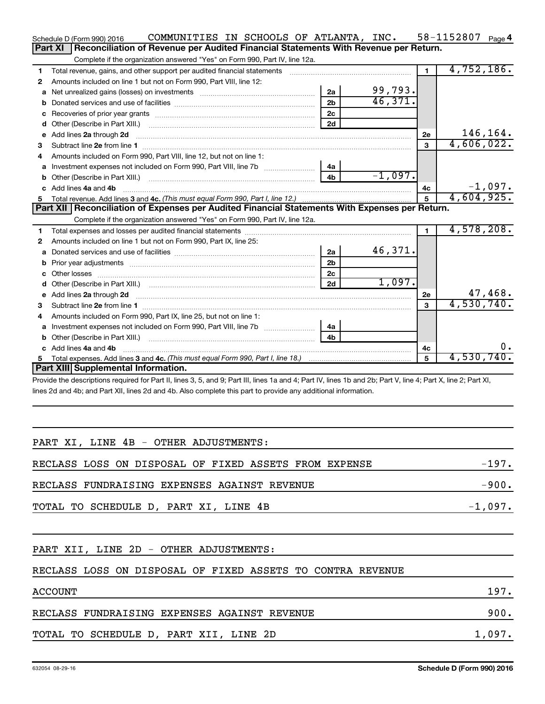|   | COMMUNITIES IN SCHOOLS OF ATLANTA, INC.<br>Schedule D (Form 990) 2016                                                                                                                                 |                |           |                | 58-1152807 Page 4 |
|---|-------------------------------------------------------------------------------------------------------------------------------------------------------------------------------------------------------|----------------|-----------|----------------|-------------------|
|   | Reconciliation of Revenue per Audited Financial Statements With Revenue per Return.<br>Part XI                                                                                                        |                |           |                |                   |
|   | Complete if the organization answered "Yes" on Form 990, Part IV, line 12a.                                                                                                                           |                |           |                |                   |
| 1 | Total revenue, gains, and other support per audited financial statements                                                                                                                              |                |           | $\blacksquare$ | 4,752,186.        |
| 2 | Amounts included on line 1 but not on Form 990, Part VIII, line 12:                                                                                                                                   |                |           |                |                   |
| a |                                                                                                                                                                                                       | 2a             | 99,793.   |                |                   |
| b |                                                                                                                                                                                                       | 2 <sub>b</sub> | 46,371.   |                |                   |
|   |                                                                                                                                                                                                       | 2c             |           |                |                   |
|   |                                                                                                                                                                                                       | 2d             |           |                |                   |
| e | Add lines 2a through 2d                                                                                                                                                                               |                |           | 2e             | 146,164.          |
| з |                                                                                                                                                                                                       |                |           | 3              | 4,606,022.        |
| 4 | Amounts included on Form 990, Part VIII, line 12, but not on line 1:                                                                                                                                  |                |           |                |                   |
| a |                                                                                                                                                                                                       | 4a             |           |                |                   |
| b |                                                                                                                                                                                                       | 4 <sub>h</sub> | $-1,097.$ |                |                   |
|   | Add lines 4a and 4b                                                                                                                                                                                   |                |           | 4с             | $-1,097.$         |
|   |                                                                                                                                                                                                       |                |           | 5              | 4,604,925.        |
|   | Part XII Reconciliation of Expenses per Audited Financial Statements With Expenses per Return.                                                                                                        |                |           |                |                   |
|   | Complete if the organization answered "Yes" on Form 990, Part IV, line 12a.                                                                                                                           |                |           |                |                   |
| 1 |                                                                                                                                                                                                       |                |           | $\mathbf{1}$   | 4,578,208.        |
|   |                                                                                                                                                                                                       |                |           |                |                   |
| 2 | Amounts included on line 1 but not on Form 990, Part IX, line 25:                                                                                                                                     |                |           |                |                   |
| a |                                                                                                                                                                                                       | 2a             | 46,371.   |                |                   |
| b |                                                                                                                                                                                                       | 2 <sub>b</sub> |           |                |                   |
|   |                                                                                                                                                                                                       | 2 <sub>c</sub> |           |                |                   |
|   |                                                                                                                                                                                                       | 2d             | 1,097.    |                |                   |
|   | Add lines 2a through 2d <b>contract and a contract and a contract a</b> contract a contract and a contract a contract a                                                                               |                |           | 2e             | 47,468.           |
| 3 |                                                                                                                                                                                                       |                |           | $\mathbf{a}$   | 4,530,740.        |
| 4 | Amounts included on Form 990, Part IX, line 25, but not on line 1:                                                                                                                                    |                |           |                |                   |
| a |                                                                                                                                                                                                       | 4a             |           |                |                   |
|   |                                                                                                                                                                                                       | 4b             |           |                |                   |
|   | c Add lines 4a and 4b                                                                                                                                                                                 |                |           | 4с             | 0.                |
| 5 |                                                                                                                                                                                                       |                |           | 5              | 4,530,740.        |
|   | Part XIII Supplemental Information.<br>Provide the descriptions required for Part II, lines 3, 5, and 9; Part III, lines 1a and 4; Part IV, lines 1b and 2b; Part V, line 4; Part X, line 2; Part XI, |                |           |                |                   |

| lines 2d and 4b; and Part XII, lines 2d and 4b. Also complete this part to provide any additional information. |  |  |
|----------------------------------------------------------------------------------------------------------------|--|--|
|                                                                                                                |  |  |

| PART XI, LINE 4B - OTHER ADJUSTMENTS:                      |           |
|------------------------------------------------------------|-----------|
| RECLASS LOSS ON DISPOSAL OF FIXED ASSETS FROM EXPENSE      | $-197.$   |
| RECLASS FUNDRAISING EXPENSES AGAINST REVENUE               | $-900.$   |
| TOTAL TO SCHEDULE D, PART XI, LINE 4B                      | $-1,097.$ |
|                                                            |           |
| PART XII, LINE 2D - OTHER ADJUSTMENTS:                     |           |
| RECLASS LOSS ON DISPOSAL OF FIXED ASSETS TO CONTRA REVENUE |           |
| ACCOUNT                                                    | 197.      |
| RECLASS FUNDRAISING EXPENSES AGAINST REVENUE               | 900.      |
| TOTAL TO SCHEDULE D, PART XII, LINE 2D                     | 1,097.    |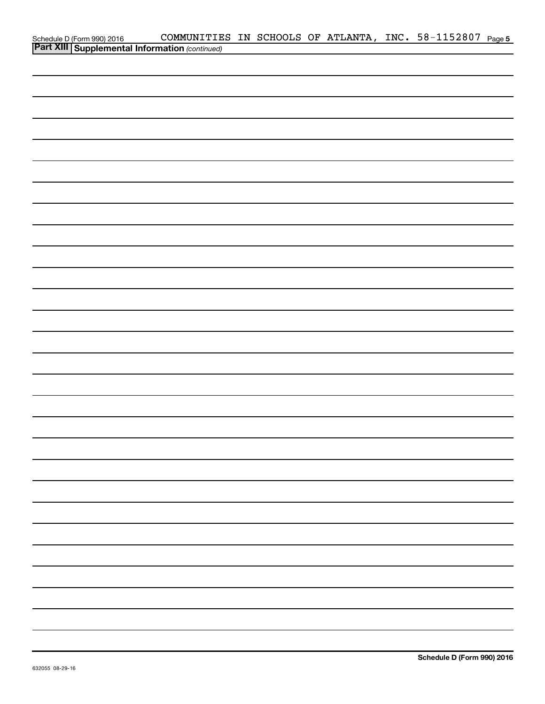|  | COMMUNITIES IN SCHOOLS OF ATLANTA, INC. 58-1152807 Page 5                                 |  |  |  |  |
|--|-------------------------------------------------------------------------------------------|--|--|--|--|
|  | Schedule D (Form 990) 2016 COMMUNITIE<br>Part XIII   Supplemental Information (continued) |  |  |  |  |
|  |                                                                                           |  |  |  |  |
|  |                                                                                           |  |  |  |  |
|  |                                                                                           |  |  |  |  |
|  |                                                                                           |  |  |  |  |
|  |                                                                                           |  |  |  |  |
|  |                                                                                           |  |  |  |  |
|  |                                                                                           |  |  |  |  |
|  |                                                                                           |  |  |  |  |
|  |                                                                                           |  |  |  |  |
|  |                                                                                           |  |  |  |  |
|  |                                                                                           |  |  |  |  |
|  |                                                                                           |  |  |  |  |
|  |                                                                                           |  |  |  |  |
|  |                                                                                           |  |  |  |  |
|  |                                                                                           |  |  |  |  |
|  |                                                                                           |  |  |  |  |
|  |                                                                                           |  |  |  |  |
|  |                                                                                           |  |  |  |  |
|  |                                                                                           |  |  |  |  |
|  |                                                                                           |  |  |  |  |
|  |                                                                                           |  |  |  |  |
|  |                                                                                           |  |  |  |  |
|  |                                                                                           |  |  |  |  |
|  |                                                                                           |  |  |  |  |
|  |                                                                                           |  |  |  |  |
|  |                                                                                           |  |  |  |  |
|  |                                                                                           |  |  |  |  |
|  |                                                                                           |  |  |  |  |
|  |                                                                                           |  |  |  |  |
|  |                                                                                           |  |  |  |  |
|  |                                                                                           |  |  |  |  |
|  |                                                                                           |  |  |  |  |
|  |                                                                                           |  |  |  |  |
|  |                                                                                           |  |  |  |  |
|  |                                                                                           |  |  |  |  |
|  |                                                                                           |  |  |  |  |
|  |                                                                                           |  |  |  |  |
|  |                                                                                           |  |  |  |  |
|  |                                                                                           |  |  |  |  |
|  |                                                                                           |  |  |  |  |
|  |                                                                                           |  |  |  |  |
|  |                                                                                           |  |  |  |  |
|  |                                                                                           |  |  |  |  |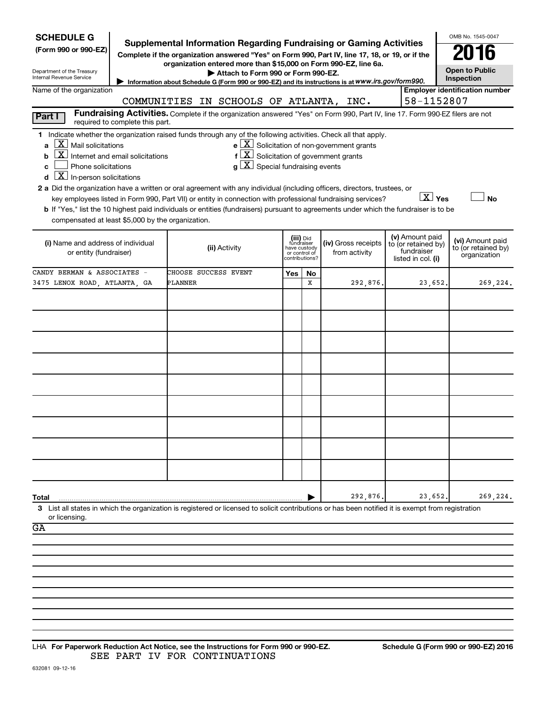| <b>SCHEDULE G</b><br>(Form 990 or 990-EZ)<br>Department of the Treasury<br>Internal Revenue Service                                                                                                                                                                                                                                                                                                                                                                                                                                                                                                                                                      | Supplemental Information Regarding Fundraising or Gaming Activities<br>Complete if the organization answered "Yes" on Form 990, Part IV, line 17, 18, or 19, or if the<br>organization entered more than \$15,000 on Form 990-EZ, line 6a.<br>Attach to Form 990 or Form 990-EZ.<br>Information about Schedule G (Form 990 or 990-EZ) and its instructions is at www.irs.gov/form990. |                                                 |                         |                                                                         |                                                                            | OMB No. 1545-0047<br><b>Open to Public</b><br>Inspection |
|----------------------------------------------------------------------------------------------------------------------------------------------------------------------------------------------------------------------------------------------------------------------------------------------------------------------------------------------------------------------------------------------------------------------------------------------------------------------------------------------------------------------------------------------------------------------------------------------------------------------------------------------------------|---------------------------------------------------------------------------------------------------------------------------------------------------------------------------------------------------------------------------------------------------------------------------------------------------------------------------------------------------------------------------------------|-------------------------------------------------|-------------------------|-------------------------------------------------------------------------|----------------------------------------------------------------------------|----------------------------------------------------------|
| Name of the organization                                                                                                                                                                                                                                                                                                                                                                                                                                                                                                                                                                                                                                 |                                                                                                                                                                                                                                                                                                                                                                                       |                                                 |                         |                                                                         |                                                                            | <b>Employer identification number</b>                    |
|                                                                                                                                                                                                                                                                                                                                                                                                                                                                                                                                                                                                                                                          | COMMUNITIES IN SCHOOLS OF ATLANTA, INC.                                                                                                                                                                                                                                                                                                                                               |                                                 |                         |                                                                         | 58-1152807                                                                 |                                                          |
| Part I<br>required to complete this part.                                                                                                                                                                                                                                                                                                                                                                                                                                                                                                                                                                                                                | Fundraising Activities. Complete if the organization answered "Yes" on Form 990, Part IV, line 17. Form 990-EZ filers are not                                                                                                                                                                                                                                                         |                                                 |                         |                                                                         |                                                                            |                                                          |
| 1 Indicate whether the organization raised funds through any of the following activities. Check all that apply.<br>$\lfloor \texttt{X} \rfloor$ Mail solicitations<br>a<br>$\overline{\mathbf{X}}$ Internet and email solicitations<br>b<br>Phone solicitations<br>C<br>$\overline{\mathbf{X}}$ In-person solicitations<br>d<br>2 a Did the organization have a written or oral agreement with any individual (including officers, directors, trustees, or<br>b If "Yes," list the 10 highest paid individuals or entities (fundraisers) pursuant to agreements under which the fundraiser is to be<br>compensated at least \$5,000 by the organization. | $f\left[\frac{X}{X}\right]$ Solicitation of government grants<br>$g\mid X$ Special fundraising events<br>key employees listed in Form 990, Part VII) or entity in connection with professional fundraising services?                                                                                                                                                                  |                                                 |                         | $\mathbf{e}$ $\boxed{\mathbf{X}}$ Solicitation of non-government grants | $\boxed{\text{X}}$ Yes                                                     | <b>No</b>                                                |
| (i) Name and address of individual<br>or entity (fundraiser)                                                                                                                                                                                                                                                                                                                                                                                                                                                                                                                                                                                             | (ii) Activity                                                                                                                                                                                                                                                                                                                                                                         | have custody<br>or control of<br>contributions? | (iii) Did<br>fundraiser | (iv) Gross receipts<br>from activity                                    | (v) Amount paid<br>to (or retained by)<br>fundraiser<br>listed in col. (i) | (vi) Amount paid<br>to (or retained by)<br>organization  |
| CANDY BERMAN & ASSOCIATES -                                                                                                                                                                                                                                                                                                                                                                                                                                                                                                                                                                                                                              | CHOOSE SUCCESS EVENT                                                                                                                                                                                                                                                                                                                                                                  | Yes                                             | No                      |                                                                         |                                                                            |                                                          |
| 3475 LENOX ROAD, ATLANTA, GA                                                                                                                                                                                                                                                                                                                                                                                                                                                                                                                                                                                                                             | PLANNER                                                                                                                                                                                                                                                                                                                                                                               |                                                 | X                       | 292,876.                                                                | 23,652.                                                                    | 269,224.                                                 |
|                                                                                                                                                                                                                                                                                                                                                                                                                                                                                                                                                                                                                                                          |                                                                                                                                                                                                                                                                                                                                                                                       |                                                 |                         |                                                                         |                                                                            |                                                          |
| Total<br>3 List all states in which the organization is registered or licensed to solicit contributions or has been notified it is exempt from registration<br>or licensing.<br>GA                                                                                                                                                                                                                                                                                                                                                                                                                                                                       |                                                                                                                                                                                                                                                                                                                                                                                       |                                                 |                         | 292,876                                                                 | 23,652.                                                                    | 269,224.                                                 |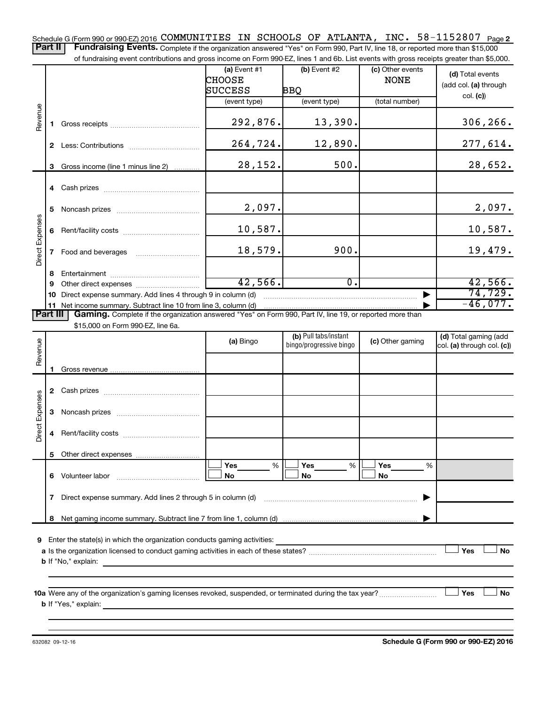Schedule G (Form 990 or 990-EZ) 2016 COMMUNITIES IN SCHOOLS OF ATLANTA, INC. 58-1152807 <sub>Page 2</sub> Part II | Fundraising Events. Complete if the organization answered "Yes" on Form 990, Part IV, line 18, or reported more than \$15,000

of fundraising event contributions and gross income on Form 990-EZ, lines 1 and 6b. List events with gross receipts greater than \$5,000.

|                 |              | of fundraising event contributions and gross income on Form 990-EZ, lines 1 and 6b. List events with gross receipts greater than \$5,000. |                |                         |                  |                            |
|-----------------|--------------|-------------------------------------------------------------------------------------------------------------------------------------------|----------------|-------------------------|------------------|----------------------------|
|                 |              |                                                                                                                                           | (a) Event $#1$ | (b) Event #2            | (c) Other events | (d) Total events           |
|                 |              |                                                                                                                                           | CHOOSE         |                         | <b>NONE</b>      |                            |
|                 |              |                                                                                                                                           | SUCCESS        | <b>BBQ</b>              |                  | (add col. (a) through      |
|                 |              |                                                                                                                                           | (event type)   | (event type)            | (total number)   | col. (c)                   |
|                 |              |                                                                                                                                           |                |                         |                  |                            |
| Revenue         |              |                                                                                                                                           | 292,876.       | 13,390.                 |                  | 306, 266.                  |
|                 | 1.           |                                                                                                                                           |                |                         |                  |                            |
|                 |              |                                                                                                                                           |                |                         |                  |                            |
|                 |              |                                                                                                                                           | 264,724.       | 12,890.                 |                  | 277,614.                   |
|                 |              |                                                                                                                                           |                |                         |                  |                            |
|                 | 3            | Gross income (line 1 minus line 2)                                                                                                        | 28,152.        | 500.                    |                  | 28,652.                    |
|                 |              |                                                                                                                                           |                |                         |                  |                            |
|                 |              |                                                                                                                                           |                |                         |                  |                            |
|                 |              |                                                                                                                                           |                |                         |                  |                            |
|                 | 5            |                                                                                                                                           | 2,097.         |                         |                  | 2,097.                     |
|                 |              |                                                                                                                                           |                |                         |                  |                            |
|                 | 6            |                                                                                                                                           | 10,587.        |                         |                  | 10,587.                    |
| Direct Expenses |              |                                                                                                                                           |                |                         |                  |                            |
|                 | $\mathbf{7}$ | Food and beverages                                                                                                                        | 18,579.        | 900.                    |                  | 19,479.                    |
|                 |              |                                                                                                                                           |                |                         |                  |                            |
|                 | 8            |                                                                                                                                           |                |                         |                  |                            |
|                 | 9            |                                                                                                                                           | 42,566.        | $\overline{0}$ .        |                  | 42,566.                    |
|                 |              | 10 Direct expense summary. Add lines 4 through 9 in column (d)                                                                            |                |                         |                  | 74, 729.                   |
|                 |              | 11 Net income summary. Subtract line 10 from line 3, column (d)                                                                           |                |                         |                  | $-46,077.$                 |
| <b>Part III</b> |              | Gaming. Complete if the organization answered "Yes" on Form 990, Part IV, line 19, or reported more than                                  |                |                         |                  |                            |
|                 |              | \$15,000 on Form 990-EZ, line 6a.                                                                                                         |                |                         |                  |                            |
|                 |              |                                                                                                                                           |                | (b) Pull tabs/instant   |                  | (d) Total gaming (add      |
|                 |              |                                                                                                                                           |                |                         |                  |                            |
|                 |              |                                                                                                                                           | (a) Bingo      | bingo/progressive bingo | (c) Other gaming | col. (a) through col. (c)) |
|                 |              |                                                                                                                                           |                |                         |                  |                            |
| Revenue         |              |                                                                                                                                           |                |                         |                  |                            |
|                 | 1            |                                                                                                                                           |                |                         |                  |                            |
|                 |              |                                                                                                                                           |                |                         |                  |                            |
|                 |              |                                                                                                                                           |                |                         |                  |                            |
|                 |              |                                                                                                                                           |                |                         |                  |                            |
|                 | 3            |                                                                                                                                           |                |                         |                  |                            |
|                 |              |                                                                                                                                           |                |                         |                  |                            |
| Direct Expenses | 4            |                                                                                                                                           |                |                         |                  |                            |
|                 |              |                                                                                                                                           |                |                         |                  |                            |
|                 |              | 5 Other direct expenses                                                                                                                   |                |                         |                  |                            |
|                 |              |                                                                                                                                           | Yes<br>$\%$    | $\%$<br>Yes             | Yes<br>%         |                            |
|                 |              | 6 Volunteer labor                                                                                                                         | No             | No                      | No               |                            |
|                 |              |                                                                                                                                           |                |                         |                  |                            |
|                 | 7            | Direct expense summary. Add lines 2 through 5 in column (d)                                                                               |                |                         |                  |                            |
|                 |              |                                                                                                                                           |                |                         |                  |                            |
|                 | 8            |                                                                                                                                           |                |                         |                  |                            |
|                 |              |                                                                                                                                           |                |                         |                  |                            |
|                 |              | 9 Enter the state(s) in which the organization conducts gaming activities:                                                                |                |                         |                  |                            |
|                 |              |                                                                                                                                           |                |                         |                  | Yes<br>No                  |
|                 |              | <b>b</b> If "No," explain:                                                                                                                |                |                         |                  |                            |
|                 |              |                                                                                                                                           |                |                         |                  |                            |
|                 |              |                                                                                                                                           |                |                         |                  |                            |
|                 |              | 10a Were any of the organization's gaming licenses revoked, suspended, or terminated during the tax year?                                 |                |                         |                  | Yes<br>No                  |

632082 09-12-16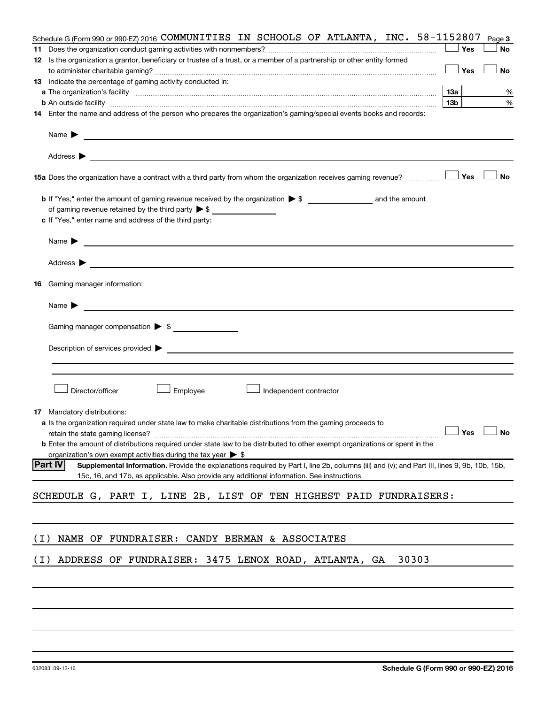|       | Schedule G (Form 990 or 990-EZ) 2016 COMMUNITIES IN SCHOOLS OF ATLANTA, INC. 58-1152807                                                                                                                                                                     |                 | Page 3               |
|-------|-------------------------------------------------------------------------------------------------------------------------------------------------------------------------------------------------------------------------------------------------------------|-----------------|----------------------|
|       |                                                                                                                                                                                                                                                             | Yes             | <b>No</b>            |
|       | 12 Is the organization a grantor, beneficiary or trustee of a trust, or a member of a partnership or other entity formed                                                                                                                                    |                 |                      |
|       |                                                                                                                                                                                                                                                             | Yes             | <b>No</b>            |
|       | 13 Indicate the percentage of gaming activity conducted in:                                                                                                                                                                                                 |                 |                      |
|       |                                                                                                                                                                                                                                                             | 1За             | %                    |
|       | <b>b</b> An outside facility <i>www.communicality.communicality.communicality www.communicality.communicality.communicality.com</i>                                                                                                                         | 13 <sub>b</sub> | %                    |
|       | 14 Enter the name and address of the person who prepares the organization's gaming/special events books and records:                                                                                                                                        |                 |                      |
|       | Name $\blacktriangleright$<br><u>and the contract of the contract of the contract of the contract of the contract of the contract of the contract of</u>                                                                                                    |                 |                      |
|       |                                                                                                                                                                                                                                                             |                 |                      |
|       | 15a Does the organization have a contract with a third party from whom the organization receives gaming revenue?                                                                                                                                            | Yes             | No                   |
|       |                                                                                                                                                                                                                                                             |                 |                      |
|       | of gaming revenue retained by the third party $\triangleright$ \$                                                                                                                                                                                           |                 |                      |
|       | c If "Yes," enter name and address of the third party:                                                                                                                                                                                                      |                 |                      |
|       |                                                                                                                                                                                                                                                             |                 |                      |
|       | Name $\blacktriangleright$<br><u> 1989 - Johann Barbara, martin amerikan basal dan berasal dan berasal dalam basal dalam basal dan berasal dala</u>                                                                                                         |                 |                      |
|       |                                                                                                                                                                                                                                                             |                 |                      |
|       | <b>16</b> Gaming manager information:                                                                                                                                                                                                                       |                 |                      |
|       | <u> 1989 - Johann Barbara, martin amerikan basal dan berasal dan berasal dalam basal dan berasal dalam berasal da</u><br>Name $\blacktriangleright$                                                                                                         |                 |                      |
|       | Gaming manager compensation > \$                                                                                                                                                                                                                            |                 |                      |
|       |                                                                                                                                                                                                                                                             |                 |                      |
|       |                                                                                                                                                                                                                                                             |                 |                      |
|       |                                                                                                                                                                                                                                                             |                 |                      |
|       | Employee<br>Director/officer                                                                                                                                                                                                                                |                 |                      |
|       | Independent contractor                                                                                                                                                                                                                                      |                 |                      |
|       | <b>17</b> Mandatory distributions:                                                                                                                                                                                                                          |                 |                      |
|       | <b>a</b> Is the organization required under state law to make charitable distributions from the gaming proceeds to                                                                                                                                          |                 |                      |
|       |                                                                                                                                                                                                                                                             |                 | $\Box$ Yes $\Box$ No |
|       | <b>b</b> Enter the amount of distributions required under state law to be distributed to other exempt organizations or spent in the                                                                                                                         |                 |                      |
|       | organization's own exempt activities during the tax year $\triangleright$ \$                                                                                                                                                                                |                 |                      |
|       | <b>Part IV</b><br>Supplemental Information. Provide the explanations required by Part I, line 2b, columns (iii) and (v); and Part III, lines 9, 9b, 10b, 15b,<br>15c, 16, and 17b, as applicable. Also provide any additional information. See instructions |                 |                      |
|       |                                                                                                                                                                                                                                                             |                 |                      |
|       | SCHEDULE G, PART I, LINE 2B, LIST OF TEN HIGHEST PAID FUNDRAISERS:                                                                                                                                                                                          |                 |                      |
|       |                                                                                                                                                                                                                                                             |                 |                      |
|       |                                                                                                                                                                                                                                                             |                 |                      |
| ( I ) | NAME OF FUNDRAISER: CANDY BERMAN & ASSOCIATES                                                                                                                                                                                                               |                 |                      |
| ( I ) | ADDRESS OF FUNDRAISER: 3475 LENOX ROAD, ATLANTA, GA<br>30303                                                                                                                                                                                                |                 |                      |
|       |                                                                                                                                                                                                                                                             |                 |                      |
|       |                                                                                                                                                                                                                                                             |                 |                      |
|       |                                                                                                                                                                                                                                                             |                 |                      |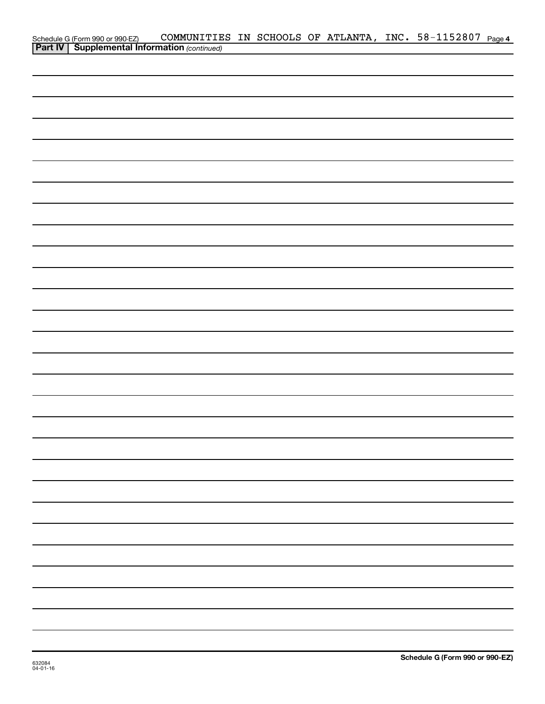|                                                                                                     | COMMUNITIES IN SCHOOLS OF ATLANTA, INC. 58-1152807 Page 4 |  |  |  |  |
|-----------------------------------------------------------------------------------------------------|-----------------------------------------------------------|--|--|--|--|
| Schedule G (Form 990 or 990-EZ) COMMUNITIE<br><b>Part IV   Supplemental Information</b> (continued) |                                                           |  |  |  |  |
|                                                                                                     |                                                           |  |  |  |  |
|                                                                                                     |                                                           |  |  |  |  |
|                                                                                                     |                                                           |  |  |  |  |
|                                                                                                     |                                                           |  |  |  |  |
|                                                                                                     |                                                           |  |  |  |  |
|                                                                                                     |                                                           |  |  |  |  |
|                                                                                                     |                                                           |  |  |  |  |
|                                                                                                     |                                                           |  |  |  |  |
|                                                                                                     |                                                           |  |  |  |  |
|                                                                                                     |                                                           |  |  |  |  |
|                                                                                                     |                                                           |  |  |  |  |
|                                                                                                     |                                                           |  |  |  |  |
|                                                                                                     |                                                           |  |  |  |  |
|                                                                                                     |                                                           |  |  |  |  |
|                                                                                                     |                                                           |  |  |  |  |
|                                                                                                     |                                                           |  |  |  |  |
|                                                                                                     |                                                           |  |  |  |  |
|                                                                                                     |                                                           |  |  |  |  |
|                                                                                                     |                                                           |  |  |  |  |
|                                                                                                     |                                                           |  |  |  |  |
|                                                                                                     |                                                           |  |  |  |  |
|                                                                                                     |                                                           |  |  |  |  |
|                                                                                                     |                                                           |  |  |  |  |
|                                                                                                     |                                                           |  |  |  |  |
|                                                                                                     |                                                           |  |  |  |  |
|                                                                                                     |                                                           |  |  |  |  |
|                                                                                                     |                                                           |  |  |  |  |
|                                                                                                     |                                                           |  |  |  |  |
|                                                                                                     |                                                           |  |  |  |  |
|                                                                                                     |                                                           |  |  |  |  |
|                                                                                                     |                                                           |  |  |  |  |
|                                                                                                     |                                                           |  |  |  |  |
|                                                                                                     |                                                           |  |  |  |  |
|                                                                                                     |                                                           |  |  |  |  |
|                                                                                                     |                                                           |  |  |  |  |
|                                                                                                     |                                                           |  |  |  |  |
|                                                                                                     |                                                           |  |  |  |  |
|                                                                                                     |                                                           |  |  |  |  |
|                                                                                                     |                                                           |  |  |  |  |
|                                                                                                     |                                                           |  |  |  |  |
|                                                                                                     |                                                           |  |  |  |  |
|                                                                                                     |                                                           |  |  |  |  |
|                                                                                                     |                                                           |  |  |  |  |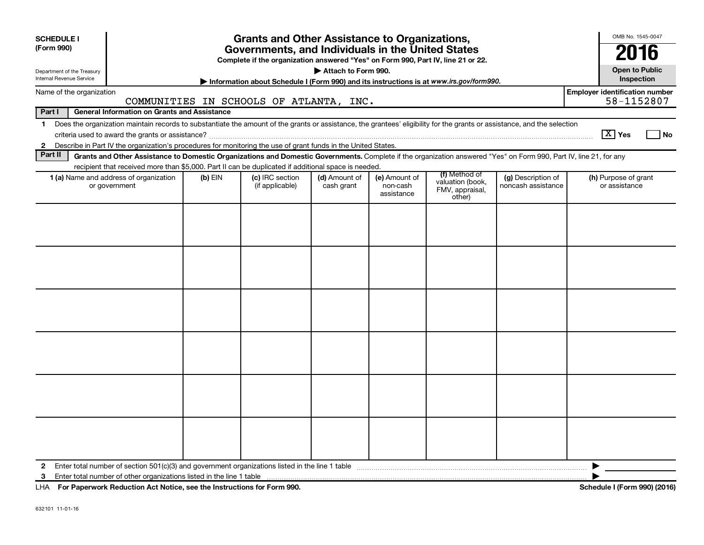| <b>SCHEDULE I</b><br>(Form 990)                                                                                                                                                 | <b>Grants and Other Assistance to Organizations,</b><br>Governments, and Individuals in the United States<br>Complete if the organization answered "Yes" on Form 990, Part IV, line 21 or 22.                                                                                             |           |                                    |                             |                                         |                                                                |                                          |                                       |  |  |
|---------------------------------------------------------------------------------------------------------------------------------------------------------------------------------|-------------------------------------------------------------------------------------------------------------------------------------------------------------------------------------------------------------------------------------------------------------------------------------------|-----------|------------------------------------|-----------------------------|-----------------------------------------|----------------------------------------------------------------|------------------------------------------|---------------------------------------|--|--|
| Attach to Form 990.<br>Department of the Treasury<br><b>Internal Revenue Service</b><br>Information about Schedule I (Form 990) and its instructions is at www.irs.gov/form990. |                                                                                                                                                                                                                                                                                           |           |                                    |                             |                                         |                                                                |                                          |                                       |  |  |
| <b>Employer identification number</b><br>Name of the organization<br>58-1152807<br>COMMUNITIES IN SCHOOLS OF ATLANTA, INC.                                                      |                                                                                                                                                                                                                                                                                           |           |                                    |                             |                                         |                                                                |                                          |                                       |  |  |
| Part I                                                                                                                                                                          | <b>General Information on Grants and Assistance</b>                                                                                                                                                                                                                                       |           |                                    |                             |                                         |                                                                |                                          |                                       |  |  |
| $\mathbf 1$<br>$\mathbf{2}$                                                                                                                                                     | Does the organization maintain records to substantiate the amount of the grants or assistance, the grantees' eligibility for the grants or assistance, and the selection<br>Describe in Part IV the organization's procedures for monitoring the use of grant funds in the United States. |           |                                    |                             |                                         |                                                                |                                          | $\boxed{\text{X}}$ Yes<br>  No        |  |  |
| Part II                                                                                                                                                                         | Grants and Other Assistance to Domestic Organizations and Domestic Governments. Complete if the organization answered "Yes" on Form 990, Part IV, line 21, for any                                                                                                                        |           |                                    |                             |                                         |                                                                |                                          |                                       |  |  |
|                                                                                                                                                                                 | recipient that received more than \$5,000. Part II can be duplicated if additional space is needed.                                                                                                                                                                                       |           |                                    |                             |                                         |                                                                |                                          |                                       |  |  |
|                                                                                                                                                                                 | 1 (a) Name and address of organization<br>or government                                                                                                                                                                                                                                   | $(b)$ EIN | (c) IRC section<br>(if applicable) | (d) Amount of<br>cash grant | (e) Amount of<br>non-cash<br>assistance | (f) Method of<br>valuation (book,<br>FMV, appraisal,<br>other) | (g) Description of<br>noncash assistance | (h) Purpose of grant<br>or assistance |  |  |
|                                                                                                                                                                                 |                                                                                                                                                                                                                                                                                           |           |                                    |                             |                                         |                                                                |                                          |                                       |  |  |
|                                                                                                                                                                                 |                                                                                                                                                                                                                                                                                           |           |                                    |                             |                                         |                                                                |                                          |                                       |  |  |
|                                                                                                                                                                                 |                                                                                                                                                                                                                                                                                           |           |                                    |                             |                                         |                                                                |                                          |                                       |  |  |
|                                                                                                                                                                                 |                                                                                                                                                                                                                                                                                           |           |                                    |                             |                                         |                                                                |                                          |                                       |  |  |
|                                                                                                                                                                                 |                                                                                                                                                                                                                                                                                           |           |                                    |                             |                                         |                                                                |                                          |                                       |  |  |
|                                                                                                                                                                                 |                                                                                                                                                                                                                                                                                           |           |                                    |                             |                                         |                                                                |                                          |                                       |  |  |
| $\mathbf{2}$<br>3                                                                                                                                                               |                                                                                                                                                                                                                                                                                           |           |                                    |                             |                                         |                                                                |                                          | ▶                                     |  |  |

**For Paperwork Reduction Act Notice, see the Instructions for Form 990. Schedule I (Form 990) (2016)** LHA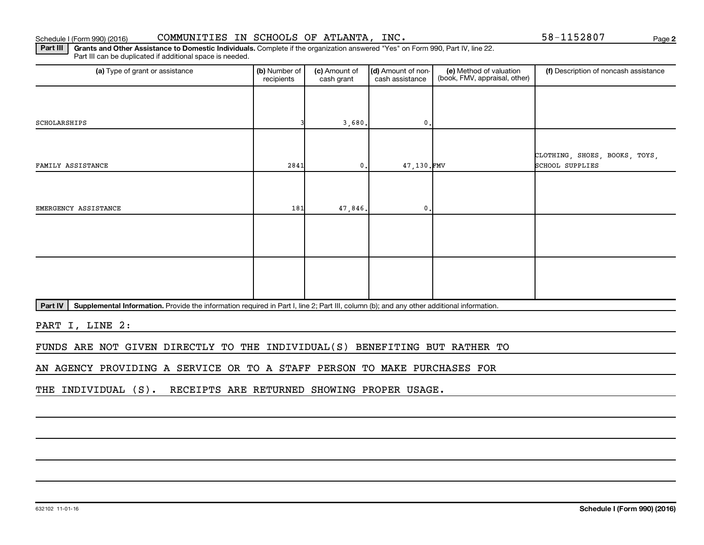Schedule I (Form 990) (2016) COMMUNITIES IN SCHOOLS OF ATLANTA, INC. 58-1152807 Page

**2**

Part III | Grants and Other Assistance to Domestic Individuals. Complete if the organization answered "Yes" on Form 990, Part IV, line 22. Part III can be duplicated if additional space is needed.

| (a) Type of grant or assistance | (b) Number of<br>recipients | (c) Amount of<br>cash grant | (d) Amount of non-<br>cash assistance          | (e) Method of valuation<br>(book, FMV, appraisal, other) | (f) Description of noncash assistance |
|---------------------------------|-----------------------------|-----------------------------|------------------------------------------------|----------------------------------------------------------|---------------------------------------|
|                                 |                             |                             |                                                |                                                          |                                       |
| SCHOLARSHIPS                    |                             | 3,680.                      | $\mathbf{0}$ .                                 |                                                          |                                       |
|                                 |                             |                             |                                                |                                                          |                                       |
|                                 |                             |                             |                                                |                                                          | CLOTHING, SHOES, BOOKS, TOYS,         |
| FAMILY ASSISTANCE               | 2841                        | 0.                          | 47,130.FMV                                     |                                                          | SCHOOL SUPPLIES                       |
|                                 |                             |                             |                                                |                                                          |                                       |
|                                 |                             |                             |                                                |                                                          |                                       |
| EMERGENCY ASSISTANCE            | 181                         | 47,846.                     | $\mathbf{0}$ .                                 |                                                          |                                       |
|                                 |                             |                             |                                                |                                                          |                                       |
|                                 |                             |                             |                                                |                                                          |                                       |
|                                 |                             |                             |                                                |                                                          |                                       |
|                                 |                             |                             |                                                |                                                          |                                       |
|                                 |                             |                             |                                                |                                                          |                                       |
|                                 |                             |                             |                                                |                                                          |                                       |
| $\cdots$                        |                             |                             | $\mathbf{u}$<br>$\sim$ $\sim$<br>$\sim$ $\sim$ |                                                          |                                       |

Part IV | Supplemental Information. Provide the information required in Part I, line 2; Part III, column (b); and any other additional information.

PART I, LINE 2:

FUNDS ARE NOT GIVEN DIRECTLY TO THE INDIVIDUAL(S) BENEFITING BUT RATHER TO

AN AGENCY PROVIDING A SERVICE OR TO A STAFF PERSON TO MAKE PURCHASES FOR

THE INDIVIDUAL (S). RECEIPTS ARE RETURNED SHOWING PROPER USAGE.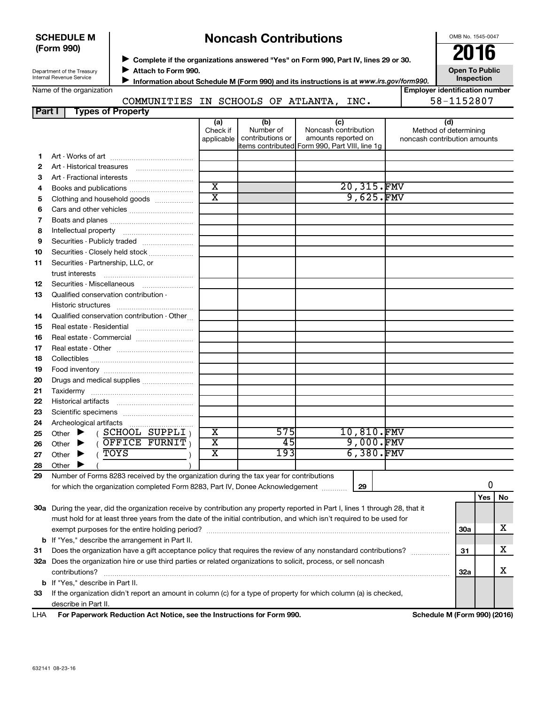| <b>SCHEDULE M</b> |  |
|-------------------|--|
| (Form 990)        |  |

## **Noncash Contributions**

OMB No. 1545-0047

| Department of the Treasury |
|----------------------------|
| Internal Revenue Service   |

◆ Complete if the organizations answered "Yes" on Form 990, Part IV, lines 29 or 30.<br>● Complete if the organizations answered "Yes" on Form 990, Part IV, lines 29 or 30. **Attach to Form 990.** J

**Open To Public Inspection**

| Information about Schedule M (Form 990) and its instructions is at www.irs.gov/form990. |  |  |
|-----------------------------------------------------------------------------------------|--|--|
|                                                                                         |  |  |

| Name of the organization |                   |      |            |          |      |  | Emplover identification number |  |
|--------------------------|-------------------|------|------------|----------|------|--|--------------------------------|--|
|                          |                   |      |            |          |      |  |                                |  |
|                          | COMMUNITIES       | ⊥N ⊦ | SCHOOLS OF | ATLANTA. | INC. |  | ⊥52807<br>58–                  |  |
| . Part                   | Tynes of Pronerty |      |            |          |      |  |                                |  |

|     | . <b>1900 ULL 1990</b>                                                                                                         |                               |                                      |                                                                                                      |            |                              |                              |     |    |
|-----|--------------------------------------------------------------------------------------------------------------------------------|-------------------------------|--------------------------------------|------------------------------------------------------------------------------------------------------|------------|------------------------------|------------------------------|-----|----|
|     |                                                                                                                                | (a)<br>Check if<br>applicable | (b)<br>Number of<br>contributions or | (c)<br>Noncash contribution<br>amounts reported on<br>items contributed Form 990, Part VIII, line 1g |            | noncash contribution amounts | (d)<br>Method of determining |     |    |
| 1.  |                                                                                                                                |                               |                                      |                                                                                                      |            |                              |                              |     |    |
| 2   |                                                                                                                                |                               |                                      |                                                                                                      |            |                              |                              |     |    |
| 3   |                                                                                                                                |                               |                                      |                                                                                                      |            |                              |                              |     |    |
|     |                                                                                                                                | $\overline{\text{x}}$         |                                      |                                                                                                      | 20,315.FMV |                              |                              |     |    |
| 4   | Books and publications                                                                                                         | $\overline{\text{x}}$         |                                      |                                                                                                      | 9,625.FMV  |                              |                              |     |    |
| 5   | Clothing and household goods                                                                                                   |                               |                                      |                                                                                                      |            |                              |                              |     |    |
| 6   |                                                                                                                                |                               |                                      |                                                                                                      |            |                              |                              |     |    |
| 7   |                                                                                                                                |                               |                                      |                                                                                                      |            |                              |                              |     |    |
| 8   |                                                                                                                                |                               |                                      |                                                                                                      |            |                              |                              |     |    |
| 9   | Securities - Publicly traded                                                                                                   |                               |                                      |                                                                                                      |            |                              |                              |     |    |
| 10  | Securities - Closely held stock                                                                                                |                               |                                      |                                                                                                      |            |                              |                              |     |    |
| 11  | Securities - Partnership, LLC, or                                                                                              |                               |                                      |                                                                                                      |            |                              |                              |     |    |
|     | trust interests                                                                                                                |                               |                                      |                                                                                                      |            |                              |                              |     |    |
|     |                                                                                                                                |                               |                                      |                                                                                                      |            |                              |                              |     |    |
| 12  | Securities Miscellaneous                                                                                                       |                               |                                      |                                                                                                      |            |                              |                              |     |    |
| 13  | Qualified conservation contribution -                                                                                          |                               |                                      |                                                                                                      |            |                              |                              |     |    |
|     | Historic structures                                                                                                            |                               |                                      |                                                                                                      |            |                              |                              |     |    |
| 14  | Qualified conservation contribution - Other                                                                                    |                               |                                      |                                                                                                      |            |                              |                              |     |    |
| 15  | Real estate - Residential                                                                                                      |                               |                                      |                                                                                                      |            |                              |                              |     |    |
| 16  | Real estate - Commercial                                                                                                       |                               |                                      |                                                                                                      |            |                              |                              |     |    |
| 17  |                                                                                                                                |                               |                                      |                                                                                                      |            |                              |                              |     |    |
| 18  |                                                                                                                                |                               |                                      |                                                                                                      |            |                              |                              |     |    |
| 19  |                                                                                                                                |                               |                                      |                                                                                                      |            |                              |                              |     |    |
| 20  | Drugs and medical supplies                                                                                                     |                               |                                      |                                                                                                      |            |                              |                              |     |    |
| 21  |                                                                                                                                |                               |                                      |                                                                                                      |            |                              |                              |     |    |
|     |                                                                                                                                |                               |                                      |                                                                                                      |            |                              |                              |     |    |
| 22  | Historical artifacts                                                                                                           |                               |                                      |                                                                                                      |            |                              |                              |     |    |
| 23  |                                                                                                                                |                               |                                      |                                                                                                      |            |                              |                              |     |    |
| 24  | Archeological artifacts                                                                                                        |                               |                                      |                                                                                                      |            |                              |                              |     |    |
| 25  | (SCHOOL SUPPLI)<br>Other $\blacktriangleright$                                                                                 | $\overline{\textbf{x}}$       | 575                                  |                                                                                                      | 10,810.FMV |                              |                              |     |    |
| 26  | (OFFICE FURNIT)<br>Other $\blacktriangleright$                                                                                 | $\overline{\textbf{x}}$       | 45                                   |                                                                                                      | 9,000.FMV  |                              |                              |     |    |
| 27  | (TOYS<br>Other $\blacktriangleright$                                                                                           | $\overline{\text{x}}$         | 193                                  |                                                                                                      | 6,380.FMV  |                              |                              |     |    |
| 28  | Other $\blacktriangleright$                                                                                                    |                               |                                      |                                                                                                      |            |                              |                              |     |    |
| 29  | Number of Forms 8283 received by the organization during the tax year for contributions                                        |                               |                                      |                                                                                                      |            |                              |                              |     |    |
|     | for which the organization completed Form 8283, Part IV, Donee Acknowledgement                                                 |                               |                                      |                                                                                                      | 29         |                              |                              | 0   |    |
|     |                                                                                                                                |                               |                                      |                                                                                                      |            |                              |                              | Yes | No |
|     |                                                                                                                                |                               |                                      |                                                                                                      |            |                              |                              |     |    |
|     | 30a During the year, did the organization receive by contribution any property reported in Part I, lines 1 through 28, that it |                               |                                      |                                                                                                      |            |                              |                              |     |    |
|     | must hold for at least three years from the date of the initial contribution, and which isn't required to be used for          |                               |                                      |                                                                                                      |            |                              |                              |     |    |
|     |                                                                                                                                |                               |                                      |                                                                                                      |            |                              | 30a                          |     | x  |
|     | <b>b</b> If "Yes," describe the arrangement in Part II.                                                                        |                               |                                      |                                                                                                      |            |                              |                              |     |    |
| 31  | Does the organization have a gift acceptance policy that requires the review of any nonstandard contributions?<br>31<br>.      |                               |                                      |                                                                                                      |            |                              |                              |     | x  |
|     | 32a Does the organization hire or use third parties or related organizations to solicit, process, or sell noncash              |                               |                                      |                                                                                                      |            |                              |                              |     |    |
|     | х<br><b>32a</b>                                                                                                                |                               |                                      |                                                                                                      |            |                              |                              |     |    |
|     | b If "Yes," describe in Part II.                                                                                               |                               |                                      |                                                                                                      |            |                              |                              |     |    |
| 33  | If the organization didn't report an amount in column (c) for a type of property for which column (a) is checked,              |                               |                                      |                                                                                                      |            |                              |                              |     |    |
|     | describe in Part II.                                                                                                           |                               |                                      |                                                                                                      |            |                              |                              |     |    |
|     |                                                                                                                                |                               |                                      |                                                                                                      |            |                              |                              |     |    |
| LHA | For Paperwork Reduction Act Notice, see the Instructions for Form 990.                                                         |                               |                                      |                                                                                                      |            |                              | Schedule M (Form 990) (2016) |     |    |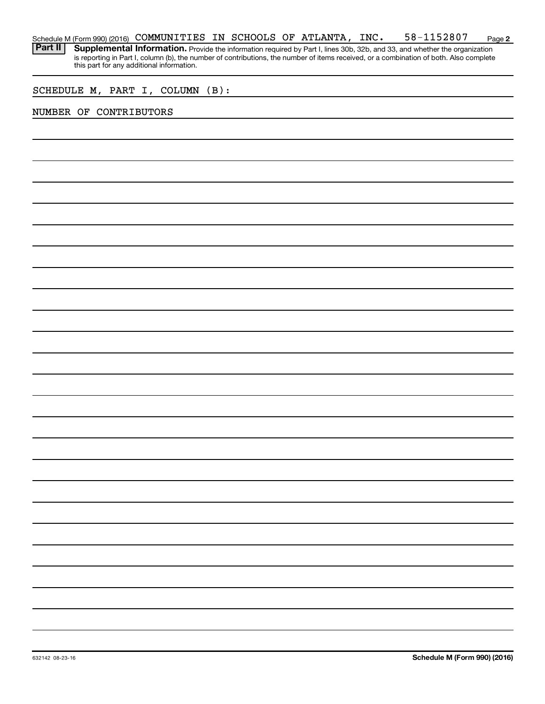#### **2** Schedule M (Form 990) (2016) Page COMMUNITIES IN SCHOOLS OF ATLANTA, INC. 58-1152807

Part II | Supplemental Information. Provide the information required by Part I, lines 30b, 32b, and 33, and whether the organization is reporting in Part I, column (b), the number of contributions, the number of items received, or a combination of both. Also complete this part for any additional information.

### SCHEDULE M, PART I, COLUMN (B):

### NUMBER OF CONTRIBUTORS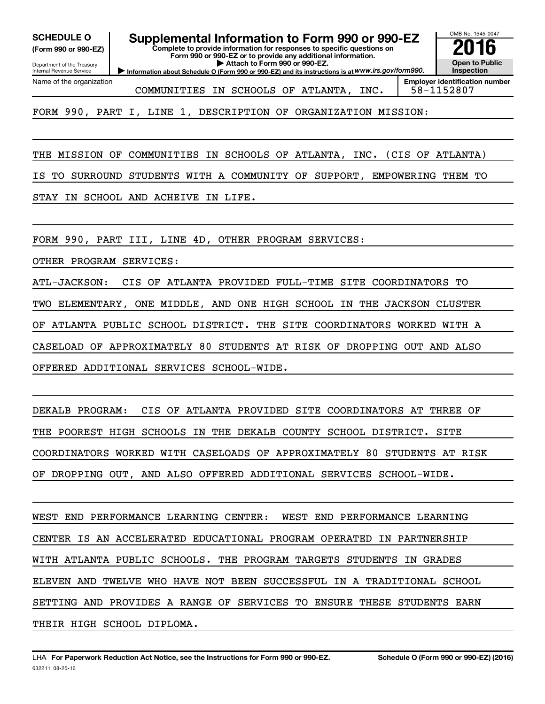Department of the Treasury Internal Revenue Service **Information about Schedule O (Form 990 or 990-EZ) and its instructions is at WWW.irs.gov/form990. Complete to provide information for responses to specific questions on Form 990 or 990-EZ or to provide any additional information. | Attach to Form 990 or 990-EZ. (Form 990 or 990-EZ)** SCHEDULE O **Supplemental Information to Form 990 or 990-EZ 2016**<br>(Form 990 or 990-EZ) **2016** 



Name of the organization

COMMUNITIES IN SCHOOLS OF ATLANTA, INC. 58-1152807

FORM 990, PART I, LINE 1, DESCRIPTION OF ORGANIZATION MISSION:

THE MISSION OF COMMUNITIES IN SCHOOLS OF ATLANTA, INC. (CIS OF ATLANTA)

IS TO SURROUND STUDENTS WITH A COMMUNITY OF SUPPORT, EMPOWERING THEM TO

STAY IN SCHOOL AND ACHEIVE IN LIFE.

FORM 990, PART III, LINE 4D, OTHER PROGRAM SERVICES:

OTHER PROGRAM SERVICES:

ATL-JACKSON: CIS OF ATLANTA PROVIDED FULL-TIME SITE COORDINATORS TO

TWO ELEMENTARY, ONE MIDDLE, AND ONE HIGH SCHOOL IN THE JACKSON CLUSTER

OF ATLANTA PUBLIC SCHOOL DISTRICT. THE SITE COORDINATORS WORKED WITH A

CASELOAD OF APPROXIMATELY 80 STUDENTS AT RISK OF DROPPING OUT AND ALSO

OFFERED ADDITIONAL SERVICES SCHOOL-WIDE.

DEKALB PROGRAM: CIS OF ATLANTA PROVIDED SITE COORDINATORS AT THREE OF THE POOREST HIGH SCHOOLS IN THE DEKALB COUNTY SCHOOL DISTRICT. SITE COORDINATORS WORKED WITH CASELOADS OF APPROXIMATELY 80 STUDENTS AT RISK OF DROPPING OUT, AND ALSO OFFERED ADDITIONAL SERVICES SCHOOL-WIDE.

WEST END PERFORMANCE LEARNING CENTER: WEST END PERFORMANCE LEARNING CENTER IS AN ACCELERATED EDUCATIONAL PROGRAM OPERATED IN PARTNERSHIP WITH ATLANTA PUBLIC SCHOOLS. THE PROGRAM TARGETS STUDENTS IN GRADES ELEVEN AND TWELVE WHO HAVE NOT BEEN SUCCESSFUL IN A TRADITIONAL SCHOOL SETTING AND PROVIDES A RANGE OF SERVICES TO ENSURE THESE STUDENTS EARN THEIR HIGH SCHOOL DIPLOMA.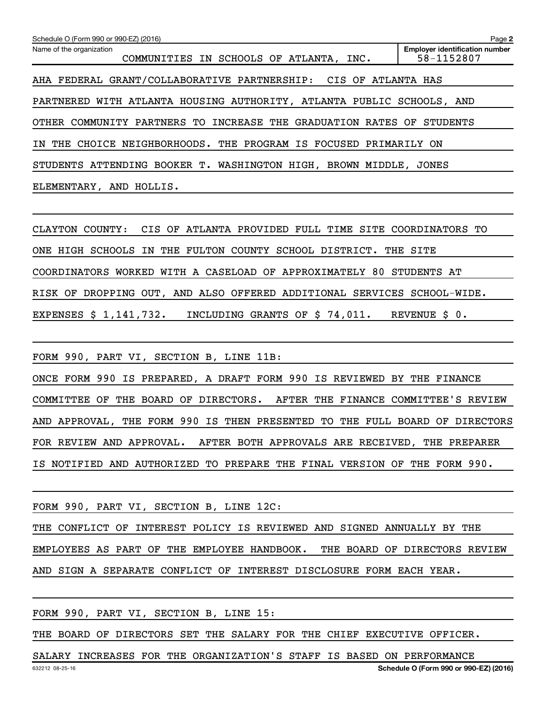| Schedule O (Form 990 or 990-EZ) (2016)                                | Page 2                                              |
|-----------------------------------------------------------------------|-----------------------------------------------------|
| Name of the organization<br>COMMUNITIES IN SCHOOLS OF ATLANTA, INC.   | <b>Employer identification number</b><br>58-1152807 |
| AHA FEDERAL GRANT/COLLABORATIVE PARTNERSHIP: CIS OF ATLANTA HAS       |                                                     |
| PARTNERED WITH ATLANTA HOUSING AUTHORITY, ATLANTA PUBLIC SCHOOLS, AND |                                                     |
| OTHER COMMUNITY PARTNERS TO INCREASE THE GRADUATION RATES OF STUDENTS |                                                     |
| IN THE CHOICE NEIGHBORHOODS. THE PROGRAM IS FOCUSED PRIMARILY ON      |                                                     |
| STUDENTS ATTENDING BOOKER T. WASHINGTON HIGH, BROWN MIDDLE,           | JONES                                               |
| ELEMENTARY, AND HOLLIS.                                               |                                                     |

CLAYTON COUNTY: CIS OF ATLANTA PROVIDED FULL TIME SITE COORDINATORS TO ONE HIGH SCHOOLS IN THE FULTON COUNTY SCHOOL DISTRICT. THE SITE COORDINATORS WORKED WITH A CASELOAD OF APPROXIMATELY 80 STUDENTS AT RISK OF DROPPING OUT, AND ALSO OFFERED ADDITIONAL SERVICES SCHOOL-WIDE. EXPENSES \$ 1,141,732. INCLUDING GRANTS OF \$ 74,011. REVENUE \$ 0.

FORM 990, PART VI, SECTION B, LINE 11B: ONCE FORM 990 IS PREPARED, A DRAFT FORM 990 IS REVIEWED BY THE FINANCE COMMITTEE OF THE BOARD OF DIRECTORS. AFTER THE FINANCE COMMITTEE'S REVIEW AND APPROVAL, THE FORM 990 IS THEN PRESENTED TO THE FULL BOARD OF DIRECTORS FOR REVIEW AND APPROVAL. AFTER BOTH APPROVALS ARE RECEIVED, THE PREPARER IS NOTIFIED AND AUTHORIZED TO PREPARE THE FINAL VERSION OF THE FORM 990.

FORM 990, PART VI, SECTION B, LINE 12C:

THE CONFLICT OF INTEREST POLICY IS REVIEWED AND SIGNED ANNUALLY BY THE EMPLOYEES AS PART OF THE EMPLOYEE HANDBOOK. THE BOARD OF DIRECTORS REVIEW AND SIGN A SEPARATE CONFLICT OF INTEREST DISCLOSURE FORM EACH YEAR.

FORM 990, PART VI, SECTION B, LINE 15:

THE BOARD OF DIRECTORS SET THE SALARY FOR THE CHIEF EXECUTIVE OFFICER.

632212 08-25-16 **Schedule O (Form 990 or 990-EZ) (2016)** SALARY INCREASES FOR THE ORGANIZATION'S STAFF IS BASED ON PERFORMANCE